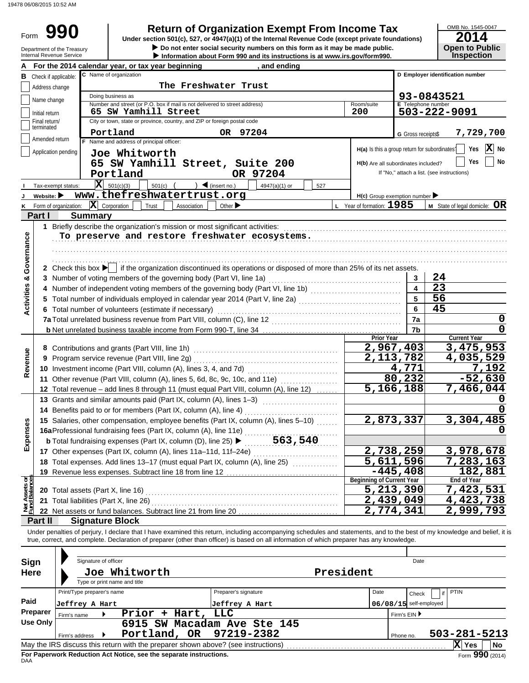Form

## **990 2016 2016 Return of Organization Exempt From Income Tax**

 $\triangleright$  Do not enter social security numbers on this form as it may be made public. **Under section 501(c), 527, or 4947(a)(1) of the Internal Revenue Code (except private foundations)**

## OMB No. 1545-0047

|  | ZU 14                                |
|--|--------------------------------------|
|  | <b>Open to Public<br/>Inspection</b> |
|  |                                      |

|                                |                                | Department of the Treasury<br>Internal Revenue Service |                      |                                                                                   |                                      |                             | Do not enter social security numbers on this form as it may be made public.<br>Information about Form 990 and its instructions is at www.irs.gov/form990. |           |                                                     |                          | <b>Open to Public</b><br><b>Inspection</b>                                                                                                                                |
|--------------------------------|--------------------------------|--------------------------------------------------------|----------------------|-----------------------------------------------------------------------------------|--------------------------------------|-----------------------------|-----------------------------------------------------------------------------------------------------------------------------------------------------------|-----------|-----------------------------------------------------|--------------------------|---------------------------------------------------------------------------------------------------------------------------------------------------------------------------|
|                                |                                |                                                        |                      | For the 2014 calendar year, or tax year beginning                                 |                                      |                             | , and ending                                                                                                                                              |           |                                                     |                          |                                                                                                                                                                           |
|                                |                                | <b>B</b> Check if applicable:                          |                      | C Name of organization                                                            |                                      |                             |                                                                                                                                                           |           |                                                     |                          | D Employer identification number                                                                                                                                          |
|                                | Address change                 |                                                        |                      |                                                                                   | The Freshwater Trust                 |                             |                                                                                                                                                           |           |                                                     |                          |                                                                                                                                                                           |
|                                | Name change                    |                                                        |                      | Doing business as                                                                 |                                      |                             |                                                                                                                                                           |           |                                                     |                          | 93-0843521                                                                                                                                                                |
|                                |                                |                                                        |                      | Number and street (or P.O. box if mail is not delivered to street address)        |                                      |                             |                                                                                                                                                           |           | Room/suite                                          | E Telephone number       |                                                                                                                                                                           |
|                                | Initial return                 |                                                        |                      | 65 SW Yamhill Street                                                              |                                      |                             |                                                                                                                                                           |           | 200                                                 |                          | 503-222-9091                                                                                                                                                              |
|                                | Final return/<br>terminated    |                                                        |                      | City or town, state or province, country, and ZIP or foreign postal code          |                                      |                             |                                                                                                                                                           |           |                                                     |                          |                                                                                                                                                                           |
|                                | Amended return                 |                                                        |                      | Portland                                                                          |                                      | OR 97204                    |                                                                                                                                                           |           |                                                     | G Gross receipts\$       | 7,729,700                                                                                                                                                                 |
|                                |                                |                                                        |                      | F Name and address of principal officer:                                          |                                      |                             |                                                                                                                                                           |           | H(a) Is this a group return for subordinates?       |                          | $\mathbf{X}$ No<br>Yes                                                                                                                                                    |
|                                |                                | Application pending                                    |                      | Joe Whitworth                                                                     |                                      |                             |                                                                                                                                                           |           |                                                     |                          |                                                                                                                                                                           |
|                                |                                |                                                        |                      | 65 SW Yamhill Street, Suite 200                                                   |                                      |                             |                                                                                                                                                           |           | H(b) Are all subordinates included?                 |                          | Yes<br>No                                                                                                                                                                 |
|                                |                                |                                                        |                      | Portland                                                                          |                                      |                             | OR 97204                                                                                                                                                  |           |                                                     |                          | If "No," attach a list. (see instructions)                                                                                                                                |
|                                |                                | Tax-exempt status:                                     |                      | $ \mathbf{X} $ 501(c)(3)                                                          | $\bigcup$ (insert no.)<br>$501(c)$ ( |                             | 4947(a)(1) or                                                                                                                                             | 527       |                                                     |                          |                                                                                                                                                                           |
|                                | Website: $\blacktriangleright$ |                                                        |                      | www.thefreshwatertrust.org                                                        |                                      |                             |                                                                                                                                                           |           | $H(c)$ Group exemption number $\blacktriangleright$ |                          |                                                                                                                                                                           |
| κ                              |                                | Form of organization: $\ \mathbf{X}\ $ Corporation     |                      | Trust                                                                             | Association                          | Other $\blacktriangleright$ |                                                                                                                                                           |           | L Year of formation: 1985                           |                          | <b>M</b> State of legal domicile: $OR$                                                                                                                                    |
|                                | Part I                         |                                                        | <b>Summary</b>       |                                                                                   |                                      |                             |                                                                                                                                                           |           |                                                     |                          |                                                                                                                                                                           |
|                                |                                |                                                        |                      | 1 Briefly describe the organization's mission or most significant activities:     |                                      |                             |                                                                                                                                                           |           |                                                     |                          |                                                                                                                                                                           |
|                                |                                |                                                        |                      |                                                                                   |                                      |                             | To preserve and restore freshwater ecosystems.                                                                                                            |           |                                                     |                          |                                                                                                                                                                           |
|                                |                                |                                                        |                      |                                                                                   |                                      |                             |                                                                                                                                                           |           |                                                     |                          |                                                                                                                                                                           |
|                                |                                |                                                        |                      |                                                                                   |                                      |                             |                                                                                                                                                           |           |                                                     |                          |                                                                                                                                                                           |
| Governance                     |                                |                                                        |                      |                                                                                   |                                      |                             | 2 Check this box $\blacktriangleright$   if the organization discontinued its operations or disposed of more than 25% of its net assets.                  |           |                                                     |                          |                                                                                                                                                                           |
| ಳ                              |                                |                                                        |                      | 3 Number of voting members of the governing body (Part VI, line 1a)               |                                      |                             |                                                                                                                                                           |           |                                                     | 3                        | 24                                                                                                                                                                        |
| Activities                     |                                |                                                        |                      |                                                                                   |                                      |                             |                                                                                                                                                           |           |                                                     | $\overline{\mathbf{4}}$  | $\overline{23}$                                                                                                                                                           |
|                                |                                |                                                        |                      |                                                                                   |                                      |                             |                                                                                                                                                           |           |                                                     | $5\overline{5}$          | 56                                                                                                                                                                        |
|                                |                                |                                                        |                      | 6 Total number of volunteers (estimate if necessary)                              |                                      |                             |                                                                                                                                                           |           |                                                     | 6                        | 45                                                                                                                                                                        |
|                                |                                |                                                        |                      |                                                                                   |                                      |                             |                                                                                                                                                           |           |                                                     | 7a                       | 0                                                                                                                                                                         |
|                                |                                |                                                        |                      |                                                                                   |                                      |                             |                                                                                                                                                           |           |                                                     | 7b                       | 0                                                                                                                                                                         |
|                                |                                |                                                        |                      |                                                                                   |                                      |                             |                                                                                                                                                           |           | <b>Prior Year</b>                                   |                          | <b>Current Year</b>                                                                                                                                                       |
|                                |                                |                                                        |                      |                                                                                   |                                      |                             |                                                                                                                                                           |           | 2,967,403                                           |                          | 3,475,953                                                                                                                                                                 |
| Revenue                        |                                |                                                        |                      |                                                                                   |                                      |                             |                                                                                                                                                           |           | 2, 113, 782                                         |                          | 4,035,529                                                                                                                                                                 |
|                                |                                |                                                        |                      |                                                                                   |                                      |                             |                                                                                                                                                           |           | 4,771                                               | 7,192                    |                                                                                                                                                                           |
|                                |                                |                                                        |                      |                                                                                   |                                      |                             | 11 Other revenue (Part VIII, column (A), lines 5, 6d, 8c, 9c, 10c, and 11e)                                                                               |           |                                                     | 80,232                   | $-52,630$                                                                                                                                                                 |
|                                |                                |                                                        |                      |                                                                                   |                                      |                             | 12 Total revenue - add lines 8 through 11 (must equal Part VIII, column (A), line 12)                                                                     |           | 5,166,188                                           |                          | 7,466,044                                                                                                                                                                 |
|                                |                                |                                                        |                      | 13 Grants and similar amounts paid (Part IX, column (A), lines 1-3)               |                                      |                             |                                                                                                                                                           |           |                                                     |                          |                                                                                                                                                                           |
|                                |                                |                                                        |                      | 14 Benefits paid to or for members (Part IX, column (A), line 4)                  |                                      |                             |                                                                                                                                                           |           |                                                     |                          |                                                                                                                                                                           |
|                                |                                |                                                        |                      |                                                                                   |                                      |                             | 15 Salaries, other compensation, employee benefits (Part IX, column (A), lines 5-10)                                                                      |           | 2,873,337                                           |                          | 3,304,485                                                                                                                                                                 |
| ises                           |                                |                                                        |                      | 16aProfessional fundraising fees (Part IX, column (A), line 11e)                  |                                      |                             |                                                                                                                                                           |           |                                                     |                          |                                                                                                                                                                           |
| Exper                          |                                |                                                        |                      |                                                                                   |                                      |                             | <b>b</b> Total fundraising expenses (Part IX, column (D), line 25) $\blacktriangleright$ 563, 540                                                         |           |                                                     |                          |                                                                                                                                                                           |
|                                |                                |                                                        |                      |                                                                                   |                                      |                             | 17 Other expenses (Part IX, column (A), lines 11a-11d, 11f-24e)                                                                                           |           | 2,738,259                                           |                          | 3,978,678                                                                                                                                                                 |
|                                |                                |                                                        |                      | 18 Total expenses. Add lines 13-17 (must equal Part IX, column (A), line 25)      |                                      |                             |                                                                                                                                                           |           | 5,611,596                                           |                          | 7,283,163                                                                                                                                                                 |
|                                |                                |                                                        |                      | 19 Revenue less expenses. Subtract line 18 from line 12                           |                                      |                             |                                                                                                                                                           |           |                                                     | $-445, 408$              | 182,881                                                                                                                                                                   |
|                                |                                |                                                        |                      |                                                                                   |                                      |                             |                                                                                                                                                           |           | <b>Beginning of Current Year</b>                    |                          | End of Year                                                                                                                                                               |
| Net Assets or<br>Fund Balances |                                |                                                        |                      | 20 Total assets (Part X, line 16)                                                 |                                      |                             |                                                                                                                                                           |           | 5,213,390                                           |                          | 7,423,531                                                                                                                                                                 |
|                                |                                |                                                        |                      | 21 Total liabilities (Part X, line 26)                                            |                                      |                             |                                                                                                                                                           |           | 2,439,049                                           |                          | $\overline{4,423,738}$                                                                                                                                                    |
|                                |                                |                                                        |                      | 22 Net assets or fund balances. Subtract line 21 from line 20                     |                                      |                             |                                                                                                                                                           |           | 2,774,341                                           |                          | 2,999,793                                                                                                                                                                 |
|                                | Part II                        |                                                        |                      | <b>Signature Block</b>                                                            |                                      |                             |                                                                                                                                                           |           |                                                     |                          |                                                                                                                                                                           |
|                                |                                |                                                        |                      |                                                                                   |                                      |                             |                                                                                                                                                           |           |                                                     |                          | Under penalties of perjury, I declare that I have examined this return, including accompanying schedules and statements, and to the best of my knowledge and belief, it i |
|                                |                                |                                                        |                      |                                                                                   |                                      |                             | true, correct, and complete. Declaration of preparer (other than officer) is based on all information of which preparer has any knowledge.                |           |                                                     |                          |                                                                                                                                                                           |
|                                |                                |                                                        |                      |                                                                                   |                                      |                             |                                                                                                                                                           |           |                                                     |                          |                                                                                                                                                                           |
|                                | Sign                           |                                                        | Signature of officer |                                                                                   |                                      |                             |                                                                                                                                                           |           |                                                     | Date                     |                                                                                                                                                                           |
|                                |                                |                                                        |                      | Joe Whitworth                                                                     |                                      |                             |                                                                                                                                                           | President |                                                     |                          |                                                                                                                                                                           |
|                                | <b>Here</b>                    |                                                        |                      | Type or print name and title                                                      |                                      |                             |                                                                                                                                                           |           |                                                     |                          |                                                                                                                                                                           |
|                                |                                | Print/Type preparer's name                             |                      |                                                                                   |                                      | Preparer's signature        |                                                                                                                                                           |           | Date                                                |                          | PTIN                                                                                                                                                                      |
| Paid                           |                                |                                                        |                      |                                                                                   |                                      |                             |                                                                                                                                                           |           |                                                     | Check                    | if                                                                                                                                                                        |
|                                | Preparer                       | Jeffrey A Hart                                         |                      |                                                                                   |                                      | Jeffrey A Hart              |                                                                                                                                                           |           |                                                     | $06/08/15$ self-employed |                                                                                                                                                                           |
|                                |                                | Firm's name                                            |                      |                                                                                   | Prior + Hart,                        | LLC                         |                                                                                                                                                           |           |                                                     | Firm's EIN ▶             |                                                                                                                                                                           |
|                                | <b>Use Only</b>                |                                                        |                      |                                                                                   | 6915 SW Macadam Ave Ste 145          |                             |                                                                                                                                                           |           |                                                     |                          |                                                                                                                                                                           |
|                                |                                | Firm's address ▶                                       |                      | Portland, OR                                                                      |                                      | 97219-2382                  |                                                                                                                                                           |           |                                                     | Phone no.                | 503-281-5213                                                                                                                                                              |
|                                |                                |                                                        |                      | May the IRS discuss this return with the preparer shown above? (see instructions) |                                      |                             |                                                                                                                                                           |           |                                                     |                          | X Yes<br>No                                                                                                                                                               |

| Sign        | Signature of officer       |                                                                                   |                             |  |      |              | Date                     |                 |                             |
|-------------|----------------------------|-----------------------------------------------------------------------------------|-----------------------------|--|------|--------------|--------------------------|-----------------|-----------------------------|
| <b>Here</b> |                            | Joe Whitworth<br>Type or print name and title                                     | President                   |  |      |              |                          |                 |                             |
|             | Print/Type preparer's name |                                                                                   | Preparer's signature        |  | Date |              | Check                    | PTIN            |                             |
| Paid        | Jeffrey A Hart             |                                                                                   | Jeffrey A Hart              |  |      |              | $06/08/15$ self-employed |                 |                             |
| Preparer    | Firm's name                | Hart,<br>Prior<br>$+$                                                             | LLC                         |  |      | Firm's EIN ▶ |                          |                 |                             |
| Use Only    |                            | Portland, OR 97219-2382                                                           | 6915 SW Macadam Ave Ste 145 |  |      |              |                          | 503-281-5213    |                             |
|             | Firm's address             | May the IRS discuss this return with the preparer shown above? (see instructions) |                             |  |      | Phone no.    |                          | X<br><b>Yes</b> | No                          |
|             |                            | For Paperwork Reduction Act Notice, see the separate instructions.                |                             |  |      |              |                          |                 | $F_{\text{OCD}}$ 990 (2014) |

DAA **For Paperwork Reduction Act Notice, see the separate instructions.**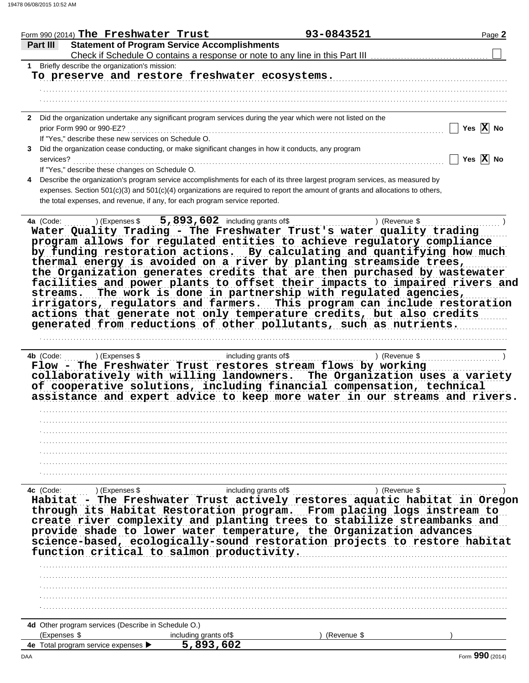|                       | Form 990 (2014) The Freshwater Trust                 |                                                                                                              | 93-0843521                                                                                                                                                                                                                                                                                                                                                                                                                                                                                                                                                                                                                                                                                                                                                      | Page 2          |
|-----------------------|------------------------------------------------------|--------------------------------------------------------------------------------------------------------------|-----------------------------------------------------------------------------------------------------------------------------------------------------------------------------------------------------------------------------------------------------------------------------------------------------------------------------------------------------------------------------------------------------------------------------------------------------------------------------------------------------------------------------------------------------------------------------------------------------------------------------------------------------------------------------------------------------------------------------------------------------------------|-----------------|
| Part III              |                                                      | <b>Statement of Program Service Accomplishments</b>                                                          |                                                                                                                                                                                                                                                                                                                                                                                                                                                                                                                                                                                                                                                                                                                                                                 |                 |
|                       |                                                      |                                                                                                              | Check if Schedule O contains a response or note to any line in this Part III                                                                                                                                                                                                                                                                                                                                                                                                                                                                                                                                                                                                                                                                                    |                 |
| 1.                    | Briefly describe the organization's mission:         | To preserve and restore freshwater ecosystems.                                                               |                                                                                                                                                                                                                                                                                                                                                                                                                                                                                                                                                                                                                                                                                                                                                                 |                 |
|                       |                                                      |                                                                                                              |                                                                                                                                                                                                                                                                                                                                                                                                                                                                                                                                                                                                                                                                                                                                                                 |                 |
| $\mathbf{2}$          | prior Form 990 or 990-EZ?                            | Did the organization undertake any significant program services during the year which were not listed on the |                                                                                                                                                                                                                                                                                                                                                                                                                                                                                                                                                                                                                                                                                                                                                                 | Yes $ X $<br>No |
| 3                     | If "Yes," describe these new services on Schedule O. | Did the organization cease conducting, or make significant changes in how it conducts, any program           |                                                                                                                                                                                                                                                                                                                                                                                                                                                                                                                                                                                                                                                                                                                                                                 |                 |
| services?             | If "Yes," describe these changes on Schedule O.      |                                                                                                              |                                                                                                                                                                                                                                                                                                                                                                                                                                                                                                                                                                                                                                                                                                                                                                 | Yes $X$ No      |
| 4                     |                                                      | the total expenses, and revenue, if any, for each program service reported.                                  | Describe the organization's program service accomplishments for each of its three largest program services, as measured by<br>expenses. Section 501(c)(3) and 501(c)(4) organizations are required to report the amount of grants and allocations to others,                                                                                                                                                                                                                                                                                                                                                                                                                                                                                                    |                 |
| 4a (Code:<br>streams. | ) (Expenses \$                                       | $\overline{5,893,602}$ including grants of \$                                                                | ) (Revenue \$<br>Water Quality Trading - The Freshwater Trust's water quality trading<br>program allows for regulated entities to achieve regulatory compliance<br>by funding restoration actions. By calculating and quantifying how much<br>thermal energy is avoided on a river by planting streamside trees,<br>the Organization generates credits that are then purchased by wastewater<br>facilities and power plants to offset their impacts to impaired rivers and<br>The work is done in partnership with regulated agencies,<br>irrigators, regulators and farmers. This program can include restoration<br>actions that generate not only temperature credits, but also credits<br>generated from reductions of other pollutants, such as nutrients. |                 |
| 4b (Code:             | ) (Expenses \$                                       | including grants of\$                                                                                        | ) (Revenue \$<br>Flow - The Freshwater Trust restores stream flows by working<br>collaboratively with willing landowners. The Organization uses a variety<br>of cooperative solutions, including financial compensation, technical<br>assistance and expert advice to keep more water in our streams and rivers.                                                                                                                                                                                                                                                                                                                                                                                                                                                |                 |
|                       |                                                      |                                                                                                              |                                                                                                                                                                                                                                                                                                                                                                                                                                                                                                                                                                                                                                                                                                                                                                 |                 |
|                       |                                                      |                                                                                                              |                                                                                                                                                                                                                                                                                                                                                                                                                                                                                                                                                                                                                                                                                                                                                                 |                 |
|                       |                                                      |                                                                                                              |                                                                                                                                                                                                                                                                                                                                                                                                                                                                                                                                                                                                                                                                                                                                                                 |                 |
|                       |                                                      |                                                                                                              |                                                                                                                                                                                                                                                                                                                                                                                                                                                                                                                                                                                                                                                                                                                                                                 |                 |
|                       |                                                      |                                                                                                              |                                                                                                                                                                                                                                                                                                                                                                                                                                                                                                                                                                                                                                                                                                                                                                 |                 |
|                       |                                                      |                                                                                                              |                                                                                                                                                                                                                                                                                                                                                                                                                                                                                                                                                                                                                                                                                                                                                                 |                 |
| 4c (Code:             | ) (Expenses \$                                       | $\cdots$ including grants of \$                                                                              | ) (Revenue \$                                                                                                                                                                                                                                                                                                                                                                                                                                                                                                                                                                                                                                                                                                                                                   |                 |
|                       |                                                      | function critical to salmon productivity.                                                                    | Habitat - The Freshwater Trust actively restores aquatic habitat in Oregon<br>through its Habitat Restoration program. From placing logs instream to create river complexity and planting trees to stabilize streambanks and<br>provide shade to lower water temperature, the Organization advances<br>science-based, ecologically-sound restoration projects to restore habitat                                                                                                                                                                                                                                                                                                                                                                                |                 |
|                       |                                                      |                                                                                                              |                                                                                                                                                                                                                                                                                                                                                                                                                                                                                                                                                                                                                                                                                                                                                                 |                 |
|                       |                                                      |                                                                                                              |                                                                                                                                                                                                                                                                                                                                                                                                                                                                                                                                                                                                                                                                                                                                                                 |                 |
|                       |                                                      |                                                                                                              |                                                                                                                                                                                                                                                                                                                                                                                                                                                                                                                                                                                                                                                                                                                                                                 |                 |
|                       |                                                      |                                                                                                              |                                                                                                                                                                                                                                                                                                                                                                                                                                                                                                                                                                                                                                                                                                                                                                 |                 |
|                       | 4d Other program services (Describe in Schedule O.)  |                                                                                                              |                                                                                                                                                                                                                                                                                                                                                                                                                                                                                                                                                                                                                                                                                                                                                                 |                 |
| (Expenses \$          |                                                      | including grants of \$                                                                                       | (Revenue \$                                                                                                                                                                                                                                                                                                                                                                                                                                                                                                                                                                                                                                                                                                                                                     |                 |
|                       | 4e Total program service expenses                    | 5,893,602                                                                                                    |                                                                                                                                                                                                                                                                                                                                                                                                                                                                                                                                                                                                                                                                                                                                                                 |                 |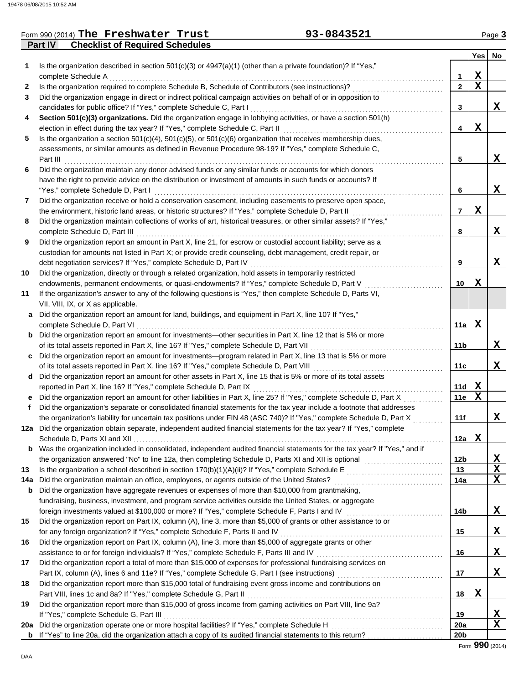### **Part IV Checklist of Required Schedules** Form 990 (2014) Page **3 The Freshwater Trust 93-0843521**

|     |                                                                                                                                                                                                        |                 | <b>Yes</b>  | No     |
|-----|--------------------------------------------------------------------------------------------------------------------------------------------------------------------------------------------------------|-----------------|-------------|--------|
| 1   | Is the organization described in section $501(c)(3)$ or $4947(a)(1)$ (other than a private foundation)? If "Yes,"                                                                                      |                 |             |        |
|     | complete Schedule A                                                                                                                                                                                    | 1               | Х           |        |
| 2   | Is the organization required to complete Schedule B, Schedule of Contributors (see instructions)?                                                                                                      | $\mathbf{2}$    | $\mathbf x$ |        |
| 3   | Did the organization engage in direct or indirect political campaign activities on behalf of or in opposition to                                                                                       |                 |             |        |
|     | candidates for public office? If "Yes," complete Schedule C, Part I                                                                                                                                    | 3               |             | X      |
| 4   | Section 501(c)(3) organizations. Did the organization engage in lobbying activities, or have a section 501(h)                                                                                          |                 | X           |        |
| 5   | election in effect during the tax year? If "Yes," complete Schedule C, Part II<br>Is the organization a section $501(c)(4)$ , $501(c)(5)$ , or $501(c)(6)$ organization that receives membership dues, | 4               |             |        |
|     | assessments, or similar amounts as defined in Revenue Procedure 98-19? If "Yes," complete Schedule C,                                                                                                  |                 |             |        |
|     | Part III                                                                                                                                                                                               | 5               |             | x      |
| 6   | Did the organization maintain any donor advised funds or any similar funds or accounts for which donors                                                                                                |                 |             |        |
|     | have the right to provide advice on the distribution or investment of amounts in such funds or accounts? If                                                                                            |                 |             |        |
|     | "Yes," complete Schedule D, Part I                                                                                                                                                                     | 6               |             | X      |
| 7   | Did the organization receive or hold a conservation easement, including easements to preserve open space,                                                                                              |                 |             |        |
|     | the environment, historic land areas, or historic structures? If "Yes," complete Schedule D, Part II                                                                                                   | 7               | X           |        |
| 8   | Did the organization maintain collections of works of art, historical treasures, or other similar assets? If "Yes,"                                                                                    |                 |             |        |
|     | complete Schedule D, Part III                                                                                                                                                                          | 8               |             | X      |
| 9   | Did the organization report an amount in Part X, line 21, for escrow or custodial account liability; serve as a                                                                                        |                 |             |        |
|     | custodian for amounts not listed in Part X; or provide credit counseling, debt management, credit repair, or                                                                                           |                 |             |        |
|     | debt negotiation services? If "Yes," complete Schedule D, Part IV                                                                                                                                      | 9               |             | X.     |
| 10  | Did the organization, directly or through a related organization, hold assets in temporarily restricted                                                                                                |                 |             |        |
|     | endowments, permanent endowments, or quasi-endowments? If "Yes," complete Schedule D, Part V                                                                                                           | 10              | x           |        |
| 11  | If the organization's answer to any of the following questions is "Yes," then complete Schedule D, Parts VI,                                                                                           |                 |             |        |
|     | VII, VIII, IX, or X as applicable.                                                                                                                                                                     |                 |             |        |
| a   | Did the organization report an amount for land, buildings, and equipment in Part X, line 10? If "Yes,"                                                                                                 |                 |             |        |
|     | complete Schedule D, Part VI                                                                                                                                                                           | 11a             | X           |        |
| b   | Did the organization report an amount for investments-other securities in Part X, line 12 that is 5% or more                                                                                           |                 |             |        |
|     | of its total assets reported in Part X, line 16? If "Yes," complete Schedule D, Part VII                                                                                                               | 11b             |             | X.     |
| C   | Did the organization report an amount for investments—program related in Part X, line 13 that is 5% or more                                                                                            |                 |             |        |
|     | of its total assets reported in Part X, line 16? If "Yes," complete Schedule D, Part VIII                                                                                                              | 11c             |             | X      |
| d   | Did the organization report an amount for other assets in Part X, line 15 that is 5% or more of its total assets                                                                                       |                 |             |        |
|     | reported in Part X, line 16? If "Yes," complete Schedule D, Part IX                                                                                                                                    | 11d             | X           |        |
| e   | Did the organization report an amount for other liabilities in Part X, line 25? If "Yes," complete Schedule D, Part X                                                                                  | 11e             | $\mathbf x$ |        |
| f   | Did the organization's separate or consolidated financial statements for the tax year include a footnote that addresses                                                                                |                 |             |        |
|     | the organization's liability for uncertain tax positions under FIN 48 (ASC 740)? If "Yes," complete Schedule D, Part X                                                                                 | 11f             |             | X      |
|     | 12a Did the organization obtain separate, independent audited financial statements for the tax year? If "Yes," complete                                                                                |                 |             |        |
|     |                                                                                                                                                                                                        | 12a             | X           |        |
| b   | Was the organization included in consolidated, independent audited financial statements for the tax year? If "Yes," and if                                                                             |                 |             |        |
|     | the organization answered "No" to line 12a, then completing Schedule D, Parts XI and XII is optional                                                                                                   | 12 <sub>b</sub> |             | X      |
| 13  |                                                                                                                                                                                                        | 13              |             | X      |
| 14а | Did the organization maintain an office, employees, or agents outside of the United States?                                                                                                            | 14a             |             | X      |
| b   | Did the organization have aggregate revenues or expenses of more than \$10,000 from grantmaking,                                                                                                       |                 |             |        |
|     | fundraising, business, investment, and program service activities outside the United States, or aggregate                                                                                              |                 |             |        |
|     | foreign investments valued at \$100,000 or more? If "Yes," complete Schedule F, Parts I and IV [[[[[[[[[[[[[[[                                                                                         | 14b             |             | X      |
| 15  | Did the organization report on Part IX, column (A), line 3, more than \$5,000 of grants or other assistance to or                                                                                      |                 |             |        |
|     | for any foreign organization? If "Yes," complete Schedule F, Parts II and IV                                                                                                                           | 15              |             | X      |
| 16  | Did the organization report on Part IX, column (A), line 3, more than \$5,000 of aggregate grants or other                                                                                             |                 |             |        |
|     | assistance to or for foreign individuals? If "Yes," complete Schedule F, Parts III and IV                                                                                                              | 16              |             | X.     |
| 17  | Did the organization report a total of more than \$15,000 of expenses for professional fundraising services on                                                                                         |                 |             |        |
|     |                                                                                                                                                                                                        | 17              |             | X      |
| 18  | Did the organization report more than \$15,000 total of fundraising event gross income and contributions on                                                                                            |                 |             |        |
|     | Part VIII, lines 1c and 8a? If "Yes," complete Schedule G, Part II                                                                                                                                     | 18              | X           |        |
| 19  | Did the organization report more than \$15,000 of gross income from gaming activities on Part VIII, line 9a?                                                                                           |                 |             |        |
|     | If "Yes," complete Schedule G, Part III                                                                                                                                                                | 19<br>20a       |             | X<br>X |
|     |                                                                                                                                                                                                        | 20 <sub>b</sub> |             |        |
|     |                                                                                                                                                                                                        |                 |             |        |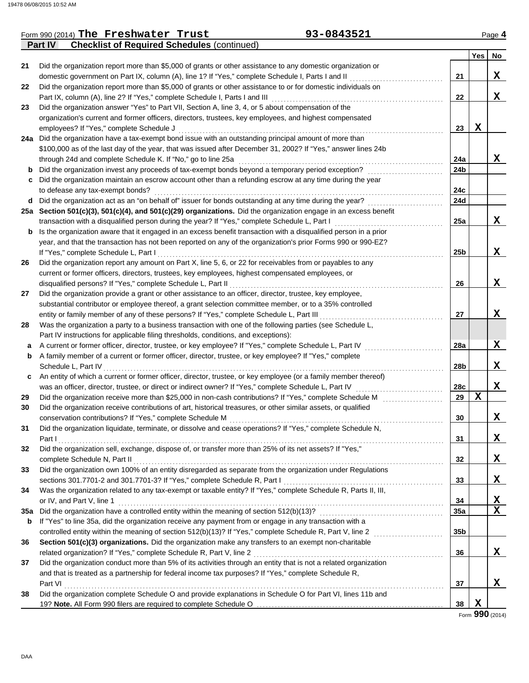|     | 93-0843521<br>Form 990 (2014) The Freshwater Trust                                                               |                 |             | Page 4      |
|-----|------------------------------------------------------------------------------------------------------------------|-----------------|-------------|-------------|
|     | <b>Checklist of Required Schedules (continued)</b><br>Part IV                                                    |                 |             |             |
|     |                                                                                                                  |                 | Yes         | No          |
| 21  | Did the organization report more than \$5,000 of grants or other assistance to any domestic organization or      |                 |             |             |
|     | domestic government on Part IX, column (A), line 1? If "Yes," complete Schedule I, Parts I and II                | 21              |             | X           |
| 22  | Did the organization report more than \$5,000 of grants or other assistance to or for domestic individuals on    |                 |             |             |
|     | Part IX, column (A), line 2? If "Yes," complete Schedule I, Parts I and III                                      | 22              |             | X           |
| 23  | Did the organization answer "Yes" to Part VII, Section A, line 3, 4, or 5 about compensation of the              |                 |             |             |
|     | organization's current and former officers, directors, trustees, key employees, and highest compensated          |                 |             |             |
|     | employees? If "Yes," complete Schedule J                                                                         | 23              | $\mathbf x$ |             |
|     | 24a Did the organization have a tax-exempt bond issue with an outstanding principal amount of more than          |                 |             |             |
|     | \$100,000 as of the last day of the year, that was issued after December 31, 2002? If "Yes," answer lines 24b    |                 |             |             |
|     | through 24d and complete Schedule K. If "No," go to line 25a                                                     | 24a             |             | X           |
| b   | Did the organization invest any proceeds of tax-exempt bonds beyond a temporary period exception?                | 24 <sub>b</sub> |             |             |
| C   | Did the organization maintain an escrow account other than a refunding escrow at any time during the year        |                 |             |             |
|     | to defease any tax-exempt bonds?                                                                                 | 24c             |             |             |
|     | d Did the organization act as an "on behalf of" issuer for bonds outstanding at any time during the year?        | 24d             |             |             |
|     | 25a Section 501(c)(3), 501(c)(4), and 501(c)(29) organizations. Did the organization engage in an excess benefit |                 |             |             |
|     | transaction with a disqualified person during the year? If "Yes," complete Schedule L, Part I                    | 25a             |             | X           |
| b   | Is the organization aware that it engaged in an excess benefit transaction with a disqualified person in a prior |                 |             |             |
|     | year, and that the transaction has not been reported on any of the organization's prior Forms 990 or 990-EZ?     |                 |             |             |
|     | If "Yes," complete Schedule L, Part I                                                                            | 25 <sub>b</sub> |             | X           |
| 26  | Did the organization report any amount on Part X, line 5, 6, or 22 for receivables from or payables to any       |                 |             |             |
|     | current or former officers, directors, trustees, key employees, highest compensated employees, or                |                 |             |             |
|     | disqualified persons? If "Yes," complete Schedule L, Part II                                                     | 26              |             | X           |
| 27  | Did the organization provide a grant or other assistance to an officer, director, trustee, key employee,         |                 |             |             |
|     | substantial contributor or employee thereof, a grant selection committee member, or to a 35% controlled          |                 |             |             |
|     | entity or family member of any of these persons? If "Yes," complete Schedule L, Part III                         | 27              |             | $\mathbf x$ |
| 28  | Was the organization a party to a business transaction with one of the following parties (see Schedule L,        |                 |             |             |
|     | Part IV instructions for applicable filing thresholds, conditions, and exceptions):                              |                 |             |             |
| a   | A current or former officer, director, trustee, or key employee? If "Yes," complete Schedule L, Part IV          | 28a             |             | X           |
| b   | A family member of a current or former officer, director, trustee, or key employee? If "Yes," complete           |                 |             |             |
|     | Schedule L, Part IV                                                                                              | 28b             |             | X           |
| c   | An entity of which a current or former officer, director, trustee, or key employee (or a family member thereof)  |                 |             |             |
|     | was an officer, director, trustee, or direct or indirect owner? If "Yes," complete Schedule L, Part IV           | 28c             |             | $\mathbf x$ |
| 29  | Did the organization receive more than \$25,000 in non-cash contributions? If "Yes," complete Schedule M         | 29              | $\mathbf x$ |             |
| 30  | Did the organization receive contributions of art, historical treasures, or other similar assets, or qualified   |                 |             |             |
|     | conservation contributions? If "Yes," complete Schedule M                                                        | 30              |             |             |
| 31  | Did the organization liquidate, terminate, or dissolve and cease operations? If "Yes," complete Schedule N,      |                 |             | A           |
|     | Part I                                                                                                           | 31              |             | X           |
| 32  | Did the organization sell, exchange, dispose of, or transfer more than 25% of its net assets? If "Yes,"          |                 |             |             |
|     | complete Schedule N, Part II                                                                                     | 32              |             | X           |
| 33  | Did the organization own 100% of an entity disregarded as separate from the organization under Regulations       |                 |             |             |
|     | sections 301.7701-2 and 301.7701-3? If "Yes," complete Schedule R, Part I                                        | 33              |             | X           |
|     | Was the organization related to any tax-exempt or taxable entity? If "Yes," complete Schedule R, Parts II, III,  |                 |             |             |
| 34  |                                                                                                                  |                 |             | X           |
|     | or IV, and Part V, line 1                                                                                        | 34              |             | $\mathbf X$ |
| 35a | Did the organization have a controlled entity within the meaning of section 512(b)(13)?                          | 35a             |             |             |
| b   | If "Yes" to line 35a, did the organization receive any payment from or engage in any transaction with a          |                 |             |             |
|     | controlled entity within the meaning of section 512(b)(13)? If "Yes," complete Schedule R, Part V, line 2        | 35 <sub>b</sub> |             |             |
| 36  | Section 501(c)(3) organizations. Did the organization make any transfers to an exempt non-charitable             |                 |             |             |
|     | related organization? If "Yes," complete Schedule R, Part V, line 2                                              | 36              |             | X           |
| 37  | Did the organization conduct more than 5% of its activities through an entity that is not a related organization |                 |             |             |
|     | and that is treated as a partnership for federal income tax purposes? If "Yes," complete Schedule R,             |                 |             |             |
|     | Part VI                                                                                                          | 37              |             | X           |
| 38  | Did the organization complete Schedule O and provide explanations in Schedule O for Part VI, lines 11b and       |                 |             |             |
|     |                                                                                                                  | 38              | X           |             |

Form **990** (2014)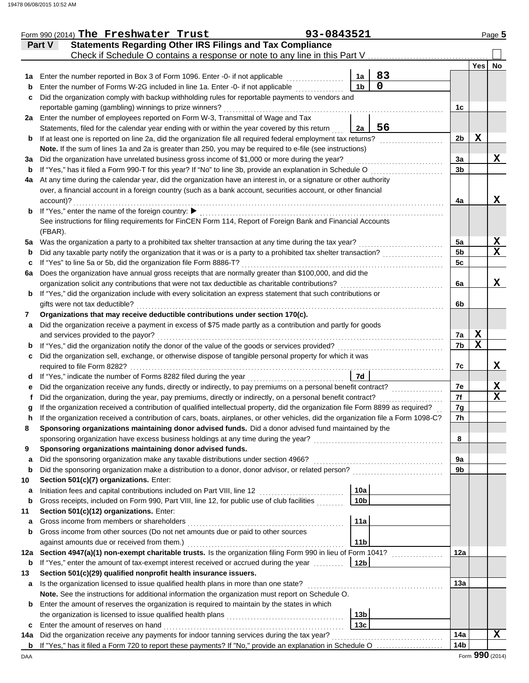|     | Form 990 (2014) The Freshwater Trust                                                                                                                                                                        | 93-0843521 |                 |             |                 |        | Page 5          |
|-----|-------------------------------------------------------------------------------------------------------------------------------------------------------------------------------------------------------------|------------|-----------------|-------------|-----------------|--------|-----------------|
|     | <b>Statements Regarding Other IRS Filings and Tax Compliance</b><br>Part V                                                                                                                                  |            |                 |             |                 |        |                 |
|     | Check if Schedule O contains a response or note to any line in this Part V                                                                                                                                  |            |                 |             |                 |        |                 |
|     |                                                                                                                                                                                                             |            |                 |             |                 | Yes    | No              |
| 1a  | Enter the number reported in Box 3 of Form 1096. Enter -0- if not applicable                                                                                                                                |            | 1a              | 83          |                 |        |                 |
| b   | Enter the number of Forms W-2G included in line 1a. Enter -0- if not applicable                                                                                                                             |            | 1 <sub>b</sub>  | $\mathbf 0$ |                 |        |                 |
| c   | Did the organization comply with backup withholding rules for reportable payments to vendors and                                                                                                            |            |                 |             |                 |        |                 |
|     | reportable gaming (gambling) winnings to prize winners?                                                                                                                                                     |            |                 |             | 1c              |        |                 |
|     | 2a Enter the number of employees reported on Form W-3, Transmittal of Wage and Tax<br>Statements, filed for the calendar year ending with or within the year covered by this return                         |            | 2a              | 56          |                 |        |                 |
| b   | If at least one is reported on line 2a, did the organization file all required federal employment tax returns?                                                                                              |            |                 |             | 2 <sub>b</sub>  | X      |                 |
|     | Note. If the sum of lines 1a and 2a is greater than 250, you may be required to e-file (see instructions)                                                                                                   |            |                 |             |                 |        |                 |
| За  | Did the organization have unrelated business gross income of \$1,000 or more during the year?                                                                                                               |            |                 |             | 3a              |        | X               |
| b   | If "Yes," has it filed a Form 990-T for this year? If "No" to line 3b, provide an explanation in Schedule O                                                                                                 |            |                 |             | 3 <sub>b</sub>  |        |                 |
| 4a  | At any time during the calendar year, did the organization have an interest in, or a signature or other authority                                                                                           |            |                 |             |                 |        |                 |
|     | over, a financial account in a foreign country (such as a bank account, securities account, or other financial                                                                                              |            |                 |             |                 |        |                 |
|     | account)?                                                                                                                                                                                                   |            |                 |             | 4a              |        | X               |
| b   | If "Yes," enter the name of the foreign country: ▶                                                                                                                                                          |            |                 |             |                 |        |                 |
|     | See instructions for filing requirements for FinCEN Form 114, Report of Foreign Bank and Financial Accounts                                                                                                 |            |                 |             |                 |        |                 |
|     | (FBAR).                                                                                                                                                                                                     |            |                 |             |                 |        |                 |
| 5а  | Was the organization a party to a prohibited tax shelter transaction at any time during the tax year?                                                                                                       |            |                 |             | 5a              |        | X               |
| b   | Did any taxable party notify the organization that it was or is a party to a prohibited tax shelter transaction?                                                                                            |            |                 |             | 5b              |        | $\mathbf x$     |
| c   | If "Yes" to line 5a or 5b, did the organization file Form 8886-T?                                                                                                                                           |            |                 |             | 5c              |        |                 |
| 6a  | Does the organization have annual gross receipts that are normally greater than \$100,000, and did the                                                                                                      |            |                 |             |                 |        |                 |
|     | organization solicit any contributions that were not tax deductible as charitable contributions?                                                                                                            |            |                 |             | 6a              |        | X               |
| b   | If "Yes," did the organization include with every solicitation an express statement that such contributions or                                                                                              |            |                 |             |                 |        |                 |
|     | gifts were not tax deductible?                                                                                                                                                                              |            |                 |             | 6b              |        |                 |
| 7   | Organizations that may receive deductible contributions under section 170(c).                                                                                                                               |            |                 |             |                 |        |                 |
| a   | Did the organization receive a payment in excess of \$75 made partly as a contribution and partly for goods                                                                                                 |            |                 |             |                 |        |                 |
|     | and services provided to the payor?                                                                                                                                                                         |            |                 |             | 7a              | X<br>X |                 |
| b   | If "Yes," did the organization notify the donor of the value of the goods or services provided?<br>Did the organization sell, exchange, or otherwise dispose of tangible personal property for which it was |            |                 |             | 7b              |        |                 |
| c   | required to file Form 8282?                                                                                                                                                                                 |            |                 |             | 7c              |        | X               |
| d   | If "Yes," indicate the number of Forms 8282 filed during the year                                                                                                                                           |            | 7d              |             |                 |        |                 |
| е   | Did the organization receive any funds, directly or indirectly, to pay premiums on a personal benefit contract?                                                                                             |            |                 |             | 7e              |        | X               |
|     | Did the organization, during the year, pay premiums, directly or indirectly, on a personal benefit contract?                                                                                                |            |                 |             | 7f              |        | $\mathbf x$     |
|     | If the organization received a contribution of qualified intellectual property, did the organization file Form 8899 as required?                                                                            |            |                 |             | 7g              |        |                 |
|     | If the organization received a contribution of cars, boats, airplanes, or other vehicles, did the organization file a Form 1098-C?                                                                          |            |                 |             | 7 <sub>h</sub>  |        |                 |
| 8   | Sponsoring organizations maintaining donor advised funds. Did a donor advised fund maintained by the                                                                                                        |            |                 |             |                 |        |                 |
|     | sponsoring organization have excess business holdings at any time during the year?                                                                                                                          |            |                 |             | 8               |        |                 |
| 9   | Sponsoring organizations maintaining donor advised funds.                                                                                                                                                   |            |                 |             |                 |        |                 |
| a   | Did the sponsoring organization make any taxable distributions under section 4966?                                                                                                                          |            |                 |             | 9а              |        |                 |
| b   | Did the sponsoring organization make a distribution to a donor, donor advisor, or related person?                                                                                                           |            |                 |             | 9b              |        |                 |
| 10  | Section 501(c)(7) organizations. Enter:                                                                                                                                                                     |            |                 |             |                 |        |                 |
| a   | Initiation fees and capital contributions included on Part VIII, line 12                                                                                                                                    |            | 10a             |             |                 |        |                 |
| b   | Gross receipts, included on Form 990, Part VIII, line 12, for public use of club facilities                                                                                                                 |            | 10 <sub>b</sub> |             |                 |        |                 |
| 11  | Section 501(c)(12) organizations. Enter:                                                                                                                                                                    |            |                 |             |                 |        |                 |
| a   | Gross income from members or shareholders                                                                                                                                                                   |            | 11a             |             |                 |        |                 |
| b   | Gross income from other sources (Do not net amounts due or paid to other sources                                                                                                                            |            |                 |             |                 |        |                 |
| 12a | against amounts due or received from them.)<br>Section 4947(a)(1) non-exempt charitable trusts. Is the organization filing Form 990 in lieu of Form 1041?                                                   |            | 11 <sub>b</sub> |             | 12a             |        |                 |
| b   | If "Yes," enter the amount of tax-exempt interest received or accrued during the year                                                                                                                       |            | 12 <sub>b</sub> |             |                 |        |                 |
| 13  | Section 501(c)(29) qualified nonprofit health insurance issuers.                                                                                                                                            |            |                 |             |                 |        |                 |
| a   | Is the organization licensed to issue qualified health plans in more than one state?                                                                                                                        |            |                 |             | 13a             |        |                 |
|     | Note. See the instructions for additional information the organization must report on Schedule O.                                                                                                           |            |                 |             |                 |        |                 |
| b   | Enter the amount of reserves the organization is required to maintain by the states in which                                                                                                                |            |                 |             |                 |        |                 |
|     | the organization is licensed to issue qualified health plans                                                                                                                                                |            | 13 <sub>b</sub> |             |                 |        |                 |
| c   | Enter the amount of reserves on hand                                                                                                                                                                        |            | 13 <sub>c</sub> |             |                 |        |                 |
| 14a | Did the organization receive any payments for indoor tanning services during the tax year?                                                                                                                  |            |                 |             | 14a             |        | X               |
| b   |                                                                                                                                                                                                             |            |                 |             | 14 <sub>b</sub> |        |                 |
| DAA |                                                                                                                                                                                                             |            |                 |             |                 |        | Form 990 (2014) |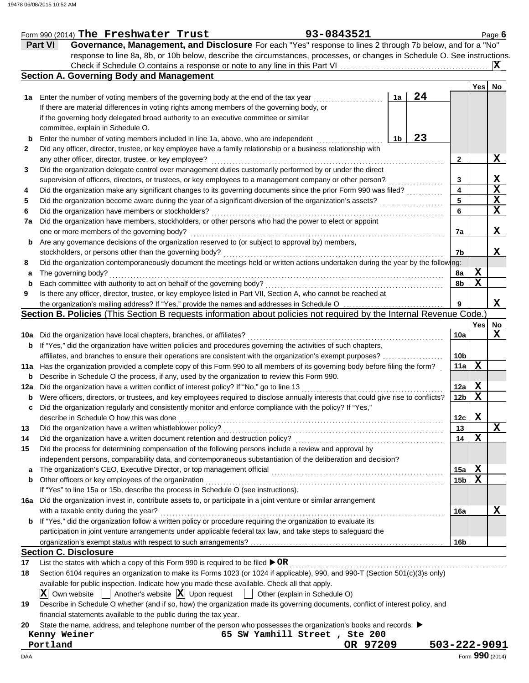|                                                                                                                                           | Form 990 (2014) The Freshwater Trust                                                                                                | 93-0843521 |                |    |                 |                 | Page $6$     |  |  |  |  |
|-------------------------------------------------------------------------------------------------------------------------------------------|-------------------------------------------------------------------------------------------------------------------------------------|------------|----------------|----|-----------------|-----------------|--------------|--|--|--|--|
|                                                                                                                                           | Governance, Management, and Disclosure For each "Yes" response to lines 2 through 7b below, and for a "No"<br><b>Part VI</b>        |            |                |    |                 |                 |              |  |  |  |  |
|                                                                                                                                           | response to line 8a, 8b, or 10b below, describe the circumstances, processes, or changes in Schedule O. See instructions.           |            |                |    |                 |                 |              |  |  |  |  |
|                                                                                                                                           |                                                                                                                                     |            |                |    |                 |                 | $ {\bf X} $  |  |  |  |  |
|                                                                                                                                           | <b>Section A. Governing Body and Management</b>                                                                                     |            |                |    |                 |                 |              |  |  |  |  |
|                                                                                                                                           |                                                                                                                                     |            |                |    |                 | Yes             | No           |  |  |  |  |
|                                                                                                                                           | 1a Enter the number of voting members of the governing body at the end of the tax year                                              |            | 1a             | 24 |                 |                 |              |  |  |  |  |
|                                                                                                                                           | If there are material differences in voting rights among members of the governing body, or                                          |            |                |    |                 |                 |              |  |  |  |  |
|                                                                                                                                           | if the governing body delegated broad authority to an executive committee or similar                                                |            |                |    |                 |                 |              |  |  |  |  |
|                                                                                                                                           | committee, explain in Schedule O.                                                                                                   |            |                |    |                 |                 |              |  |  |  |  |
| b                                                                                                                                         | Enter the number of voting members included in line 1a, above, who are independent                                                  |            | 1 <sub>b</sub> | 23 |                 |                 |              |  |  |  |  |
| 2                                                                                                                                         | Did any officer, director, trustee, or key employee have a family relationship or a business relationship with                      |            |                |    |                 |                 |              |  |  |  |  |
| any other officer, director, trustee, or key employee?                                                                                    |                                                                                                                                     |            |                |    |                 |                 |              |  |  |  |  |
| 3                                                                                                                                         | Did the organization delegate control over management duties customarily performed by or under the direct                           |            |                |    |                 |                 |              |  |  |  |  |
|                                                                                                                                           | supervision of officers, directors, or trustees, or key employees to a management company or other person?                          |            |                |    | 3               |                 | X            |  |  |  |  |
| 4                                                                                                                                         | Did the organization make any significant changes to its governing documents since the prior Form 990 was filed?                    |            |                |    | 4               |                 | $\mathbf x$  |  |  |  |  |
| 5                                                                                                                                         | Did the organization become aware during the year of a significant diversion of the organization's assets?                          |            |                |    | 5               |                 | X            |  |  |  |  |
| 6                                                                                                                                         | Did the organization have members or stockholders?                                                                                  |            |                |    | 6               |                 | $\mathbf{x}$ |  |  |  |  |
| 7a                                                                                                                                        | Did the organization have members, stockholders, or other persons who had the power to elect or appoint                             |            |                |    |                 |                 |              |  |  |  |  |
|                                                                                                                                           | one or more members of the governing body?                                                                                          |            |                |    | 7a              |                 | X            |  |  |  |  |
| b                                                                                                                                         | Are any governance decisions of the organization reserved to (or subject to approval by) members,                                   |            |                |    |                 |                 |              |  |  |  |  |
|                                                                                                                                           | stockholders, or persons other than the governing body?                                                                             |            |                |    | 7b              |                 | x            |  |  |  |  |
| 8                                                                                                                                         | Did the organization contemporaneously document the meetings held or written actions undertaken during the year by the following:   |            |                |    |                 |                 |              |  |  |  |  |
| a                                                                                                                                         | The governing body?                                                                                                                 |            |                |    | 8a              | X               |              |  |  |  |  |
| b                                                                                                                                         | Each committee with authority to act on behalf of the governing body?                                                               |            |                |    | 8b              | $\mathbf x$     |              |  |  |  |  |
| 9                                                                                                                                         | Is there any officer, director, trustee, or key employee listed in Part VII, Section A, who cannot be reached at                    |            |                |    |                 |                 |              |  |  |  |  |
|                                                                                                                                           | the organization's mailing address? If "Yes," provide the names and addresses in Schedule O                                         |            |                |    | 9               |                 | X            |  |  |  |  |
|                                                                                                                                           | Section B. Policies (This Section B requests information about policies not required by the Internal Revenue Code.)                 |            |                |    |                 |                 |              |  |  |  |  |
|                                                                                                                                           |                                                                                                                                     |            |                |    |                 | Yes             | No           |  |  |  |  |
| 10a                                                                                                                                       | Did the organization have local chapters, branches, or affiliates?                                                                  |            |                |    | 10a             |                 | X            |  |  |  |  |
| b                                                                                                                                         | If "Yes," did the organization have written policies and procedures governing the activities of such chapters,                      |            |                |    |                 |                 |              |  |  |  |  |
|                                                                                                                                           | affiliates, and branches to ensure their operations are consistent with the organization's exempt purposes?                         |            |                |    | 10 <sub>b</sub> |                 |              |  |  |  |  |
| Has the organization provided a complete copy of this Form 990 to all members of its governing body before filing the form?<br>11a<br>11a |                                                                                                                                     |            |                |    |                 |                 |              |  |  |  |  |
| b                                                                                                                                         | Describe in Schedule O the process, if any, used by the organization to review this Form 990.                                       |            |                |    |                 |                 |              |  |  |  |  |
| 12a                                                                                                                                       | Did the organization have a written conflict of interest policy? If "No," go to line 13                                             |            |                |    | 12a             | X               |              |  |  |  |  |
| b                                                                                                                                         | Were officers, directors, or trustees, and key employees required to disclose annually interests that could give rise to conflicts? |            |                |    | 12 <sub>b</sub> | $\mathbf X$     |              |  |  |  |  |
|                                                                                                                                           | Did the organization regularly and consistently monitor and enforce compliance with the policy? If "Yes,"                           |            |                |    |                 |                 |              |  |  |  |  |
|                                                                                                                                           | describe in Schedule O how this was done                                                                                            |            |                |    | 12 <sub>c</sub> | X               |              |  |  |  |  |
| 13                                                                                                                                        | Did the organization have a written whistleblower policy?                                                                           |            |                |    | 13              |                 | X            |  |  |  |  |
| 14                                                                                                                                        | Did the organization have a written document retention and destruction policy?                                                      |            |                |    | 14              | $\mathbf X$     |              |  |  |  |  |
| 15                                                                                                                                        | Did the process for determining compensation of the following persons include a review and approval by                              |            |                |    |                 |                 |              |  |  |  |  |
|                                                                                                                                           | independent persons, comparability data, and contemporaneous substantiation of the deliberation and decision?                       |            |                |    |                 |                 |              |  |  |  |  |
| a                                                                                                                                         | The organization's CEO, Executive Director, or top management official                                                              |            |                |    | 15a             | X               |              |  |  |  |  |
| b                                                                                                                                         | Other officers or key employees of the organization                                                                                 |            |                |    | 15b             | $\mathbf x$     |              |  |  |  |  |
|                                                                                                                                           | If "Yes" to line 15a or 15b, describe the process in Schedule O (see instructions).                                                 |            |                |    |                 |                 |              |  |  |  |  |
|                                                                                                                                           | 16a Did the organization invest in, contribute assets to, or participate in a joint venture or similar arrangement                  |            |                |    |                 |                 |              |  |  |  |  |
|                                                                                                                                           | with a taxable entity during the year?                                                                                              |            |                |    | 16a             |                 | X            |  |  |  |  |
| b                                                                                                                                         | If "Yes," did the organization follow a written policy or procedure requiring the organization to evaluate its                      |            |                |    |                 |                 |              |  |  |  |  |
|                                                                                                                                           | participation in joint venture arrangements under applicable federal tax law, and take steps to safeguard the                       |            |                |    |                 |                 |              |  |  |  |  |
|                                                                                                                                           |                                                                                                                                     |            |                |    | 16b             |                 |              |  |  |  |  |
|                                                                                                                                           | <b>Section C. Disclosure</b>                                                                                                        |            |                |    |                 |                 |              |  |  |  |  |
| 17                                                                                                                                        | List the states with which a copy of this Form 990 is required to be filed $\triangleright$ OR                                      |            |                |    |                 |                 |              |  |  |  |  |
| 18                                                                                                                                        | Section 6104 requires an organization to make its Forms 1023 (or 1024 if applicable), 990, and 990-T (Section 501(c)(3)s only)      |            |                |    |                 |                 |              |  |  |  |  |
|                                                                                                                                           | available for public inspection. Indicate how you made these available. Check all that apply.                                       |            |                |    |                 |                 |              |  |  |  |  |
|                                                                                                                                           | Own website $\Box$ Another's website $\Box$ Upon request<br>IXI<br>Other (explain in Schedule O)                                    |            |                |    |                 |                 |              |  |  |  |  |
| 19                                                                                                                                        | Describe in Schedule O whether (and if so, how) the organization made its governing documents, conflict of interest policy, and     |            |                |    |                 |                 |              |  |  |  |  |
|                                                                                                                                           | financial statements available to the public during the tax year.                                                                   |            |                |    |                 |                 |              |  |  |  |  |
| 20                                                                                                                                        | State the name, address, and telephone number of the person who possesses the organization's books and records: ▶                   |            |                |    |                 |                 |              |  |  |  |  |
|                                                                                                                                           | 65 SW Yamhill Street, Ste 200<br>Kenny Weiner                                                                                       |            |                |    |                 |                 |              |  |  |  |  |
|                                                                                                                                           | Portland                                                                                                                            | OR 97209   |                |    | 503-222-9091    |                 |              |  |  |  |  |
| DAA                                                                                                                                       |                                                                                                                                     |            |                |    |                 | Form 990 (2014) |              |  |  |  |  |
|                                                                                                                                           |                                                                                                                                     |            |                |    |                 |                 |              |  |  |  |  |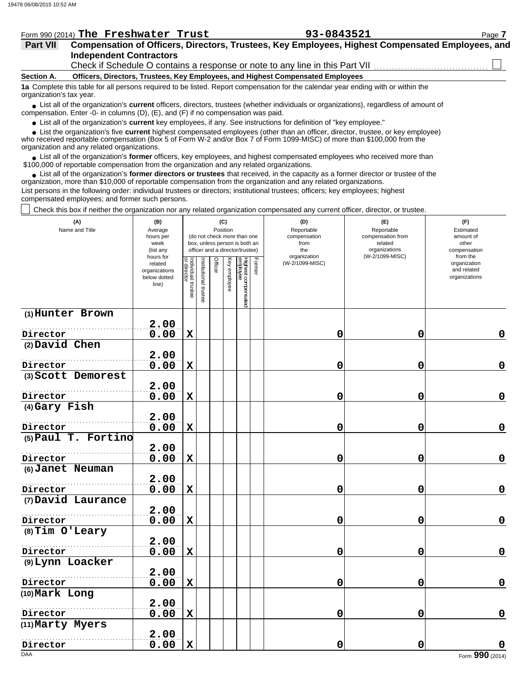|  |  |  | Form 990 (2014) The Freshwater Trust |  | 93-0843521 | Page. |
|--|--|--|--------------------------------------|--|------------|-------|
|--|--|--|--------------------------------------|--|------------|-------|

| <b>Part VII</b> | Compensation of Officers, Directors, Trustees, Key Employees, Highest Compensated Employees, and |
|-----------------|--------------------------------------------------------------------------------------------------|
|                 | <b>Independent Contractors</b>                                                                   |
|                 | Check if Schedule O contains a response or note to any line in this Part VII                     |

**Section A. Officers, Directors, Trustees, Key Employees, and Highest Compensated Employees**

**1a** Complete this table for all persons required to be listed. Report compensation for the calendar year ending with or within the organization's tax year.

■ List all of the organization's **current** officers, directors, trustees (whether individuals or organizations), regardless of amount of compensation. Enter -0- in columns (D), (E), and (F) if no compensation was paid.

● List all of the organization's **current** key employees, if any. See instructions for definition of "key employee."

 $\bullet$  List the organization's five **current** highest compensated employees (other than an officer, director, trustee, or key employee)<br>a received reportable compensation (Box 5 of Form  $M-2$  and/or Box 7 of Form 1000-MISC)

who received reportable compensation (Box 5 of Form W-2 and/or Box 7 of Form 1099-MISC) of more than \$100,000 from the organization and any related organizations.

● List all of the organization's **former** officers, key employees, and highest compensated employees who received more than<br>00,000 of reportable compensation from the erganization and any related erganizations. \$100,000 of reportable compensation from the organization and any related organizations.

• List all of the organization's **former directors or trustees** that received, in the capacity as a former director or trustee of the organization, more than \$10,000 of reportable compensation from the organization and any related organizations. List persons in the following order: individual trustees or directors; institutional trustees; officers; key employees; highest compensated employees; and former such persons.

Check this box if neither the organization nor any related organization compensated any current officer, director, or trustee.

| (A)<br>Name and Title | (B)<br>Average<br>hours per<br>week<br>(list any               |                                   |                      |         | (C)<br>Position | (do not check more than one<br>box, unless person is both an<br>officer and a director/trustee) | (D)<br>Reportable<br>compensation<br>from<br>the | (E)<br>Reportable<br>compensation from<br>related<br>organizations | (F)<br>Estimated<br>amount of<br>other<br>compensation<br>from the |  |
|-----------------------|----------------------------------------------------------------|-----------------------------------|----------------------|---------|-----------------|-------------------------------------------------------------------------------------------------|--------------------------------------------------|--------------------------------------------------------------------|--------------------------------------------------------------------|--|
|                       | hours for<br>related<br>organizations<br>below dotted<br>line) | Individual trustee<br>or director | nstitutional trustee | Officer | Key employee    | Highest compensated<br>employee<br>Former                                                       | organization<br>(W-2/1099-MISC)                  | (W-2/1099-MISC)                                                    | organization<br>and related<br>organizations                       |  |
| (1) Hunter Brown      | 2.00                                                           |                                   |                      |         |                 |                                                                                                 |                                                  |                                                                    |                                                                    |  |
| Director              | 0.00                                                           | $\mathbf X$                       |                      |         |                 |                                                                                                 | 0                                                | 0                                                                  | $\mathbf 0$                                                        |  |
| (2) David Chen        |                                                                |                                   |                      |         |                 |                                                                                                 |                                                  |                                                                    |                                                                    |  |
| Director              | 2.00<br>0.00                                                   | $\mathbf X$                       |                      |         |                 |                                                                                                 | 0                                                | 0                                                                  | $\mathbf 0$                                                        |  |
| (3) Scott Demorest    |                                                                |                                   |                      |         |                 |                                                                                                 |                                                  |                                                                    |                                                                    |  |
|                       | 2.00                                                           |                                   |                      |         |                 |                                                                                                 |                                                  |                                                                    |                                                                    |  |
| Director              | 0.00                                                           | $\mathbf X$                       |                      |         |                 |                                                                                                 | 0                                                | $\mathbf 0$                                                        | 0                                                                  |  |
| (4) Gary Fish         |                                                                |                                   |                      |         |                 |                                                                                                 |                                                  |                                                                    |                                                                    |  |
|                       | 2.00                                                           |                                   |                      |         |                 |                                                                                                 |                                                  |                                                                    |                                                                    |  |
| Director              | 0.00                                                           | $\mathbf X$                       |                      |         |                 |                                                                                                 | 0                                                | 0                                                                  | $\mathbf 0$                                                        |  |
| (5) Paul T. Fortino   |                                                                |                                   |                      |         |                 |                                                                                                 |                                                  |                                                                    |                                                                    |  |
| Director              | 2.00<br>0.00                                                   | $\mathbf X$                       |                      |         |                 |                                                                                                 | 0                                                | 0                                                                  | $\mathbf 0$                                                        |  |
| (6) Janet Neuman      |                                                                |                                   |                      |         |                 |                                                                                                 |                                                  |                                                                    |                                                                    |  |
|                       | 2.00                                                           |                                   |                      |         |                 |                                                                                                 |                                                  |                                                                    |                                                                    |  |
| Director              | 0.00                                                           | X                                 |                      |         |                 |                                                                                                 | 0                                                | 0                                                                  | $\mathbf 0$                                                        |  |
| (7) David Laurance    |                                                                |                                   |                      |         |                 |                                                                                                 |                                                  |                                                                    |                                                                    |  |
|                       | 2.00                                                           |                                   |                      |         |                 |                                                                                                 |                                                  |                                                                    |                                                                    |  |
| Director              | 0.00                                                           | $\mathbf X$                       |                      |         |                 |                                                                                                 | 0                                                | 0                                                                  | $\mathbf 0$                                                        |  |
| $(8)$ Tim O'Leary     |                                                                |                                   |                      |         |                 |                                                                                                 |                                                  |                                                                    |                                                                    |  |
| Director              | 2.00<br>0.00                                                   | $\mathbf X$                       |                      |         |                 |                                                                                                 | 0                                                | 0                                                                  | $\mathbf 0$                                                        |  |
| (9) Lynn Loacker      |                                                                |                                   |                      |         |                 |                                                                                                 |                                                  |                                                                    |                                                                    |  |
|                       | 2.00                                                           |                                   |                      |         |                 |                                                                                                 |                                                  |                                                                    |                                                                    |  |
| Director              | 0.00                                                           | $\mathbf X$                       |                      |         |                 |                                                                                                 | 0                                                | 0                                                                  | $\mathbf 0$                                                        |  |
| (10) Mark Long        |                                                                |                                   |                      |         |                 |                                                                                                 |                                                  |                                                                    |                                                                    |  |
|                       | 2.00                                                           |                                   |                      |         |                 |                                                                                                 |                                                  |                                                                    |                                                                    |  |
| Director              | 0.00                                                           | X                                 |                      |         |                 |                                                                                                 | 0                                                | 0                                                                  | $\mathbf 0$                                                        |  |
| (11) Marty Myers      | 2.00                                                           |                                   |                      |         |                 |                                                                                                 |                                                  |                                                                    |                                                                    |  |
| Director              | 0.00                                                           | X                                 |                      |         |                 |                                                                                                 | 0                                                | 0                                                                  | 0                                                                  |  |
| <b>DAA</b>            |                                                                |                                   |                      |         |                 |                                                                                                 |                                                  |                                                                    | Form 990 (2014)                                                    |  |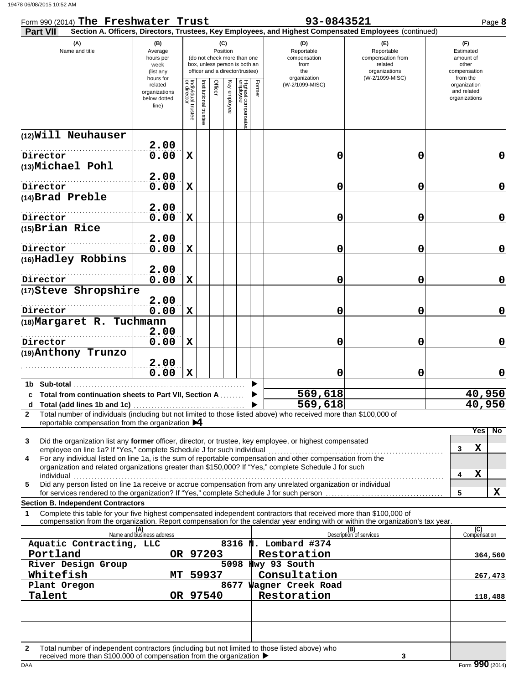| Form 990 (2014) The Freshwater Trust                                                                                                                                                                                                                        |                                                               |                                   |                                                                                                                    |                         |                                |                                                                  | 93-0843521                                                                                             |                                                                    | Page 8                                       |
|-------------------------------------------------------------------------------------------------------------------------------------------------------------------------------------------------------------------------------------------------------------|---------------------------------------------------------------|-----------------------------------|--------------------------------------------------------------------------------------------------------------------|-------------------------|--------------------------------|------------------------------------------------------------------|--------------------------------------------------------------------------------------------------------|--------------------------------------------------------------------|----------------------------------------------|
| Part VII                                                                                                                                                                                                                                                    |                                                               |                                   |                                                                                                                    |                         |                                |                                                                  | Section A. Officers, Directors, Trustees, Key Employees, and Highest Compensated Employees (continued) |                                                                    |                                              |
| (A)<br>Name and title                                                                                                                                                                                                                                       | (B)<br>Average<br>hours per<br>week<br>(list any<br>hours for |                                   | (C)<br>Position<br>(do not check more than one<br>box, unless person is both an<br>officer and a director/trustee) |                         |                                | (D)<br>Reportable<br>compensation<br>from<br>the<br>organization | (E)<br>Reportable<br>compensation from<br>related<br>organizations<br>(W-2/1099-MISC)                  | (F)<br>Estimated<br>amount of<br>other<br>compensation<br>from the |                                              |
|                                                                                                                                                                                                                                                             | related<br>organizations<br>below dotted<br>line)             | Individual trustee<br>or director | Institutional truste                                                                                               | Officer<br>Key employee | Highest compensate<br>employee | Former                                                           | (W-2/1099-MISC)                                                                                        |                                                                    | organization<br>and related<br>organizations |
| (12) Will Neuhauser                                                                                                                                                                                                                                         |                                                               |                                   |                                                                                                                    |                         |                                |                                                                  |                                                                                                        |                                                                    |                                              |
| Director                                                                                                                                                                                                                                                    | 2.00<br>0.00                                                  | $\mathbf X$                       |                                                                                                                    |                         |                                |                                                                  | 0                                                                                                      | 0                                                                  | 0                                            |
| (13)Michael Pohl                                                                                                                                                                                                                                            |                                                               |                                   |                                                                                                                    |                         |                                |                                                                  |                                                                                                        |                                                                    |                                              |
|                                                                                                                                                                                                                                                             | 2.00                                                          |                                   |                                                                                                                    |                         |                                |                                                                  |                                                                                                        |                                                                    |                                              |
| Director                                                                                                                                                                                                                                                    | 0.00                                                          | $\mathbf X$                       |                                                                                                                    |                         |                                |                                                                  | 0                                                                                                      | 0                                                                  | $\mathbf 0$                                  |
| (14)Brad Preble                                                                                                                                                                                                                                             | 2.00                                                          |                                   |                                                                                                                    |                         |                                |                                                                  |                                                                                                        |                                                                    |                                              |
| Director                                                                                                                                                                                                                                                    | 0.00                                                          | $\mathbf X$                       |                                                                                                                    |                         |                                |                                                                  | 0                                                                                                      | 0                                                                  | $\mathbf 0$                                  |
| (15) Brian Rice                                                                                                                                                                                                                                             |                                                               |                                   |                                                                                                                    |                         |                                |                                                                  |                                                                                                        |                                                                    |                                              |
| Director                                                                                                                                                                                                                                                    | 2.00<br>0.00                                                  | $\mathbf X$                       |                                                                                                                    |                         |                                |                                                                  | 0                                                                                                      | 0                                                                  | $\mathbf 0$                                  |
| (16) Hadley Robbins                                                                                                                                                                                                                                         |                                                               |                                   |                                                                                                                    |                         |                                |                                                                  |                                                                                                        |                                                                    |                                              |
| Director                                                                                                                                                                                                                                                    | 2.00<br>0.00                                                  | $\mathbf x$                       |                                                                                                                    |                         |                                |                                                                  | 0                                                                                                      | 0                                                                  | $\mathbf 0$                                  |
| (17)Steve Shropshire                                                                                                                                                                                                                                        |                                                               |                                   |                                                                                                                    |                         |                                |                                                                  |                                                                                                        |                                                                    |                                              |
|                                                                                                                                                                                                                                                             | 2.00                                                          |                                   |                                                                                                                    |                         |                                |                                                                  |                                                                                                        |                                                                    |                                              |
| Director<br>(18) Margaret R. Tuchmann                                                                                                                                                                                                                       | 0.00                                                          | $\mathbf x$                       |                                                                                                                    |                         |                                |                                                                  | 0                                                                                                      | 0                                                                  | $\mathbf 0$                                  |
|                                                                                                                                                                                                                                                             | 2.00                                                          |                                   |                                                                                                                    |                         |                                |                                                                  |                                                                                                        |                                                                    |                                              |
| Director                                                                                                                                                                                                                                                    | 0.00                                                          | $\mathbf X$                       |                                                                                                                    |                         |                                |                                                                  | 0                                                                                                      | 0                                                                  | $\mathbf 0$                                  |
| (19) Anthony Trunzo                                                                                                                                                                                                                                         | 2.00                                                          |                                   |                                                                                                                    |                         |                                |                                                                  |                                                                                                        |                                                                    |                                              |
|                                                                                                                                                                                                                                                             | 0.00                                                          | $\mathbf x$                       |                                                                                                                    |                         |                                |                                                                  | 0                                                                                                      | 0                                                                  | 0                                            |
| 1b Sub-total                                                                                                                                                                                                                                                |                                                               |                                   |                                                                                                                    |                         |                                |                                                                  |                                                                                                        |                                                                    |                                              |
| c Total from continuation sheets to Part VII, Section A                                                                                                                                                                                                     |                                                               |                                   |                                                                                                                    |                         |                                |                                                                  | 569,618<br>569,618                                                                                     |                                                                    | 40,950<br>40,950                             |
| Total number of individuals (including but not limited to those listed above) who received more than \$100,000 of<br>$\mathbf{2}$                                                                                                                           |                                                               |                                   |                                                                                                                    |                         |                                |                                                                  |                                                                                                        |                                                                    |                                              |
| reportable compensation from the organization $\blacktriangleright$ 4                                                                                                                                                                                       |                                                               |                                   |                                                                                                                    |                         |                                |                                                                  |                                                                                                        |                                                                    |                                              |
| 3<br>Did the organization list any former officer, director, or trustee, key employee, or highest compensated                                                                                                                                               |                                                               |                                   |                                                                                                                    |                         |                                |                                                                  |                                                                                                        |                                                                    | Yes<br>No                                    |
| employee on line 1a? If "Yes," complete Schedule J for such individual                                                                                                                                                                                      |                                                               |                                   |                                                                                                                    |                         |                                |                                                                  |                                                                                                        |                                                                    | X<br>3                                       |
| For any individual listed on line 1a, is the sum of reportable compensation and other compensation from the<br>4<br>organization and related organizations greater than \$150,000? If "Yes," complete Schedule J for such                                   |                                                               |                                   |                                                                                                                    |                         |                                |                                                                  |                                                                                                        |                                                                    |                                              |
| individual<br>Did any person listed on line 1a receive or accrue compensation from any unrelated organization or individual                                                                                                                                 |                                                               |                                   |                                                                                                                    |                         |                                |                                                                  |                                                                                                        |                                                                    | $\mathbf X$<br>4                             |
| 5<br>for services rendered to the organization? If "Yes," complete Schedule J for such person                                                                                                                                                               |                                                               |                                   |                                                                                                                    |                         |                                |                                                                  |                                                                                                        |                                                                    | X<br>5                                       |
| <b>Section B. Independent Contractors</b>                                                                                                                                                                                                                   |                                                               |                                   |                                                                                                                    |                         |                                |                                                                  |                                                                                                        |                                                                    |                                              |
| Complete this table for your five highest compensated independent contractors that received more than \$100,000 of<br>1<br>compensation from the organization. Report compensation for the calendar year ending with or within the organization's tax year. |                                                               |                                   |                                                                                                                    |                         |                                |                                                                  |                                                                                                        |                                                                    |                                              |
|                                                                                                                                                                                                                                                             | (A)<br>Name and business address                              |                                   |                                                                                                                    |                         |                                |                                                                  |                                                                                                        | (B)<br>Description of services                                     | (C)<br>Compensation                          |
| Aquatic Contracting, LLC                                                                                                                                                                                                                                    |                                                               |                                   |                                                                                                                    |                         |                                |                                                                  | 8316 N. Lombard #374                                                                                   |                                                                    |                                              |
| Portland<br>River Design Group                                                                                                                                                                                                                              |                                                               | OR 97203                          |                                                                                                                    |                         |                                |                                                                  | Restoration<br>5098 Hwy 93 South                                                                       |                                                                    | 364,560                                      |
| Whitefish                                                                                                                                                                                                                                                   |                                                               | MT 59937                          |                                                                                                                    |                         |                                |                                                                  | Consultation                                                                                           |                                                                    | 267,473                                      |
| Plant Oregon                                                                                                                                                                                                                                                |                                                               |                                   |                                                                                                                    |                         |                                |                                                                  | 8677 Wagner Creek Road                                                                                 |                                                                    |                                              |
| Talent                                                                                                                                                                                                                                                      |                                                               | OR 97540                          |                                                                                                                    |                         |                                |                                                                  | Restoration                                                                                            |                                                                    | 118,488                                      |
|                                                                                                                                                                                                                                                             |                                                               |                                   |                                                                                                                    |                         |                                |                                                                  |                                                                                                        |                                                                    |                                              |
|                                                                                                                                                                                                                                                             |                                                               |                                   |                                                                                                                    |                         |                                |                                                                  |                                                                                                        |                                                                    |                                              |
| Total number of independent contractors (including but not limited to those listed above) who<br>2                                                                                                                                                          |                                                               |                                   |                                                                                                                    |                         |                                |                                                                  |                                                                                                        |                                                                    |                                              |

**3**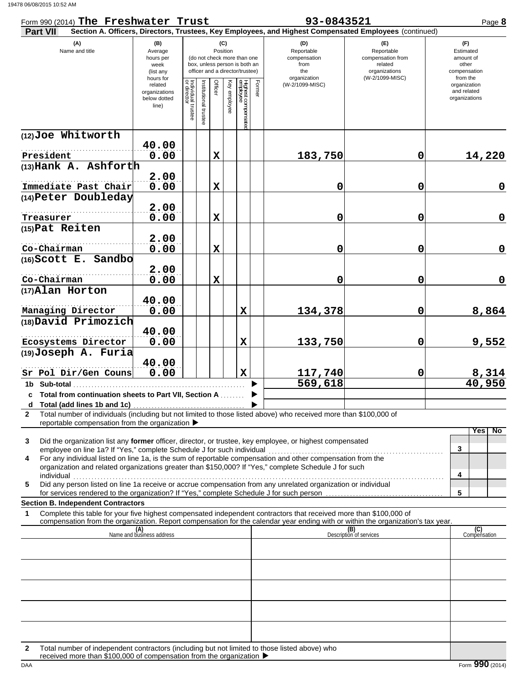| Form 990 (2014) The Freshwater Trust                                                                                                                                                    |                                                                |                                   |                      |                 |              |                                                                                                 |                     | 93-0843521                                                                                             |                                                                                       | Page 8                                                             |
|-----------------------------------------------------------------------------------------------------------------------------------------------------------------------------------------|----------------------------------------------------------------|-----------------------------------|----------------------|-----------------|--------------|-------------------------------------------------------------------------------------------------|---------------------|--------------------------------------------------------------------------------------------------------|---------------------------------------------------------------------------------------|--------------------------------------------------------------------|
| Part VII                                                                                                                                                                                |                                                                |                                   |                      |                 |              |                                                                                                 |                     | Section A. Officers, Directors, Trustees, Key Employees, and Highest Compensated Employees (continued) |                                                                                       |                                                                    |
| (A)<br>Name and title                                                                                                                                                                   | (B)<br>Average<br>hours per<br>week<br>(list any               |                                   |                      | (C)<br>Position |              | (do not check more than one<br>box, unless person is both an<br>officer and a director/trustee) |                     | (D)<br>Reportable<br>compensation<br>from<br>the<br>organization                                       | (F)<br>Reportable<br>compensation from<br>related<br>organizations<br>(W-2/1099-MISC) | (F)<br>Estimated<br>amount of<br>other<br>compensation<br>from the |
|                                                                                                                                                                                         | hours for<br>related<br>organizations<br>below dotted<br>line) | Individual trustee<br>or director | Institutional truste | Officer         | Key employee | Highest compensate<br>employee                                                                  | Former              | (W-2/1099-MISC)                                                                                        |                                                                                       | organization<br>and related<br>organizations                       |
| (12) Joe Whitworth                                                                                                                                                                      |                                                                |                                   |                      |                 |              |                                                                                                 |                     |                                                                                                        |                                                                                       |                                                                    |
| President                                                                                                                                                                               | 40.00                                                          |                                   |                      |                 |              |                                                                                                 |                     |                                                                                                        |                                                                                       |                                                                    |
| (13) Hank A. Ashforth                                                                                                                                                                   | 0.00                                                           |                                   |                      | $\mathbf x$     |              |                                                                                                 |                     | 183,750                                                                                                | 0                                                                                     | 14,220                                                             |
|                                                                                                                                                                                         | 2.00                                                           |                                   |                      |                 |              |                                                                                                 |                     |                                                                                                        |                                                                                       |                                                                    |
| Immediate Past Chair                                                                                                                                                                    | 0.00                                                           |                                   |                      | X               |              |                                                                                                 |                     | 0                                                                                                      | 0                                                                                     | $\mathbf 0$                                                        |
| (14) Peter Doubleday                                                                                                                                                                    |                                                                |                                   |                      |                 |              |                                                                                                 |                     |                                                                                                        |                                                                                       |                                                                    |
| Treasurer                                                                                                                                                                               | 2.00<br>0.00                                                   |                                   |                      | X               |              |                                                                                                 |                     | 0                                                                                                      | 0                                                                                     | $\mathbf 0$                                                        |
| (15) Pat Reiten                                                                                                                                                                         |                                                                |                                   |                      |                 |              |                                                                                                 |                     |                                                                                                        |                                                                                       |                                                                    |
|                                                                                                                                                                                         | 2.00                                                           |                                   |                      |                 |              |                                                                                                 |                     |                                                                                                        |                                                                                       |                                                                    |
| Co-Chairman                                                                                                                                                                             | 0.00                                                           |                                   |                      | X               |              |                                                                                                 |                     | 0                                                                                                      | 0                                                                                     | $\mathbf 0$                                                        |
| (16) Scott E. Sandbo                                                                                                                                                                    |                                                                |                                   |                      |                 |              |                                                                                                 |                     |                                                                                                        |                                                                                       |                                                                    |
| Co-Chairman                                                                                                                                                                             | 2.00<br>0.00                                                   |                                   |                      | X               |              |                                                                                                 |                     | 0                                                                                                      | 0                                                                                     | $\mathbf 0$                                                        |
| (17) Alan Horton                                                                                                                                                                        |                                                                |                                   |                      |                 |              |                                                                                                 |                     |                                                                                                        |                                                                                       |                                                                    |
|                                                                                                                                                                                         | 40.00                                                          |                                   |                      |                 |              |                                                                                                 |                     |                                                                                                        |                                                                                       |                                                                    |
| Managing Director                                                                                                                                                                       | 0.00                                                           |                                   |                      |                 |              | $\mathbf x$                                                                                     |                     | 134,378                                                                                                | 0                                                                                     | 8,864                                                              |
| (18) David Primozich                                                                                                                                                                    | 40.00                                                          |                                   |                      |                 |              |                                                                                                 |                     |                                                                                                        |                                                                                       |                                                                    |
| Ecosystems Director                                                                                                                                                                     | 0.00                                                           |                                   |                      |                 |              | $\mathbf x$                                                                                     |                     | 133,750                                                                                                | 0                                                                                     | 9,552                                                              |
| (19)Joseph A. Furia                                                                                                                                                                     |                                                                |                                   |                      |                 |              |                                                                                                 |                     |                                                                                                        |                                                                                       |                                                                    |
|                                                                                                                                                                                         | 40.00                                                          |                                   |                      |                 |              |                                                                                                 |                     |                                                                                                        |                                                                                       |                                                                    |
| Sr Pol Dir/Gen Couns                                                                                                                                                                    | 0.00                                                           |                                   |                      |                 |              | $\mathbf x$                                                                                     |                     | 117,740<br>569,618                                                                                     | $\mathbf 0$                                                                           | $\frac{8,314}{40,950}$                                             |
| 1b Sub-total<br>c Total from continuation sheets to Part VII, Section A                                                                                                                 |                                                                |                                   |                      |                 |              |                                                                                                 |                     |                                                                                                        |                                                                                       |                                                                    |
|                                                                                                                                                                                         |                                                                |                                   |                      |                 |              |                                                                                                 |                     |                                                                                                        |                                                                                       |                                                                    |
| Total number of individuals (including but not limited to those listed above) who received more than \$100,000 of<br>$\mathbf{2}$<br>reportable compensation from the organization ▶    |                                                                |                                   |                      |                 |              |                                                                                                 |                     |                                                                                                        |                                                                                       |                                                                    |
|                                                                                                                                                                                         |                                                                |                                   |                      |                 |              |                                                                                                 |                     |                                                                                                        |                                                                                       | No<br>Yes                                                          |
| Did the organization list any former officer, director, or trustee, key employee, or highest compensated<br>3<br>employee on line 1a? If "Yes," complete Schedule J for such individual |                                                                |                                   |                      |                 |              |                                                                                                 |                     |                                                                                                        |                                                                                       | 3                                                                  |
| For any individual listed on line 1a, is the sum of reportable compensation and other compensation from the<br>4                                                                        |                                                                |                                   |                      |                 |              |                                                                                                 |                     |                                                                                                        |                                                                                       |                                                                    |
| organization and related organizations greater than \$150,000? If "Yes," complete Schedule J for such                                                                                   |                                                                |                                   |                      |                 |              |                                                                                                 |                     |                                                                                                        |                                                                                       | 4                                                                  |
| Did any person listed on line 1a receive or accrue compensation from any unrelated organization or individual<br>5                                                                      |                                                                |                                   |                      |                 |              |                                                                                                 |                     |                                                                                                        |                                                                                       |                                                                    |
|                                                                                                                                                                                         |                                                                |                                   |                      |                 |              |                                                                                                 |                     |                                                                                                        |                                                                                       | 5                                                                  |
| <b>Section B. Independent Contractors</b><br>Complete this table for your five highest compensated independent contractors that received more than \$100,000 of<br>1                    |                                                                |                                   |                      |                 |              |                                                                                                 |                     |                                                                                                        |                                                                                       |                                                                    |
| compensation from the organization. Report compensation for the calendar year ending with or within the organization's tax year.                                                        |                                                                |                                   |                      |                 |              |                                                                                                 |                     |                                                                                                        |                                                                                       |                                                                    |
| (A)<br>Name and business address<br>(B)<br>Description of services                                                                                                                      |                                                                |                                   |                      |                 |              |                                                                                                 | (C)<br>Compensation |                                                                                                        |                                                                                       |                                                                    |
|                                                                                                                                                                                         |                                                                |                                   |                      |                 |              |                                                                                                 |                     |                                                                                                        |                                                                                       |                                                                    |
|                                                                                                                                                                                         |                                                                |                                   |                      |                 |              |                                                                                                 |                     |                                                                                                        |                                                                                       |                                                                    |
|                                                                                                                                                                                         |                                                                |                                   |                      |                 |              |                                                                                                 |                     |                                                                                                        |                                                                                       |                                                                    |
|                                                                                                                                                                                         |                                                                |                                   |                      |                 |              |                                                                                                 |                     |                                                                                                        |                                                                                       |                                                                    |
|                                                                                                                                                                                         |                                                                |                                   |                      |                 |              |                                                                                                 |                     |                                                                                                        |                                                                                       |                                                                    |
|                                                                                                                                                                                         |                                                                |                                   |                      |                 |              |                                                                                                 |                     |                                                                                                        |                                                                                       |                                                                    |
|                                                                                                                                                                                         |                                                                |                                   |                      |                 |              |                                                                                                 |                     |                                                                                                        |                                                                                       |                                                                    |
|                                                                                                                                                                                         |                                                                |                                   |                      |                 |              |                                                                                                 |                     |                                                                                                        |                                                                                       |                                                                    |
| Total number of independent contractors (including but not limited to those listed above) who<br>2<br>received more than \$100,000 of compensation from the organization ▶              |                                                                |                                   |                      |                 |              |                                                                                                 |                     |                                                                                                        |                                                                                       |                                                                    |
|                                                                                                                                                                                         |                                                                |                                   |                      |                 |              |                                                                                                 |                     |                                                                                                        |                                                                                       |                                                                    |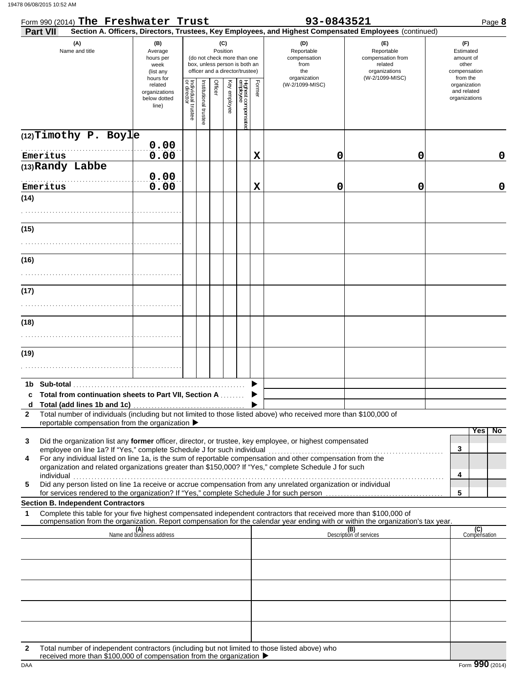|              | Form 990 (2014) The Freshwater Trust                  |                                                                        |                                   |                       |                                                                                                                    |              |                                |        | 93-0843521                                                                                                                                                                                                           |                                                                                       | Page 8                                                             |
|--------------|-------------------------------------------------------|------------------------------------------------------------------------|-----------------------------------|-----------------------|--------------------------------------------------------------------------------------------------------------------|--------------|--------------------------------|--------|----------------------------------------------------------------------------------------------------------------------------------------------------------------------------------------------------------------------|---------------------------------------------------------------------------------------|--------------------------------------------------------------------|
|              | Part VII                                              |                                                                        |                                   |                       |                                                                                                                    |              |                                |        | Section A. Officers, Directors, Trustees, Key Employees, and Highest Compensated Employees (continued)                                                                                                               |                                                                                       |                                                                    |
|              | (A)<br>Name and title                                 | (B)<br>Average<br>hours per<br>week<br>(list any<br>hours for          |                                   |                       | (C)<br>Position<br>(do not check more than one<br>box, unless person is both an<br>officer and a director/trustee) |              |                                |        | (D)<br>Reportable<br>compensation<br>from<br>the<br>organization                                                                                                                                                     | (E)<br>Reportable<br>compensation from<br>related<br>organizations<br>(W-2/1099-MISC) | (F)<br>Estimated<br>amount of<br>other<br>compensation<br>from the |
|              |                                                       | related<br>organizations<br>below dotted<br>line)                      | Individual trustee<br>or director | Institutional trustee | Officer                                                                                                            | Key employee | Highest compensate<br>employee | Former | (W-2/1099-MISC)                                                                                                                                                                                                      |                                                                                       | organization<br>and related<br>organizations                       |
|              | $(12)$ Timothy P. Boyle                               | 0.00                                                                   |                                   |                       |                                                                                                                    |              |                                |        |                                                                                                                                                                                                                      |                                                                                       |                                                                    |
|              | Emeritus                                              | 0.00                                                                   |                                   |                       |                                                                                                                    |              |                                | X      | 0                                                                                                                                                                                                                    | 0                                                                                     | 0                                                                  |
|              | (13) Randy Labbe                                      |                                                                        |                                   |                       |                                                                                                                    |              |                                |        |                                                                                                                                                                                                                      |                                                                                       |                                                                    |
|              | Emeritus                                              | 0.00<br>0.00                                                           |                                   |                       |                                                                                                                    |              |                                | X      | 0                                                                                                                                                                                                                    | 0                                                                                     | 0                                                                  |
| (14)         |                                                       |                                                                        |                                   |                       |                                                                                                                    |              |                                |        |                                                                                                                                                                                                                      |                                                                                       |                                                                    |
|              |                                                       |                                                                        |                                   |                       |                                                                                                                    |              |                                |        |                                                                                                                                                                                                                      |                                                                                       |                                                                    |
| (15)         |                                                       |                                                                        |                                   |                       |                                                                                                                    |              |                                |        |                                                                                                                                                                                                                      |                                                                                       |                                                                    |
|              |                                                       |                                                                        |                                   |                       |                                                                                                                    |              |                                |        |                                                                                                                                                                                                                      |                                                                                       |                                                                    |
| (16)         |                                                       |                                                                        |                                   |                       |                                                                                                                    |              |                                |        |                                                                                                                                                                                                                      |                                                                                       |                                                                    |
|              |                                                       |                                                                        |                                   |                       |                                                                                                                    |              |                                |        |                                                                                                                                                                                                                      |                                                                                       |                                                                    |
| (17)         |                                                       |                                                                        |                                   |                       |                                                                                                                    |              |                                |        |                                                                                                                                                                                                                      |                                                                                       |                                                                    |
|              |                                                       |                                                                        |                                   |                       |                                                                                                                    |              |                                |        |                                                                                                                                                                                                                      |                                                                                       |                                                                    |
| (18)         |                                                       |                                                                        |                                   |                       |                                                                                                                    |              |                                |        |                                                                                                                                                                                                                      |                                                                                       |                                                                    |
|              |                                                       |                                                                        |                                   |                       |                                                                                                                    |              |                                |        |                                                                                                                                                                                                                      |                                                                                       |                                                                    |
| (19)         |                                                       |                                                                        |                                   |                       |                                                                                                                    |              |                                |        |                                                                                                                                                                                                                      |                                                                                       |                                                                    |
|              |                                                       |                                                                        |                                   |                       |                                                                                                                    |              |                                |        |                                                                                                                                                                                                                      |                                                                                       |                                                                    |
|              | 1b Sub-total                                          |                                                                        |                                   |                       |                                                                                                                    |              |                                |        |                                                                                                                                                                                                                      |                                                                                       |                                                                    |
|              | Total from continuation sheets to Part VII, Section A |                                                                        |                                   |                       |                                                                                                                    |              |                                |        |                                                                                                                                                                                                                      |                                                                                       |                                                                    |
|              |                                                       |                                                                        |                                   |                       |                                                                                                                    |              |                                |        |                                                                                                                                                                                                                      |                                                                                       |                                                                    |
| $\mathbf{2}$ |                                                       | reportable compensation from the organization ▶                        |                                   |                       |                                                                                                                    |              |                                |        | Total number of individuals (including but not limited to those listed above) who received more than \$100,000 of                                                                                                    |                                                                                       |                                                                    |
| 3            |                                                       |                                                                        |                                   |                       |                                                                                                                    |              |                                |        | Did the organization list any former officer, director, or trustee, key employee, or highest compensated                                                                                                             |                                                                                       | Yes<br>No                                                          |
|              |                                                       | employee on line 1a? If "Yes," complete Schedule J for such individual |                                   |                       |                                                                                                                    |              |                                |        |                                                                                                                                                                                                                      |                                                                                       | 3                                                                  |
| 4            |                                                       |                                                                        |                                   |                       |                                                                                                                    |              |                                |        | For any individual listed on line 1a, is the sum of reportable compensation and other compensation from the<br>organization and related organizations greater than \$150,000? If "Yes," complete Schedule J for such |                                                                                       | 4                                                                  |
| 5            |                                                       |                                                                        |                                   |                       |                                                                                                                    |              |                                |        | individual<br>Did any person listed on line 1a receive or accrue compensation from any unrelated organization or individual                                                                                          |                                                                                       |                                                                    |
|              | <b>Section B. Independent Contractors</b>             |                                                                        |                                   |                       |                                                                                                                    |              |                                |        | for services rendered to the organization? If "Yes," complete Schedule J for such person                                                                                                                             |                                                                                       | 5                                                                  |
| 1            |                                                       |                                                                        |                                   |                       |                                                                                                                    |              |                                |        | Complete this table for your five highest compensated independent contractors that received more than \$100,000 of                                                                                                   |                                                                                       |                                                                    |
|              |                                                       | (A)<br>Name and business address                                       |                                   |                       |                                                                                                                    |              |                                |        | compensation from the organization. Report compensation for the calendar year ending with or within the organization's tax year.                                                                                     | (B)<br>Description of services                                                        | (C)<br>Compensation                                                |
|              |                                                       |                                                                        |                                   |                       |                                                                                                                    |              |                                |        |                                                                                                                                                                                                                      |                                                                                       |                                                                    |
|              |                                                       |                                                                        |                                   |                       |                                                                                                                    |              |                                |        |                                                                                                                                                                                                                      |                                                                                       |                                                                    |
|              |                                                       |                                                                        |                                   |                       |                                                                                                                    |              |                                |        |                                                                                                                                                                                                                      |                                                                                       |                                                                    |
|              |                                                       |                                                                        |                                   |                       |                                                                                                                    |              |                                |        |                                                                                                                                                                                                                      |                                                                                       |                                                                    |
|              |                                                       |                                                                        |                                   |                       |                                                                                                                    |              |                                |        |                                                                                                                                                                                                                      |                                                                                       |                                                                    |
|              |                                                       |                                                                        |                                   |                       |                                                                                                                    |              |                                |        |                                                                                                                                                                                                                      |                                                                                       |                                                                    |
|              |                                                       |                                                                        |                                   |                       |                                                                                                                    |              |                                |        |                                                                                                                                                                                                                      |                                                                                       |                                                                    |
| 2            |                                                       |                                                                        |                                   |                       |                                                                                                                    |              |                                |        | Total number of independent contractors (including but not limited to those listed above) who                                                                                                                        |                                                                                       |                                                                    |

DAA Form **990** (2014) received more than \$100,000 of compensation from the organization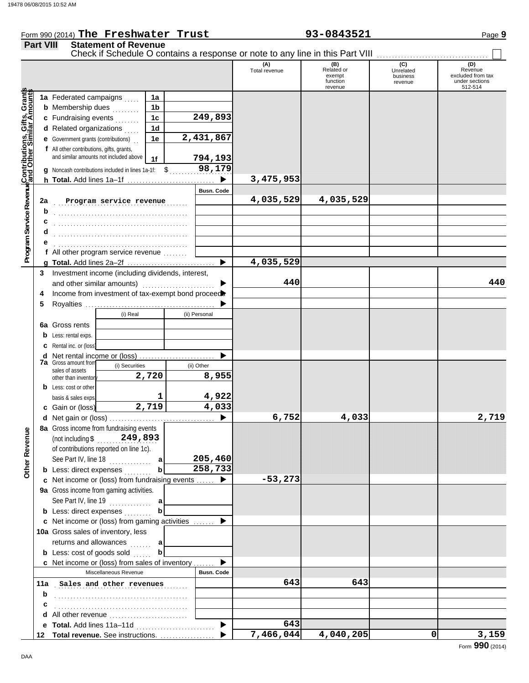### Form 990 (2014) Page **9 The Freshwater Trust 93-0843521 Part VIII Statement of Revenue** Check if Schedule O contains a response or note to any line in this Part VIII. **(A)** (B) (B) (C) (D)<br>Total revenue Related or Unrelated Reven Total revenue Related or Unrelated Revenue excluded from tax exempt business function revenue under sections 512-514 revenue **Contributions, Gifts, Grants and Other Similar Amounts** Grant<br>mounts **1a 1a** Federated campaigns  $\ldots$ **1b b** Membership dues  $\ldots$ Gifts<br>Iar Am **249,893 1c c** Fundraising events <sub>.</sub> . . . . . . **1d d** Related organizations  $\ldots$ **2,431,867** Program Service Revenue and Other Sim **1e e** Government grants (contributions) . . **f** All other contributions, gifts, grants, and similar amounts not included above **794,193 1f** \$ . . . . . . . . . . . . . . . . . . . . . **98,179 g** Noncash contributions included in lines 1a-1f: **3,475,953**  $\blacktriangleright$ **h Total.** Add lines 1a–1f . . . . . . . . . . . . . . . . . . . . . . . . . . . . . **Program Service Revenue Busn. Code** . . . . . . . . . . . . . . . . . . . . . . . . . . . . . . . . . . . . . . . . . . . . **Program service revenue 4,035,529 4,035,529 2a b** . . . . . . . . . . . . . . . . . . . . . . . . . . . . . . . . . . . . . . . . . . . . **c** . . . . . . . . . . . . . . . . . . . . . . . . . . . . . . . . . . . . . . . . . . . . **d** . . . . . . . . . . . . . . . . . . . . . . . . . . . . . . . . . . . . . . . . . . . . **e** . . . . . . . . . . . . . . . . . . . . . . . . . . . . . . . . . . . . . . . . . . . . **f** All other program service revenue . . . . . . . . **4,035,529 g Total.** Add lines 2a–2f . . . . . . . . . . . . . . . . . . . . . . . . . . . . . **3** Investment income (including dividends, interest, and other similar amounts) ..... **440 440**  $\blacktriangleright$ **4** Income from investment of tax-exempt bond proceed **5** Royalties .. ь (i) Real (ii) Personal **6a** Gross rents **b** Less: rental exps. **c** Rental inc. or (loss) ь **d** Net rental income or (loss) .......................... **7a** Gross amount from (i) Securities (ii) Other sales of assets **2,720 8,955** other than inventor **b** Less: cost or other **1 4,922** basis & sales exps. **2,719 4,033 c** Gain or (loss) **6,752 4,033 2,719 d** Net gain or (loss) . . . . . . . . . . . . . . . . . . . . . . . . . . . . . . . . . . . **8a** Gross income from fundraising events **Other Revenue Other Revenue** (not including \$ . . . . . . . . . . . . . . . . . . . . **249,893** of contributions reported on line 1c). See Part IV, line 18 . . . . . . . . . . . . . . . **205,460 a b 258,733 b** Less: direct expenses . . . . . . . . **-53,273 c** Net income or (loss) from fundraising events . . . . . . ▶ **9a** Gross income from gaming activities. See Part IV, line 19<br>
Loop direct expanses **a b** Less: direct expenses <sub>. . . . . . . .</sub> **b** ▶ **c** Net income or (loss) from gaming activities ....... **10a** Gross sales of inventory, less

|     | <b>D</b> Less: direct expenses<br>DI              |                   |           |           |       |
|-----|---------------------------------------------------|-------------------|-----------|-----------|-------|
|     | c Net income or (loss) from gaming activities  ▶  |                   |           |           |       |
|     | <b>10a</b> Gross sales of inventory, less         |                   |           |           |       |
|     | returns and allowances                            |                   |           |           |       |
|     | <b>b</b> Less: cost of goods sold<br>b            |                   |           |           |       |
|     | c Net income or (loss) from sales of inventory  ▶ |                   |           |           |       |
|     | Miscellaneous Revenue                             | <b>Busn, Code</b> |           |           |       |
| 11a | Sales and other revenues                          |                   | 643       | 643       |       |
| b   |                                                   |                   |           |           |       |
| с   |                                                   |                   |           |           |       |
|     | d All other revenue                               |                   |           |           |       |
|     | e Total. Add lines 11a-11d                        |                   | 643       |           |       |
|     | 12 Total revenue. See instructions.               |                   | 7,466,044 | 4,040,205 | 3,159 |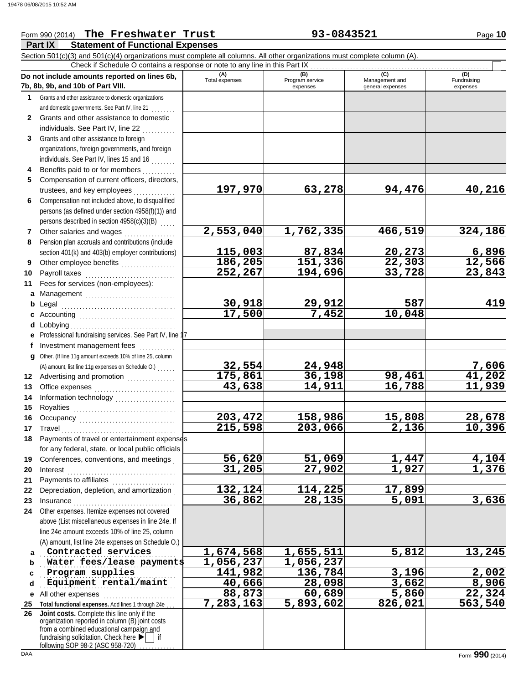### **Part IX Statement of Functional Expenses** Form 990 (2014) The Freshwater Trust **93-0843521** Page 10 Section 501(c)(3) and 501(c)(4) organizations must complete all columns. All other organizations must complete column (A). **Do not include amounts reported on lines 6b, 7b, 8b, 9b, and 10b of Part VIII. 1 2 3 4 5 6 7 8 9 10 11 a** Management .............................. **b** Legal **c** Accounting . . . . . . . . . . . . . . . . . . . . . . . . . . . . . . . . **d** Lobbying . . . . . . . . . . . . . . . . . . . . . . . . . . . . . . . . . . . **e f g** Other. (If line 11g amount exceeds 10% of line 25, column **12** Advertising and promotion . . . . . . . . . . . . . . **13 14 15 16 17 18 19 20 21 22 23 24 a b c d e** All other expenses . . . . . . . . . . . . . . . . . . . . . . . . Grants and other assistance to domestic organizations and domestic governments. See Part IV, line 21 . . . . . . . . Grants and other assistance to domestic individuals. See Part IV, line 22 Grants and other assistance to foreign organizations, foreign governments, and foreign individuals. See Part IV, lines 15 and 16 ........ Benefits paid to or for members ........... Compensation of current officers, directors, trustees, and key employees ........ Compensation not included above, to disqualified persons (as defined under section 4958(f)(1)) and persons described in section 4958(c)(3)(B) Other salaries and wages ................. Pension plan accruals and contributions (include section 401(k) and 403(b) employer contributions) Other employee benefits .................. Payroll taxes . . . . . . . . . . . . . . . . . . . . . . . . . . . . . . Fees for services (non-employees): Legal . . . . . . . . . . . . . . . . . . . . . . . . . . . . . . . . . . . . . . Professional fundraising services. See Part IV, line 17 Investment management fees ............. Office expenses ............................. Information technology . . . . . . . . . . . . . . . . . . . . Royalties . . . . . . . . . . . . . . . . . . . . . . . . . . . . . . . . . . Occupancy . . . . . . . . . . . . . . . . . . . . . . . . . . . . . . . . Travel . . . . . . . . . . . . . . . . . . . . . . . . . . . . . . . . . . . . . . Payments of travel or entertainment expenses for any federal, state, or local public officials Conferences, conventions, and meetings . Interest . . . . . . . . . . . . . . . . . . . . . . . . . . . . . . . . . . . . Payments to affiliates ...................... Depreciation, depletion, and amortization . Insurance . . . . . . . . . . . . . . . . . . . . . . . . . . . . . . . . . . Other expenses. Itemize expenses not covered above (List miscellaneous expenses in line 24e. If line 24e amount exceeds 10% of line 25, column (A) amount, list line 24e expenses on Schedule O.) **(A) (B) (B)** (C) (C) (D)<br>Total expenses Program service Management and Fundrai expenses general expenses (D)<br>Fundraising expenses . . . . . . . . . . . . . . . . . . . . . . . . . . . . . . . . . . . . . . . . . . . . . **Contracted services 1,674,568 1,655,511 5,812 13,245 Water fees/lease payments** 1,056,237 1,056,237 . . . . . . . . . . . . . . . . . . . . . . . . . . . . . . . . . . . . . . . . . . . . . **Program supplies 141,982 136,784 3,196 2,002 Equipment rental/maint 10,666 28,098 3,662 8,906** Check if Schedule O contains a response or note to any line in this Part IX (A) amount, list line 11g expenses on Schedule O.) . . . . . . . **197,970 63,278 94,476 40,216 2,553,040 1,762,335 466,519 324,186 115,003 87,834 20,273 6,896 186,205 151,336 22,303 12,566 252,267 194,696 33,728 23,843 30,918 29,912 587 419 17,500 7,452 10,048 32,554 24,948 7,606 175,861 36,198 98,461 41,202 43,638 14,911 16,788 11,939 203,472 158,986 15,808 28,678 215,598 203,066 2,136 10,396 56,620 51,069 1,447 4,104 31,205** 27,902 **132,124 114,225 17,899 36,862 28,135 5,091 3,636 88,873 60,689 5,860 22,324 7,283,163 5,893,602 826,021 563,540**

**25 Total functional expenses.** Add lines 1 through 24e . . . **26** fundraising solicitation. Check here  $\blacktriangleright$  | if organization reported in column (B) joint costs from a combined educational campaign and following SOP 98-2 (ASC 958-720) **Joint costs.** Complete this line only if the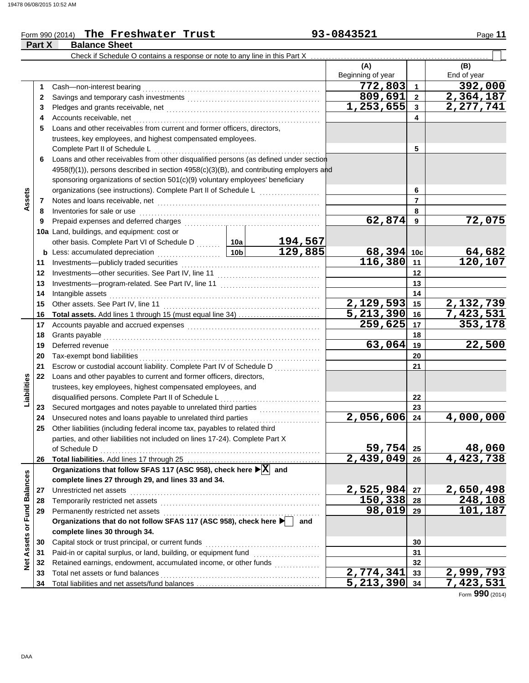### Form 990 (2014) The Freshwater Trust **93-0843521** Page 11 **Part X Balance Sheet (A) (B)** Beginning of year **End of year 1** Cash—non-interest bearing . . . . . . . . . . . . . . . . . . . . . . . . . . . . . . . . . . . . . . . . . . . . . . . . . . . . . . . . . . . **2** Savings and temporary cash investments . . . . . . . . . . . . . . . . . . . . . . . . . . . . . . . . . . . . . . . . . . . . **3** Pledges and grants receivable, net **change in the constant of the system**  $\mathbf{p}$ **4 5 4 3 1,253,655 2,277,741 2 1** Accounts receivable, net . . . . . . . . . . . . . . . . . . . . . . . . . . . . . . . . . . . . . . . . . . . . . . . . . . . . . . . . . . . . . . Loans and other receivables from current and former officers, directors, Check if Schedule O contains a response or note to any line in this Part X **772,803 392,000 809,691 2,364,187**

| Loans and other receivables from current and former officers, directors,<br>5<br>trustees, key employees, and highest compensated employees.<br>Complete Part II of Schedule L<br>5<br>Loans and other receivables from other disqualified persons (as defined under section<br>6<br>$4958(f)(1)$ , persons described in section $4958(c)(3)(B)$ , and contributing employers and<br>sponsoring organizations of section 501(c)(9) voluntary employees' beneficiary<br>organizations (see instructions). Complete Part II of Schedule L<br>6<br>Assets<br><u> 1966 - Johann Stoff, martin Stoff, martin Stoff, martin Stoff, martin Stoff, martin Stoff, martin Stoff, marti</u><br>7<br>7<br>Inventories for sale or use contained and a series of the state of the state of the state of the state of the<br>8<br>8<br>62,874<br>72,075<br>9<br>9<br>10a Land, buildings, and equipment: cost or<br>$\frac{194,567}{129,885}$<br>other basis. Complete Part VI of Schedule D  10a<br>64,682<br>$\frac{10b}{10b}$<br>68,394 10c<br><b>b</b> Less: accumulated depreciation<br>116,380<br>120,107<br>11<br>11<br>12<br>12<br>13<br>13<br>14<br>14<br>2,129,593<br>2,132,739<br>15<br>15<br>5, 213, 390<br>7,423,531<br>Total assets. Add lines 1 through 15 (must equal line 34)<br>16<br>16<br>259,625<br>353,178<br>17<br>17<br>Accounts payable and accrued expenses [[11] [11] Accounts payable and accrued expenses [[11] [11] Accounts are not accredit a contract a metal and accrued a metal and accrued a metal and accrued a metal and accredit a meta<br>18<br>18<br>22,500<br>63,064<br>19<br>19<br>20<br>20<br>Escrow or custodial account liability. Complete Part IV of Schedule D<br>21<br>21<br>22<br>Loans and other payables to current and former officers, directors,<br>Liabilities<br>trustees, key employees, highest compensated employees, and<br>disqualified persons. Complete Part II of Schedule L<br>22<br>23<br>23<br>4,000,000<br>2,056,606<br>24<br>24<br>Other liabilities (including federal income tax, payables to related third<br>25<br>parties, and other liabilities not included on lines 17-24). Complete Part X<br>48,060<br>$59,754$ 25<br>of Schedule D<br>$\overline{2,439,049}$<br>4,423,738<br>26<br>26<br>Organizations that follow SFAS 117 (ASC 958), check here $\blacktriangleright$ $\boxed{\text{X}}$ and<br>alances<br>complete lines 27 through 29, and lines 33 and 34.<br>$2,525,984$ 27<br>2,650,498<br>Unrestricted net assets <b>contained</b> and <b>a</b><br>27<br>150, 338<br>248,108<br>28<br>Net Assets or Fund B<br>28<br>Temporarily restricted net assets<br>$\overline{98,019}$<br>101,187<br>29<br>Permanently restricted net assets<br>29<br>Organizations that do not follow SFAS 117 (ASC 958), check here<br>and<br>complete lines 30 through 34.<br>Capital stock or trust principal, or current funds<br>30<br>30<br>Paid-in or capital surplus, or land, building, or equipment fund<br>31<br>31<br>Retained earnings, endowment, accumulated income, or other funds<br>32<br>32<br>$\overline{2}$ , 774, 341<br>2,999,793<br>Total net assets or fund balances<br>33<br>33<br>5,213,390<br>7,423,531<br>34<br>34<br>$F_{\text{Orm}}$ 990 (2014) | 4 |  |  |  |  | 4 |  |
|-----------------------------------------------------------------------------------------------------------------------------------------------------------------------------------------------------------------------------------------------------------------------------------------------------------------------------------------------------------------------------------------------------------------------------------------------------------------------------------------------------------------------------------------------------------------------------------------------------------------------------------------------------------------------------------------------------------------------------------------------------------------------------------------------------------------------------------------------------------------------------------------------------------------------------------------------------------------------------------------------------------------------------------------------------------------------------------------------------------------------------------------------------------------------------------------------------------------------------------------------------------------------------------------------------------------------------------------------------------------------------------------------------------------------------------------------------------------------------------------------------------------------------------------------------------------------------------------------------------------------------------------------------------------------------------------------------------------------------------------------------------------------------------------------------------------------------------------------------------------------------------------------------------------------------------------------------------------------------------------------------------------------------------------------------------------------------------------------------------------------------------------------------------------------------------------------------------------------------------------------------------------------------------------------------------------------------------------------------------------------------------------------------------------------------------------------------------------------------------------------------------------------------------------------------------------------------------------------------------------------------------------------------------------------------------------------------------------------------------------------------------------------------------------------------------------------------------------------------------------------------------------------------------------------------------------------------------------------------------------------------------------------------------------------------------------------------------------------------------------------------------------------------------------------------------------------------------------------------------|---|--|--|--|--|---|--|
|                                                                                                                                                                                                                                                                                                                                                                                                                                                                                                                                                                                                                                                                                                                                                                                                                                                                                                                                                                                                                                                                                                                                                                                                                                                                                                                                                                                                                                                                                                                                                                                                                                                                                                                                                                                                                                                                                                                                                                                                                                                                                                                                                                                                                                                                                                                                                                                                                                                                                                                                                                                                                                                                                                                                                                                                                                                                                                                                                                                                                                                                                                                                                                                                                                   |   |  |  |  |  |   |  |
|                                                                                                                                                                                                                                                                                                                                                                                                                                                                                                                                                                                                                                                                                                                                                                                                                                                                                                                                                                                                                                                                                                                                                                                                                                                                                                                                                                                                                                                                                                                                                                                                                                                                                                                                                                                                                                                                                                                                                                                                                                                                                                                                                                                                                                                                                                                                                                                                                                                                                                                                                                                                                                                                                                                                                                                                                                                                                                                                                                                                                                                                                                                                                                                                                                   |   |  |  |  |  |   |  |
|                                                                                                                                                                                                                                                                                                                                                                                                                                                                                                                                                                                                                                                                                                                                                                                                                                                                                                                                                                                                                                                                                                                                                                                                                                                                                                                                                                                                                                                                                                                                                                                                                                                                                                                                                                                                                                                                                                                                                                                                                                                                                                                                                                                                                                                                                                                                                                                                                                                                                                                                                                                                                                                                                                                                                                                                                                                                                                                                                                                                                                                                                                                                                                                                                                   |   |  |  |  |  |   |  |
|                                                                                                                                                                                                                                                                                                                                                                                                                                                                                                                                                                                                                                                                                                                                                                                                                                                                                                                                                                                                                                                                                                                                                                                                                                                                                                                                                                                                                                                                                                                                                                                                                                                                                                                                                                                                                                                                                                                                                                                                                                                                                                                                                                                                                                                                                                                                                                                                                                                                                                                                                                                                                                                                                                                                                                                                                                                                                                                                                                                                                                                                                                                                                                                                                                   |   |  |  |  |  |   |  |
|                                                                                                                                                                                                                                                                                                                                                                                                                                                                                                                                                                                                                                                                                                                                                                                                                                                                                                                                                                                                                                                                                                                                                                                                                                                                                                                                                                                                                                                                                                                                                                                                                                                                                                                                                                                                                                                                                                                                                                                                                                                                                                                                                                                                                                                                                                                                                                                                                                                                                                                                                                                                                                                                                                                                                                                                                                                                                                                                                                                                                                                                                                                                                                                                                                   |   |  |  |  |  |   |  |
|                                                                                                                                                                                                                                                                                                                                                                                                                                                                                                                                                                                                                                                                                                                                                                                                                                                                                                                                                                                                                                                                                                                                                                                                                                                                                                                                                                                                                                                                                                                                                                                                                                                                                                                                                                                                                                                                                                                                                                                                                                                                                                                                                                                                                                                                                                                                                                                                                                                                                                                                                                                                                                                                                                                                                                                                                                                                                                                                                                                                                                                                                                                                                                                                                                   |   |  |  |  |  |   |  |
|                                                                                                                                                                                                                                                                                                                                                                                                                                                                                                                                                                                                                                                                                                                                                                                                                                                                                                                                                                                                                                                                                                                                                                                                                                                                                                                                                                                                                                                                                                                                                                                                                                                                                                                                                                                                                                                                                                                                                                                                                                                                                                                                                                                                                                                                                                                                                                                                                                                                                                                                                                                                                                                                                                                                                                                                                                                                                                                                                                                                                                                                                                                                                                                                                                   |   |  |  |  |  |   |  |
|                                                                                                                                                                                                                                                                                                                                                                                                                                                                                                                                                                                                                                                                                                                                                                                                                                                                                                                                                                                                                                                                                                                                                                                                                                                                                                                                                                                                                                                                                                                                                                                                                                                                                                                                                                                                                                                                                                                                                                                                                                                                                                                                                                                                                                                                                                                                                                                                                                                                                                                                                                                                                                                                                                                                                                                                                                                                                                                                                                                                                                                                                                                                                                                                                                   |   |  |  |  |  |   |  |
|                                                                                                                                                                                                                                                                                                                                                                                                                                                                                                                                                                                                                                                                                                                                                                                                                                                                                                                                                                                                                                                                                                                                                                                                                                                                                                                                                                                                                                                                                                                                                                                                                                                                                                                                                                                                                                                                                                                                                                                                                                                                                                                                                                                                                                                                                                                                                                                                                                                                                                                                                                                                                                                                                                                                                                                                                                                                                                                                                                                                                                                                                                                                                                                                                                   |   |  |  |  |  |   |  |
|                                                                                                                                                                                                                                                                                                                                                                                                                                                                                                                                                                                                                                                                                                                                                                                                                                                                                                                                                                                                                                                                                                                                                                                                                                                                                                                                                                                                                                                                                                                                                                                                                                                                                                                                                                                                                                                                                                                                                                                                                                                                                                                                                                                                                                                                                                                                                                                                                                                                                                                                                                                                                                                                                                                                                                                                                                                                                                                                                                                                                                                                                                                                                                                                                                   |   |  |  |  |  |   |  |
|                                                                                                                                                                                                                                                                                                                                                                                                                                                                                                                                                                                                                                                                                                                                                                                                                                                                                                                                                                                                                                                                                                                                                                                                                                                                                                                                                                                                                                                                                                                                                                                                                                                                                                                                                                                                                                                                                                                                                                                                                                                                                                                                                                                                                                                                                                                                                                                                                                                                                                                                                                                                                                                                                                                                                                                                                                                                                                                                                                                                                                                                                                                                                                                                                                   |   |  |  |  |  |   |  |
|                                                                                                                                                                                                                                                                                                                                                                                                                                                                                                                                                                                                                                                                                                                                                                                                                                                                                                                                                                                                                                                                                                                                                                                                                                                                                                                                                                                                                                                                                                                                                                                                                                                                                                                                                                                                                                                                                                                                                                                                                                                                                                                                                                                                                                                                                                                                                                                                                                                                                                                                                                                                                                                                                                                                                                                                                                                                                                                                                                                                                                                                                                                                                                                                                                   |   |  |  |  |  |   |  |
|                                                                                                                                                                                                                                                                                                                                                                                                                                                                                                                                                                                                                                                                                                                                                                                                                                                                                                                                                                                                                                                                                                                                                                                                                                                                                                                                                                                                                                                                                                                                                                                                                                                                                                                                                                                                                                                                                                                                                                                                                                                                                                                                                                                                                                                                                                                                                                                                                                                                                                                                                                                                                                                                                                                                                                                                                                                                                                                                                                                                                                                                                                                                                                                                                                   |   |  |  |  |  |   |  |
|                                                                                                                                                                                                                                                                                                                                                                                                                                                                                                                                                                                                                                                                                                                                                                                                                                                                                                                                                                                                                                                                                                                                                                                                                                                                                                                                                                                                                                                                                                                                                                                                                                                                                                                                                                                                                                                                                                                                                                                                                                                                                                                                                                                                                                                                                                                                                                                                                                                                                                                                                                                                                                                                                                                                                                                                                                                                                                                                                                                                                                                                                                                                                                                                                                   |   |  |  |  |  |   |  |
|                                                                                                                                                                                                                                                                                                                                                                                                                                                                                                                                                                                                                                                                                                                                                                                                                                                                                                                                                                                                                                                                                                                                                                                                                                                                                                                                                                                                                                                                                                                                                                                                                                                                                                                                                                                                                                                                                                                                                                                                                                                                                                                                                                                                                                                                                                                                                                                                                                                                                                                                                                                                                                                                                                                                                                                                                                                                                                                                                                                                                                                                                                                                                                                                                                   |   |  |  |  |  |   |  |
|                                                                                                                                                                                                                                                                                                                                                                                                                                                                                                                                                                                                                                                                                                                                                                                                                                                                                                                                                                                                                                                                                                                                                                                                                                                                                                                                                                                                                                                                                                                                                                                                                                                                                                                                                                                                                                                                                                                                                                                                                                                                                                                                                                                                                                                                                                                                                                                                                                                                                                                                                                                                                                                                                                                                                                                                                                                                                                                                                                                                                                                                                                                                                                                                                                   |   |  |  |  |  |   |  |
|                                                                                                                                                                                                                                                                                                                                                                                                                                                                                                                                                                                                                                                                                                                                                                                                                                                                                                                                                                                                                                                                                                                                                                                                                                                                                                                                                                                                                                                                                                                                                                                                                                                                                                                                                                                                                                                                                                                                                                                                                                                                                                                                                                                                                                                                                                                                                                                                                                                                                                                                                                                                                                                                                                                                                                                                                                                                                                                                                                                                                                                                                                                                                                                                                                   |   |  |  |  |  |   |  |
|                                                                                                                                                                                                                                                                                                                                                                                                                                                                                                                                                                                                                                                                                                                                                                                                                                                                                                                                                                                                                                                                                                                                                                                                                                                                                                                                                                                                                                                                                                                                                                                                                                                                                                                                                                                                                                                                                                                                                                                                                                                                                                                                                                                                                                                                                                                                                                                                                                                                                                                                                                                                                                                                                                                                                                                                                                                                                                                                                                                                                                                                                                                                                                                                                                   |   |  |  |  |  |   |  |
|                                                                                                                                                                                                                                                                                                                                                                                                                                                                                                                                                                                                                                                                                                                                                                                                                                                                                                                                                                                                                                                                                                                                                                                                                                                                                                                                                                                                                                                                                                                                                                                                                                                                                                                                                                                                                                                                                                                                                                                                                                                                                                                                                                                                                                                                                                                                                                                                                                                                                                                                                                                                                                                                                                                                                                                                                                                                                                                                                                                                                                                                                                                                                                                                                                   |   |  |  |  |  |   |  |
|                                                                                                                                                                                                                                                                                                                                                                                                                                                                                                                                                                                                                                                                                                                                                                                                                                                                                                                                                                                                                                                                                                                                                                                                                                                                                                                                                                                                                                                                                                                                                                                                                                                                                                                                                                                                                                                                                                                                                                                                                                                                                                                                                                                                                                                                                                                                                                                                                                                                                                                                                                                                                                                                                                                                                                                                                                                                                                                                                                                                                                                                                                                                                                                                                                   |   |  |  |  |  |   |  |
|                                                                                                                                                                                                                                                                                                                                                                                                                                                                                                                                                                                                                                                                                                                                                                                                                                                                                                                                                                                                                                                                                                                                                                                                                                                                                                                                                                                                                                                                                                                                                                                                                                                                                                                                                                                                                                                                                                                                                                                                                                                                                                                                                                                                                                                                                                                                                                                                                                                                                                                                                                                                                                                                                                                                                                                                                                                                                                                                                                                                                                                                                                                                                                                                                                   |   |  |  |  |  |   |  |
|                                                                                                                                                                                                                                                                                                                                                                                                                                                                                                                                                                                                                                                                                                                                                                                                                                                                                                                                                                                                                                                                                                                                                                                                                                                                                                                                                                                                                                                                                                                                                                                                                                                                                                                                                                                                                                                                                                                                                                                                                                                                                                                                                                                                                                                                                                                                                                                                                                                                                                                                                                                                                                                                                                                                                                                                                                                                                                                                                                                                                                                                                                                                                                                                                                   |   |  |  |  |  |   |  |
|                                                                                                                                                                                                                                                                                                                                                                                                                                                                                                                                                                                                                                                                                                                                                                                                                                                                                                                                                                                                                                                                                                                                                                                                                                                                                                                                                                                                                                                                                                                                                                                                                                                                                                                                                                                                                                                                                                                                                                                                                                                                                                                                                                                                                                                                                                                                                                                                                                                                                                                                                                                                                                                                                                                                                                                                                                                                                                                                                                                                                                                                                                                                                                                                                                   |   |  |  |  |  |   |  |
|                                                                                                                                                                                                                                                                                                                                                                                                                                                                                                                                                                                                                                                                                                                                                                                                                                                                                                                                                                                                                                                                                                                                                                                                                                                                                                                                                                                                                                                                                                                                                                                                                                                                                                                                                                                                                                                                                                                                                                                                                                                                                                                                                                                                                                                                                                                                                                                                                                                                                                                                                                                                                                                                                                                                                                                                                                                                                                                                                                                                                                                                                                                                                                                                                                   |   |  |  |  |  |   |  |
|                                                                                                                                                                                                                                                                                                                                                                                                                                                                                                                                                                                                                                                                                                                                                                                                                                                                                                                                                                                                                                                                                                                                                                                                                                                                                                                                                                                                                                                                                                                                                                                                                                                                                                                                                                                                                                                                                                                                                                                                                                                                                                                                                                                                                                                                                                                                                                                                                                                                                                                                                                                                                                                                                                                                                                                                                                                                                                                                                                                                                                                                                                                                                                                                                                   |   |  |  |  |  |   |  |
|                                                                                                                                                                                                                                                                                                                                                                                                                                                                                                                                                                                                                                                                                                                                                                                                                                                                                                                                                                                                                                                                                                                                                                                                                                                                                                                                                                                                                                                                                                                                                                                                                                                                                                                                                                                                                                                                                                                                                                                                                                                                                                                                                                                                                                                                                                                                                                                                                                                                                                                                                                                                                                                                                                                                                                                                                                                                                                                                                                                                                                                                                                                                                                                                                                   |   |  |  |  |  |   |  |
|                                                                                                                                                                                                                                                                                                                                                                                                                                                                                                                                                                                                                                                                                                                                                                                                                                                                                                                                                                                                                                                                                                                                                                                                                                                                                                                                                                                                                                                                                                                                                                                                                                                                                                                                                                                                                                                                                                                                                                                                                                                                                                                                                                                                                                                                                                                                                                                                                                                                                                                                                                                                                                                                                                                                                                                                                                                                                                                                                                                                                                                                                                                                                                                                                                   |   |  |  |  |  |   |  |
|                                                                                                                                                                                                                                                                                                                                                                                                                                                                                                                                                                                                                                                                                                                                                                                                                                                                                                                                                                                                                                                                                                                                                                                                                                                                                                                                                                                                                                                                                                                                                                                                                                                                                                                                                                                                                                                                                                                                                                                                                                                                                                                                                                                                                                                                                                                                                                                                                                                                                                                                                                                                                                                                                                                                                                                                                                                                                                                                                                                                                                                                                                                                                                                                                                   |   |  |  |  |  |   |  |
|                                                                                                                                                                                                                                                                                                                                                                                                                                                                                                                                                                                                                                                                                                                                                                                                                                                                                                                                                                                                                                                                                                                                                                                                                                                                                                                                                                                                                                                                                                                                                                                                                                                                                                                                                                                                                                                                                                                                                                                                                                                                                                                                                                                                                                                                                                                                                                                                                                                                                                                                                                                                                                                                                                                                                                                                                                                                                                                                                                                                                                                                                                                                                                                                                                   |   |  |  |  |  |   |  |
|                                                                                                                                                                                                                                                                                                                                                                                                                                                                                                                                                                                                                                                                                                                                                                                                                                                                                                                                                                                                                                                                                                                                                                                                                                                                                                                                                                                                                                                                                                                                                                                                                                                                                                                                                                                                                                                                                                                                                                                                                                                                                                                                                                                                                                                                                                                                                                                                                                                                                                                                                                                                                                                                                                                                                                                                                                                                                                                                                                                                                                                                                                                                                                                                                                   |   |  |  |  |  |   |  |
|                                                                                                                                                                                                                                                                                                                                                                                                                                                                                                                                                                                                                                                                                                                                                                                                                                                                                                                                                                                                                                                                                                                                                                                                                                                                                                                                                                                                                                                                                                                                                                                                                                                                                                                                                                                                                                                                                                                                                                                                                                                                                                                                                                                                                                                                                                                                                                                                                                                                                                                                                                                                                                                                                                                                                                                                                                                                                                                                                                                                                                                                                                                                                                                                                                   |   |  |  |  |  |   |  |
|                                                                                                                                                                                                                                                                                                                                                                                                                                                                                                                                                                                                                                                                                                                                                                                                                                                                                                                                                                                                                                                                                                                                                                                                                                                                                                                                                                                                                                                                                                                                                                                                                                                                                                                                                                                                                                                                                                                                                                                                                                                                                                                                                                                                                                                                                                                                                                                                                                                                                                                                                                                                                                                                                                                                                                                                                                                                                                                                                                                                                                                                                                                                                                                                                                   |   |  |  |  |  |   |  |
|                                                                                                                                                                                                                                                                                                                                                                                                                                                                                                                                                                                                                                                                                                                                                                                                                                                                                                                                                                                                                                                                                                                                                                                                                                                                                                                                                                                                                                                                                                                                                                                                                                                                                                                                                                                                                                                                                                                                                                                                                                                                                                                                                                                                                                                                                                                                                                                                                                                                                                                                                                                                                                                                                                                                                                                                                                                                                                                                                                                                                                                                                                                                                                                                                                   |   |  |  |  |  |   |  |
|                                                                                                                                                                                                                                                                                                                                                                                                                                                                                                                                                                                                                                                                                                                                                                                                                                                                                                                                                                                                                                                                                                                                                                                                                                                                                                                                                                                                                                                                                                                                                                                                                                                                                                                                                                                                                                                                                                                                                                                                                                                                                                                                                                                                                                                                                                                                                                                                                                                                                                                                                                                                                                                                                                                                                                                                                                                                                                                                                                                                                                                                                                                                                                                                                                   |   |  |  |  |  |   |  |
|                                                                                                                                                                                                                                                                                                                                                                                                                                                                                                                                                                                                                                                                                                                                                                                                                                                                                                                                                                                                                                                                                                                                                                                                                                                                                                                                                                                                                                                                                                                                                                                                                                                                                                                                                                                                                                                                                                                                                                                                                                                                                                                                                                                                                                                                                                                                                                                                                                                                                                                                                                                                                                                                                                                                                                                                                                                                                                                                                                                                                                                                                                                                                                                                                                   |   |  |  |  |  |   |  |
|                                                                                                                                                                                                                                                                                                                                                                                                                                                                                                                                                                                                                                                                                                                                                                                                                                                                                                                                                                                                                                                                                                                                                                                                                                                                                                                                                                                                                                                                                                                                                                                                                                                                                                                                                                                                                                                                                                                                                                                                                                                                                                                                                                                                                                                                                                                                                                                                                                                                                                                                                                                                                                                                                                                                                                                                                                                                                                                                                                                                                                                                                                                                                                                                                                   |   |  |  |  |  |   |  |
|                                                                                                                                                                                                                                                                                                                                                                                                                                                                                                                                                                                                                                                                                                                                                                                                                                                                                                                                                                                                                                                                                                                                                                                                                                                                                                                                                                                                                                                                                                                                                                                                                                                                                                                                                                                                                                                                                                                                                                                                                                                                                                                                                                                                                                                                                                                                                                                                                                                                                                                                                                                                                                                                                                                                                                                                                                                                                                                                                                                                                                                                                                                                                                                                                                   |   |  |  |  |  |   |  |
|                                                                                                                                                                                                                                                                                                                                                                                                                                                                                                                                                                                                                                                                                                                                                                                                                                                                                                                                                                                                                                                                                                                                                                                                                                                                                                                                                                                                                                                                                                                                                                                                                                                                                                                                                                                                                                                                                                                                                                                                                                                                                                                                                                                                                                                                                                                                                                                                                                                                                                                                                                                                                                                                                                                                                                                                                                                                                                                                                                                                                                                                                                                                                                                                                                   |   |  |  |  |  |   |  |
|                                                                                                                                                                                                                                                                                                                                                                                                                                                                                                                                                                                                                                                                                                                                                                                                                                                                                                                                                                                                                                                                                                                                                                                                                                                                                                                                                                                                                                                                                                                                                                                                                                                                                                                                                                                                                                                                                                                                                                                                                                                                                                                                                                                                                                                                                                                                                                                                                                                                                                                                                                                                                                                                                                                                                                                                                                                                                                                                                                                                                                                                                                                                                                                                                                   |   |  |  |  |  |   |  |
|                                                                                                                                                                                                                                                                                                                                                                                                                                                                                                                                                                                                                                                                                                                                                                                                                                                                                                                                                                                                                                                                                                                                                                                                                                                                                                                                                                                                                                                                                                                                                                                                                                                                                                                                                                                                                                                                                                                                                                                                                                                                                                                                                                                                                                                                                                                                                                                                                                                                                                                                                                                                                                                                                                                                                                                                                                                                                                                                                                                                                                                                                                                                                                                                                                   |   |  |  |  |  |   |  |
|                                                                                                                                                                                                                                                                                                                                                                                                                                                                                                                                                                                                                                                                                                                                                                                                                                                                                                                                                                                                                                                                                                                                                                                                                                                                                                                                                                                                                                                                                                                                                                                                                                                                                                                                                                                                                                                                                                                                                                                                                                                                                                                                                                                                                                                                                                                                                                                                                                                                                                                                                                                                                                                                                                                                                                                                                                                                                                                                                                                                                                                                                                                                                                                                                                   |   |  |  |  |  |   |  |
|                                                                                                                                                                                                                                                                                                                                                                                                                                                                                                                                                                                                                                                                                                                                                                                                                                                                                                                                                                                                                                                                                                                                                                                                                                                                                                                                                                                                                                                                                                                                                                                                                                                                                                                                                                                                                                                                                                                                                                                                                                                                                                                                                                                                                                                                                                                                                                                                                                                                                                                                                                                                                                                                                                                                                                                                                                                                                                                                                                                                                                                                                                                                                                                                                                   |   |  |  |  |  |   |  |
|                                                                                                                                                                                                                                                                                                                                                                                                                                                                                                                                                                                                                                                                                                                                                                                                                                                                                                                                                                                                                                                                                                                                                                                                                                                                                                                                                                                                                                                                                                                                                                                                                                                                                                                                                                                                                                                                                                                                                                                                                                                                                                                                                                                                                                                                                                                                                                                                                                                                                                                                                                                                                                                                                                                                                                                                                                                                                                                                                                                                                                                                                                                                                                                                                                   |   |  |  |  |  |   |  |
|                                                                                                                                                                                                                                                                                                                                                                                                                                                                                                                                                                                                                                                                                                                                                                                                                                                                                                                                                                                                                                                                                                                                                                                                                                                                                                                                                                                                                                                                                                                                                                                                                                                                                                                                                                                                                                                                                                                                                                                                                                                                                                                                                                                                                                                                                                                                                                                                                                                                                                                                                                                                                                                                                                                                                                                                                                                                                                                                                                                                                                                                                                                                                                                                                                   |   |  |  |  |  |   |  |
|                                                                                                                                                                                                                                                                                                                                                                                                                                                                                                                                                                                                                                                                                                                                                                                                                                                                                                                                                                                                                                                                                                                                                                                                                                                                                                                                                                                                                                                                                                                                                                                                                                                                                                                                                                                                                                                                                                                                                                                                                                                                                                                                                                                                                                                                                                                                                                                                                                                                                                                                                                                                                                                                                                                                                                                                                                                                                                                                                                                                                                                                                                                                                                                                                                   |   |  |  |  |  |   |  |
|                                                                                                                                                                                                                                                                                                                                                                                                                                                                                                                                                                                                                                                                                                                                                                                                                                                                                                                                                                                                                                                                                                                                                                                                                                                                                                                                                                                                                                                                                                                                                                                                                                                                                                                                                                                                                                                                                                                                                                                                                                                                                                                                                                                                                                                                                                                                                                                                                                                                                                                                                                                                                                                                                                                                                                                                                                                                                                                                                                                                                                                                                                                                                                                                                                   |   |  |  |  |  |   |  |
|                                                                                                                                                                                                                                                                                                                                                                                                                                                                                                                                                                                                                                                                                                                                                                                                                                                                                                                                                                                                                                                                                                                                                                                                                                                                                                                                                                                                                                                                                                                                                                                                                                                                                                                                                                                                                                                                                                                                                                                                                                                                                                                                                                                                                                                                                                                                                                                                                                                                                                                                                                                                                                                                                                                                                                                                                                                                                                                                                                                                                                                                                                                                                                                                                                   |   |  |  |  |  |   |  |

Form **990** (2014)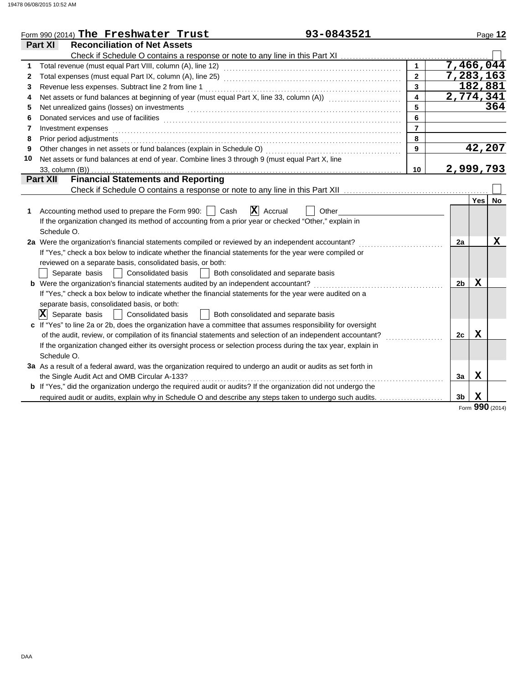| Part XI<br>Check if Schedule O contains a response or note to any line in this Part XI<br>7,466,044<br>7,283,163<br>$\overline{2}$<br>2<br>182,881<br>Revenue less expenses. Subtract line 2 from line 1<br>3<br>2,774,341<br>Net assets or fund balances at beginning of year (must equal Part X, line 33, column (A)) [[[[[[[[[[[[[[[[[[[<br>$\overline{\mathbf{4}}$<br>4<br>5<br>5<br>6<br>6<br>$\overline{7}$<br>Investment expenses<br>7<br>Prior period adjustments<br>8<br>8<br>42,207<br>Other changes in net assets or fund balances (explain in Schedule O)<br>9<br>9<br>Net assets or fund balances at end of year. Combine lines 3 through 9 (must equal Part X, line<br>10<br>2,999,793<br>33, column (B))<br>10<br><b>Financial Statements and Reporting</b><br>Part XII<br>Yes<br>$\mathbf{X}$ Accrual<br>Accounting method used to prepare the Form 990:  <br>Cash<br>Other<br>1<br>If the organization changed its method of accounting from a prior year or checked "Other," explain in<br>Schedule O.<br>2a Were the organization's financial statements compiled or reviewed by an independent accountant?<br>2a<br>If "Yes," check a box below to indicate whether the financial statements for the year were compiled or<br>reviewed on a separate basis, consolidated basis, or both:<br>Separate basis<br><b>Consolidated basis</b><br>Both consolidated and separate basis<br>$\mathcal{L}$<br><b>b</b> Were the organization's financial statements audited by an independent accountant?<br>x<br>2 <sub>b</sub><br>If "Yes," check a box below to indicate whether the financial statements for the year were audited on a<br>separate basis, consolidated basis, or both:<br>$ \mathbf{X} $ Separate basis<br>Consolidated basis<br>  Both consolidated and separate basis<br>c If "Yes" to line 2a or 2b, does the organization have a committee that assumes responsibility for oversight<br>X<br>of the audit, review, or compilation of its financial statements and selection of an independent accountant?<br>2c<br>If the organization changed either its oversight process or selection process during the tax year, explain in | 93-0843521<br>Form 990 (2014) The Freshwater Trust |  | Page 12     |
|---------------------------------------------------------------------------------------------------------------------------------------------------------------------------------------------------------------------------------------------------------------------------------------------------------------------------------------------------------------------------------------------------------------------------------------------------------------------------------------------------------------------------------------------------------------------------------------------------------------------------------------------------------------------------------------------------------------------------------------------------------------------------------------------------------------------------------------------------------------------------------------------------------------------------------------------------------------------------------------------------------------------------------------------------------------------------------------------------------------------------------------------------------------------------------------------------------------------------------------------------------------------------------------------------------------------------------------------------------------------------------------------------------------------------------------------------------------------------------------------------------------------------------------------------------------------------------------------------------------------------------------------------------------------------------------------------------------------------------------------------------------------------------------------------------------------------------------------------------------------------------------------------------------------------------------------------------------------------------------------------------------------------------------------------------------------------------------------------------------------------------------------------------------------|----------------------------------------------------|--|-------------|
|                                                                                                                                                                                                                                                                                                                                                                                                                                                                                                                                                                                                                                                                                                                                                                                                                                                                                                                                                                                                                                                                                                                                                                                                                                                                                                                                                                                                                                                                                                                                                                                                                                                                                                                                                                                                                                                                                                                                                                                                                                                                                                                                                                     | <b>Reconciliation of Net Assets</b>                |  |             |
|                                                                                                                                                                                                                                                                                                                                                                                                                                                                                                                                                                                                                                                                                                                                                                                                                                                                                                                                                                                                                                                                                                                                                                                                                                                                                                                                                                                                                                                                                                                                                                                                                                                                                                                                                                                                                                                                                                                                                                                                                                                                                                                                                                     |                                                    |  |             |
|                                                                                                                                                                                                                                                                                                                                                                                                                                                                                                                                                                                                                                                                                                                                                                                                                                                                                                                                                                                                                                                                                                                                                                                                                                                                                                                                                                                                                                                                                                                                                                                                                                                                                                                                                                                                                                                                                                                                                                                                                                                                                                                                                                     |                                                    |  |             |
|                                                                                                                                                                                                                                                                                                                                                                                                                                                                                                                                                                                                                                                                                                                                                                                                                                                                                                                                                                                                                                                                                                                                                                                                                                                                                                                                                                                                                                                                                                                                                                                                                                                                                                                                                                                                                                                                                                                                                                                                                                                                                                                                                                     |                                                    |  |             |
|                                                                                                                                                                                                                                                                                                                                                                                                                                                                                                                                                                                                                                                                                                                                                                                                                                                                                                                                                                                                                                                                                                                                                                                                                                                                                                                                                                                                                                                                                                                                                                                                                                                                                                                                                                                                                                                                                                                                                                                                                                                                                                                                                                     |                                                    |  |             |
|                                                                                                                                                                                                                                                                                                                                                                                                                                                                                                                                                                                                                                                                                                                                                                                                                                                                                                                                                                                                                                                                                                                                                                                                                                                                                                                                                                                                                                                                                                                                                                                                                                                                                                                                                                                                                                                                                                                                                                                                                                                                                                                                                                     |                                                    |  |             |
|                                                                                                                                                                                                                                                                                                                                                                                                                                                                                                                                                                                                                                                                                                                                                                                                                                                                                                                                                                                                                                                                                                                                                                                                                                                                                                                                                                                                                                                                                                                                                                                                                                                                                                                                                                                                                                                                                                                                                                                                                                                                                                                                                                     |                                                    |  | 364         |
|                                                                                                                                                                                                                                                                                                                                                                                                                                                                                                                                                                                                                                                                                                                                                                                                                                                                                                                                                                                                                                                                                                                                                                                                                                                                                                                                                                                                                                                                                                                                                                                                                                                                                                                                                                                                                                                                                                                                                                                                                                                                                                                                                                     |                                                    |  |             |
|                                                                                                                                                                                                                                                                                                                                                                                                                                                                                                                                                                                                                                                                                                                                                                                                                                                                                                                                                                                                                                                                                                                                                                                                                                                                                                                                                                                                                                                                                                                                                                                                                                                                                                                                                                                                                                                                                                                                                                                                                                                                                                                                                                     |                                                    |  |             |
|                                                                                                                                                                                                                                                                                                                                                                                                                                                                                                                                                                                                                                                                                                                                                                                                                                                                                                                                                                                                                                                                                                                                                                                                                                                                                                                                                                                                                                                                                                                                                                                                                                                                                                                                                                                                                                                                                                                                                                                                                                                                                                                                                                     |                                                    |  |             |
|                                                                                                                                                                                                                                                                                                                                                                                                                                                                                                                                                                                                                                                                                                                                                                                                                                                                                                                                                                                                                                                                                                                                                                                                                                                                                                                                                                                                                                                                                                                                                                                                                                                                                                                                                                                                                                                                                                                                                                                                                                                                                                                                                                     |                                                    |  |             |
|                                                                                                                                                                                                                                                                                                                                                                                                                                                                                                                                                                                                                                                                                                                                                                                                                                                                                                                                                                                                                                                                                                                                                                                                                                                                                                                                                                                                                                                                                                                                                                                                                                                                                                                                                                                                                                                                                                                                                                                                                                                                                                                                                                     |                                                    |  |             |
|                                                                                                                                                                                                                                                                                                                                                                                                                                                                                                                                                                                                                                                                                                                                                                                                                                                                                                                                                                                                                                                                                                                                                                                                                                                                                                                                                                                                                                                                                                                                                                                                                                                                                                                                                                                                                                                                                                                                                                                                                                                                                                                                                                     |                                                    |  |             |
|                                                                                                                                                                                                                                                                                                                                                                                                                                                                                                                                                                                                                                                                                                                                                                                                                                                                                                                                                                                                                                                                                                                                                                                                                                                                                                                                                                                                                                                                                                                                                                                                                                                                                                                                                                                                                                                                                                                                                                                                                                                                                                                                                                     |                                                    |  |             |
|                                                                                                                                                                                                                                                                                                                                                                                                                                                                                                                                                                                                                                                                                                                                                                                                                                                                                                                                                                                                                                                                                                                                                                                                                                                                                                                                                                                                                                                                                                                                                                                                                                                                                                                                                                                                                                                                                                                                                                                                                                                                                                                                                                     |                                                    |  |             |
|                                                                                                                                                                                                                                                                                                                                                                                                                                                                                                                                                                                                                                                                                                                                                                                                                                                                                                                                                                                                                                                                                                                                                                                                                                                                                                                                                                                                                                                                                                                                                                                                                                                                                                                                                                                                                                                                                                                                                                                                                                                                                                                                                                     |                                                    |  | <b>No</b>   |
|                                                                                                                                                                                                                                                                                                                                                                                                                                                                                                                                                                                                                                                                                                                                                                                                                                                                                                                                                                                                                                                                                                                                                                                                                                                                                                                                                                                                                                                                                                                                                                                                                                                                                                                                                                                                                                                                                                                                                                                                                                                                                                                                                                     |                                                    |  |             |
|                                                                                                                                                                                                                                                                                                                                                                                                                                                                                                                                                                                                                                                                                                                                                                                                                                                                                                                                                                                                                                                                                                                                                                                                                                                                                                                                                                                                                                                                                                                                                                                                                                                                                                                                                                                                                                                                                                                                                                                                                                                                                                                                                                     |                                                    |  |             |
|                                                                                                                                                                                                                                                                                                                                                                                                                                                                                                                                                                                                                                                                                                                                                                                                                                                                                                                                                                                                                                                                                                                                                                                                                                                                                                                                                                                                                                                                                                                                                                                                                                                                                                                                                                                                                                                                                                                                                                                                                                                                                                                                                                     |                                                    |  |             |
|                                                                                                                                                                                                                                                                                                                                                                                                                                                                                                                                                                                                                                                                                                                                                                                                                                                                                                                                                                                                                                                                                                                                                                                                                                                                                                                                                                                                                                                                                                                                                                                                                                                                                                                                                                                                                                                                                                                                                                                                                                                                                                                                                                     |                                                    |  | $\mathbf X$ |
|                                                                                                                                                                                                                                                                                                                                                                                                                                                                                                                                                                                                                                                                                                                                                                                                                                                                                                                                                                                                                                                                                                                                                                                                                                                                                                                                                                                                                                                                                                                                                                                                                                                                                                                                                                                                                                                                                                                                                                                                                                                                                                                                                                     |                                                    |  |             |
|                                                                                                                                                                                                                                                                                                                                                                                                                                                                                                                                                                                                                                                                                                                                                                                                                                                                                                                                                                                                                                                                                                                                                                                                                                                                                                                                                                                                                                                                                                                                                                                                                                                                                                                                                                                                                                                                                                                                                                                                                                                                                                                                                                     |                                                    |  |             |
|                                                                                                                                                                                                                                                                                                                                                                                                                                                                                                                                                                                                                                                                                                                                                                                                                                                                                                                                                                                                                                                                                                                                                                                                                                                                                                                                                                                                                                                                                                                                                                                                                                                                                                                                                                                                                                                                                                                                                                                                                                                                                                                                                                     |                                                    |  |             |
|                                                                                                                                                                                                                                                                                                                                                                                                                                                                                                                                                                                                                                                                                                                                                                                                                                                                                                                                                                                                                                                                                                                                                                                                                                                                                                                                                                                                                                                                                                                                                                                                                                                                                                                                                                                                                                                                                                                                                                                                                                                                                                                                                                     |                                                    |  |             |
|                                                                                                                                                                                                                                                                                                                                                                                                                                                                                                                                                                                                                                                                                                                                                                                                                                                                                                                                                                                                                                                                                                                                                                                                                                                                                                                                                                                                                                                                                                                                                                                                                                                                                                                                                                                                                                                                                                                                                                                                                                                                                                                                                                     |                                                    |  |             |
|                                                                                                                                                                                                                                                                                                                                                                                                                                                                                                                                                                                                                                                                                                                                                                                                                                                                                                                                                                                                                                                                                                                                                                                                                                                                                                                                                                                                                                                                                                                                                                                                                                                                                                                                                                                                                                                                                                                                                                                                                                                                                                                                                                     |                                                    |  |             |
|                                                                                                                                                                                                                                                                                                                                                                                                                                                                                                                                                                                                                                                                                                                                                                                                                                                                                                                                                                                                                                                                                                                                                                                                                                                                                                                                                                                                                                                                                                                                                                                                                                                                                                                                                                                                                                                                                                                                                                                                                                                                                                                                                                     |                                                    |  |             |
|                                                                                                                                                                                                                                                                                                                                                                                                                                                                                                                                                                                                                                                                                                                                                                                                                                                                                                                                                                                                                                                                                                                                                                                                                                                                                                                                                                                                                                                                                                                                                                                                                                                                                                                                                                                                                                                                                                                                                                                                                                                                                                                                                                     |                                                    |  |             |
|                                                                                                                                                                                                                                                                                                                                                                                                                                                                                                                                                                                                                                                                                                                                                                                                                                                                                                                                                                                                                                                                                                                                                                                                                                                                                                                                                                                                                                                                                                                                                                                                                                                                                                                                                                                                                                                                                                                                                                                                                                                                                                                                                                     |                                                    |  |             |
|                                                                                                                                                                                                                                                                                                                                                                                                                                                                                                                                                                                                                                                                                                                                                                                                                                                                                                                                                                                                                                                                                                                                                                                                                                                                                                                                                                                                                                                                                                                                                                                                                                                                                                                                                                                                                                                                                                                                                                                                                                                                                                                                                                     |                                                    |  |             |
| Schedule O.                                                                                                                                                                                                                                                                                                                                                                                                                                                                                                                                                                                                                                                                                                                                                                                                                                                                                                                                                                                                                                                                                                                                                                                                                                                                                                                                                                                                                                                                                                                                                                                                                                                                                                                                                                                                                                                                                                                                                                                                                                                                                                                                                         |                                                    |  |             |
| 3a As a result of a federal award, was the organization required to undergo an audit or audits as set forth in                                                                                                                                                                                                                                                                                                                                                                                                                                                                                                                                                                                                                                                                                                                                                                                                                                                                                                                                                                                                                                                                                                                                                                                                                                                                                                                                                                                                                                                                                                                                                                                                                                                                                                                                                                                                                                                                                                                                                                                                                                                      |                                                    |  |             |
| х<br>the Single Audit Act and OMB Circular A-133?<br>3a                                                                                                                                                                                                                                                                                                                                                                                                                                                                                                                                                                                                                                                                                                                                                                                                                                                                                                                                                                                                                                                                                                                                                                                                                                                                                                                                                                                                                                                                                                                                                                                                                                                                                                                                                                                                                                                                                                                                                                                                                                                                                                             |                                                    |  |             |
| <b>b</b> If "Yes," did the organization undergo the required audit or audits? If the organization did not undergo the                                                                                                                                                                                                                                                                                                                                                                                                                                                                                                                                                                                                                                                                                                                                                                                                                                                                                                                                                                                                                                                                                                                                                                                                                                                                                                                                                                                                                                                                                                                                                                                                                                                                                                                                                                                                                                                                                                                                                                                                                                               |                                                    |  |             |
| X<br>required audit or audits, explain why in Schedule O and describe any steps taken to undergo such audits.<br>3b                                                                                                                                                                                                                                                                                                                                                                                                                                                                                                                                                                                                                                                                                                                                                                                                                                                                                                                                                                                                                                                                                                                                                                                                                                                                                                                                                                                                                                                                                                                                                                                                                                                                                                                                                                                                                                                                                                                                                                                                                                                 |                                                    |  |             |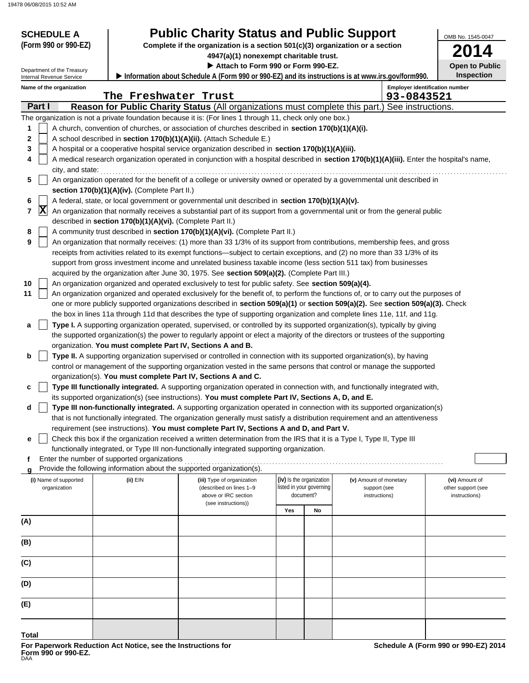| <b>SCHEDULE A</b><br>(Form 990 or 990-EZ)<br>Department of the Treasury<br>Internal Revenue Service |                                                                                                                                                                                                                                                                                                                                                                                                                                                                                                                                                                                          | <b>Public Charity Status and Public Support</b><br>Complete if the organization is a section 501(c)(3) organization or a section<br>4947(a)(1) nonexempt charitable trust.<br>Attach to Form 990 or Form 990-EZ.                                                                                                                                                                             |                                                                   | Information about Schedule A (Form 990 or 990-EZ) and its instructions is at www.irs.gov/form990.                                                                                                                                                              | OMB No. 1545-0047<br>14<br><b>Open to Public</b><br><b>Inspection</b> |  |  |  |  |  |
|-----------------------------------------------------------------------------------------------------|------------------------------------------------------------------------------------------------------------------------------------------------------------------------------------------------------------------------------------------------------------------------------------------------------------------------------------------------------------------------------------------------------------------------------------------------------------------------------------------------------------------------------------------------------------------------------------------|----------------------------------------------------------------------------------------------------------------------------------------------------------------------------------------------------------------------------------------------------------------------------------------------------------------------------------------------------------------------------------------------|-------------------------------------------------------------------|----------------------------------------------------------------------------------------------------------------------------------------------------------------------------------------------------------------------------------------------------------------|-----------------------------------------------------------------------|--|--|--|--|--|
| Name of the organization                                                                            |                                                                                                                                                                                                                                                                                                                                                                                                                                                                                                                                                                                          |                                                                                                                                                                                                                                                                                                                                                                                              |                                                                   |                                                                                                                                                                                                                                                                | <b>Employer identification number</b>                                 |  |  |  |  |  |
|                                                                                                     | The Freshwater Trust                                                                                                                                                                                                                                                                                                                                                                                                                                                                                                                                                                     |                                                                                                                                                                                                                                                                                                                                                                                              |                                                                   | 93-0843521                                                                                                                                                                                                                                                     |                                                                       |  |  |  |  |  |
| Part I                                                                                              |                                                                                                                                                                                                                                                                                                                                                                                                                                                                                                                                                                                          |                                                                                                                                                                                                                                                                                                                                                                                              |                                                                   | Reason for Public Charity Status (All organizations must complete this part.) See instructions.                                                                                                                                                                |                                                                       |  |  |  |  |  |
| 1<br>$\mathbf 2$<br>3<br>4                                                                          |                                                                                                                                                                                                                                                                                                                                                                                                                                                                                                                                                                                          | The organization is not a private foundation because it is: (For lines 1 through 11, check only one box.)<br>A church, convention of churches, or association of churches described in section 170(b)(1)(A)(i).<br>A school described in section 170(b)(1)(A)(ii). (Attach Schedule E.)<br>A hospital or a cooperative hospital service organization described in section 170(b)(1)(A)(iii). |                                                                   | A medical research organization operated in conjunction with a hospital described in section 170(b)(1)(A)(iii). Enter the hospital's name,                                                                                                                     |                                                                       |  |  |  |  |  |
| 5                                                                                                   | city, and state:<br>An organization operated for the benefit of a college or university owned or operated by a governmental unit described in                                                                                                                                                                                                                                                                                                                                                                                                                                            |                                                                                                                                                                                                                                                                                                                                                                                              |                                                                   |                                                                                                                                                                                                                                                                |                                                                       |  |  |  |  |  |
|                                                                                                     | section 170(b)(1)(A)(iv). (Complete Part II.)                                                                                                                                                                                                                                                                                                                                                                                                                                                                                                                                            |                                                                                                                                                                                                                                                                                                                                                                                              |                                                                   |                                                                                                                                                                                                                                                                |                                                                       |  |  |  |  |  |
| 6<br>$ \mathbf{X} $<br>$\overline{\mathbf{r}}$                                                      | described in section 170(b)(1)(A)(vi). (Complete Part II.)                                                                                                                                                                                                                                                                                                                                                                                                                                                                                                                               | A federal, state, or local government or governmental unit described in section 170(b)(1)(A)(v).                                                                                                                                                                                                                                                                                             |                                                                   | An organization that normally receives a substantial part of its support from a governmental unit or from the general public                                                                                                                                   |                                                                       |  |  |  |  |  |
| 8                                                                                                   |                                                                                                                                                                                                                                                                                                                                                                                                                                                                                                                                                                                          | A community trust described in section 170(b)(1)(A)(vi). (Complete Part II.)                                                                                                                                                                                                                                                                                                                 |                                                                   |                                                                                                                                                                                                                                                                |                                                                       |  |  |  |  |  |
| 9<br>10                                                                                             | An organization that normally receives: (1) more than 33 1/3% of its support from contributions, membership fees, and gross<br>receipts from activities related to its exempt functions—subject to certain exceptions, and (2) no more than 33 1/3% of its<br>support from gross investment income and unrelated business taxable income (less section 511 tax) from businesses<br>acquired by the organization after June 30, 1975. See section 509(a)(2). (Complete Part III.)<br>An organization organized and operated exclusively to test for public safety. See section 509(a)(4). |                                                                                                                                                                                                                                                                                                                                                                                              |                                                                   |                                                                                                                                                                                                                                                                |                                                                       |  |  |  |  |  |
| 11                                                                                                  |                                                                                                                                                                                                                                                                                                                                                                                                                                                                                                                                                                                          |                                                                                                                                                                                                                                                                                                                                                                                              |                                                                   | An organization organized and operated exclusively for the benefit of, to perform the functions of, or to carry out the purposes of                                                                                                                            |                                                                       |  |  |  |  |  |
|                                                                                                     |                                                                                                                                                                                                                                                                                                                                                                                                                                                                                                                                                                                          |                                                                                                                                                                                                                                                                                                                                                                                              |                                                                   | one or more publicly supported organizations described in section 509(a)(1) or section 509(a)(2). See section 509(a)(3). Check                                                                                                                                 |                                                                       |  |  |  |  |  |
|                                                                                                     |                                                                                                                                                                                                                                                                                                                                                                                                                                                                                                                                                                                          |                                                                                                                                                                                                                                                                                                                                                                                              |                                                                   | the box in lines 11a through 11d that describes the type of supporting organization and complete lines 11e, 11f, and 11g.                                                                                                                                      |                                                                       |  |  |  |  |  |
| a                                                                                                   | organization. You must complete Part IV, Sections A and B.                                                                                                                                                                                                                                                                                                                                                                                                                                                                                                                               |                                                                                                                                                                                                                                                                                                                                                                                              |                                                                   | Type I. A supporting organization operated, supervised, or controlled by its supported organization(s), typically by giving<br>the supported organization(s) the power to regularly appoint or elect a majority of the directors or trustees of the supporting |                                                                       |  |  |  |  |  |
| b                                                                                                   | organization(s). You must complete Part IV, Sections A and C.                                                                                                                                                                                                                                                                                                                                                                                                                                                                                                                            |                                                                                                                                                                                                                                                                                                                                                                                              |                                                                   | Type II. A supporting organization supervised or controlled in connection with its supported organization(s), by having<br>control or management of the supporting organization vested in the same persons that control or manage the supported                |                                                                       |  |  |  |  |  |
| c                                                                                                   |                                                                                                                                                                                                                                                                                                                                                                                                                                                                                                                                                                                          |                                                                                                                                                                                                                                                                                                                                                                                              |                                                                   | Type III functionally integrated. A supporting organization operated in connection with, and functionally integrated with,                                                                                                                                     |                                                                       |  |  |  |  |  |
|                                                                                                     |                                                                                                                                                                                                                                                                                                                                                                                                                                                                                                                                                                                          | its supported organization(s) (see instructions). You must complete Part IV, Sections A, D, and E.                                                                                                                                                                                                                                                                                           |                                                                   |                                                                                                                                                                                                                                                                |                                                                       |  |  |  |  |  |
| d                                                                                                   |                                                                                                                                                                                                                                                                                                                                                                                                                                                                                                                                                                                          |                                                                                                                                                                                                                                                                                                                                                                                              |                                                                   | Type III non-functionally integrated. A supporting organization operated in connection with its supported organization(s)                                                                                                                                      |                                                                       |  |  |  |  |  |
|                                                                                                     |                                                                                                                                                                                                                                                                                                                                                                                                                                                                                                                                                                                          |                                                                                                                                                                                                                                                                                                                                                                                              |                                                                   | that is not functionally integrated. The organization generally must satisfy a distribution requirement and an attentiveness                                                                                                                                   |                                                                       |  |  |  |  |  |
|                                                                                                     |                                                                                                                                                                                                                                                                                                                                                                                                                                                                                                                                                                                          | requirement (see instructions). You must complete Part IV, Sections A and D, and Part V.                                                                                                                                                                                                                                                                                                     |                                                                   |                                                                                                                                                                                                                                                                |                                                                       |  |  |  |  |  |
| е                                                                                                   |                                                                                                                                                                                                                                                                                                                                                                                                                                                                                                                                                                                          | Check this box if the organization received a written determination from the IRS that it is a Type I, Type II, Type III                                                                                                                                                                                                                                                                      |                                                                   |                                                                                                                                                                                                                                                                |                                                                       |  |  |  |  |  |
|                                                                                                     | Enter the number of supported organizations                                                                                                                                                                                                                                                                                                                                                                                                                                                                                                                                              | functionally integrated, or Type III non-functionally integrated supporting organization.                                                                                                                                                                                                                                                                                                    |                                                                   |                                                                                                                                                                                                                                                                |                                                                       |  |  |  |  |  |
|                                                                                                     | Provide the following information about the supported organization(s).                                                                                                                                                                                                                                                                                                                                                                                                                                                                                                                   |                                                                                                                                                                                                                                                                                                                                                                                              |                                                                   |                                                                                                                                                                                                                                                                |                                                                       |  |  |  |  |  |
| (i) Name of supported<br>organization                                                               | (ii) EIN                                                                                                                                                                                                                                                                                                                                                                                                                                                                                                                                                                                 | (iii) Type of organization<br>(described on lines 1-9<br>above or IRC section                                                                                                                                                                                                                                                                                                                | (iv) Is the organization<br>listed in your governing<br>document? | (v) Amount of monetary<br>support (see<br>instructions)                                                                                                                                                                                                        | (vi) Amount of<br>other support (see<br>instructions)                 |  |  |  |  |  |
|                                                                                                     |                                                                                                                                                                                                                                                                                                                                                                                                                                                                                                                                                                                          | (see instructions))                                                                                                                                                                                                                                                                                                                                                                          | Yes<br>No                                                         |                                                                                                                                                                                                                                                                |                                                                       |  |  |  |  |  |
| (A)                                                                                                 |                                                                                                                                                                                                                                                                                                                                                                                                                                                                                                                                                                                          |                                                                                                                                                                                                                                                                                                                                                                                              |                                                                   |                                                                                                                                                                                                                                                                |                                                                       |  |  |  |  |  |
| (B)                                                                                                 |                                                                                                                                                                                                                                                                                                                                                                                                                                                                                                                                                                                          |                                                                                                                                                                                                                                                                                                                                                                                              |                                                                   |                                                                                                                                                                                                                                                                |                                                                       |  |  |  |  |  |
| (C)                                                                                                 |                                                                                                                                                                                                                                                                                                                                                                                                                                                                                                                                                                                          |                                                                                                                                                                                                                                                                                                                                                                                              |                                                                   |                                                                                                                                                                                                                                                                |                                                                       |  |  |  |  |  |
| (D)                                                                                                 |                                                                                                                                                                                                                                                                                                                                                                                                                                                                                                                                                                                          |                                                                                                                                                                                                                                                                                                                                                                                              |                                                                   |                                                                                                                                                                                                                                                                |                                                                       |  |  |  |  |  |
| (E)                                                                                                 |                                                                                                                                                                                                                                                                                                                                                                                                                                                                                                                                                                                          |                                                                                                                                                                                                                                                                                                                                                                                              |                                                                   |                                                                                                                                                                                                                                                                |                                                                       |  |  |  |  |  |
|                                                                                                     |                                                                                                                                                                                                                                                                                                                                                                                                                                                                                                                                                                                          |                                                                                                                                                                                                                                                                                                                                                                                              |                                                                   |                                                                                                                                                                                                                                                                |                                                                       |  |  |  |  |  |

**Total**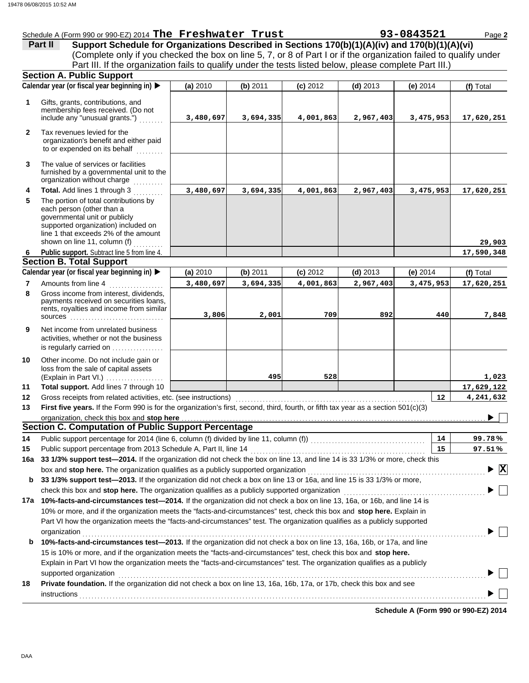|  |  | Schedule A (Form 990 or 990-EZ) 2014 The Freshwater Trust |  |
|--|--|-----------------------------------------------------------|--|
|  |  |                                                           |  |

|              | Schedule A (Form 990 or 990-EZ) 2014 The Freshwater Trust                                                                                                                                                                      |           |           |            |            | 93-0843521 | Page 2                          |
|--------------|--------------------------------------------------------------------------------------------------------------------------------------------------------------------------------------------------------------------------------|-----------|-----------|------------|------------|------------|---------------------------------|
|              | Support Schedule for Organizations Described in Sections 170(b)(1)(A)(iv) and 170(b)(1)(A)(vi)<br>Part II<br>(Complete only if you checked the box on line 5, 7, or 8 of Part I or if the organization failed to qualify under |           |           |            |            |            |                                 |
|              | Part III. If the organization fails to qualify under the tests listed below, please complete Part III.)                                                                                                                        |           |           |            |            |            |                                 |
|              | <b>Section A. Public Support</b>                                                                                                                                                                                               |           |           |            |            |            |                                 |
|              | Calendar year (or fiscal year beginning in)                                                                                                                                                                                    | (a) 2010  | (b) 2011  | $(c)$ 2012 | $(d)$ 2013 | (e) $2014$ | (f) Total                       |
|              |                                                                                                                                                                                                                                |           |           |            |            |            |                                 |
| 1            | Gifts, grants, contributions, and<br>membership fees received. (Do not<br>include any "unusual grants.")                                                                                                                       | 3,480,697 | 3,694,335 | 4,001,863  | 2,967,403  | 3,475,953  | 17,620,251                      |
| $\mathbf{2}$ | Tax revenues levied for the<br>organization's benefit and either paid<br>to or expended on its behalf                                                                                                                          |           |           |            |            |            |                                 |
| 3            | The value of services or facilities<br>furnished by a governmental unit to the<br>organization without charge                                                                                                                  |           |           |            |            |            |                                 |
| 4            | Total. Add lines 1 through 3                                                                                                                                                                                                   | 3,480,697 | 3,694,335 | 4,001,863  | 2,967,403  | 3,475,953  | 17,620,251                      |
| 5            | The portion of total contributions by<br>each person (other than a<br>governmental unit or publicly<br>supported organization) included on<br>line 1 that exceeds 2% of the amount<br>shown on line 11, column (f)             |           |           |            |            |            | 29,903                          |
| 6            | Public support. Subtract line 5 from line 4.                                                                                                                                                                                   |           |           |            |            |            | 17,590,348                      |
|              | <b>Section B. Total Support</b>                                                                                                                                                                                                |           |           |            |            |            |                                 |
|              | Calendar year (or fiscal year beginning in)                                                                                                                                                                                    | (a) 2010  | (b) 2011  | $(c)$ 2012 | $(d)$ 2013 | (e) $2014$ | (f) Total                       |
| 7            | Amounts from line 4                                                                                                                                                                                                            | 3,480,697 | 3,694,335 | 4,001,863  | 2,967,403  | 3,475,953  | 17,620,251                      |
| 8            | Gross income from interest, dividends,<br>payments received on securities loans,<br>rents, royalties and income from similar<br><b>SOUICES</b>                                                                                 | 3,806     | 2,001     | 709        | 892        | 440        | 7,848                           |
| 9            | Net income from unrelated business<br>activities, whether or not the business<br>is regularly carried on                                                                                                                       |           |           |            |            |            |                                 |
| 10           |                                                                                                                                                                                                                                |           |           |            |            |            |                                 |
|              | Other income. Do not include gain or<br>loss from the sale of capital assets<br>(Explain in Part VI.)                                                                                                                          |           | 495       | 528        |            |            | 1,023                           |
| 11           | Total support. Add lines 7 through 10                                                                                                                                                                                          |           |           |            |            |            | 17,629,122                      |
| 12           | Gross receipts from related activities, etc. (see instructions)                                                                                                                                                                |           |           |            |            | 12         | 4,241,632                       |
| 13           | First five years. If the Form 990 is for the organization's first, second, third, fourth, or fifth tax year as a section 501(c)(3)                                                                                             |           |           |            |            |            |                                 |
|              | organization, check this box and stop here manufactured and control of the state of the state of the state of the state of the state of the state of the state of the state of the state of the state of the state of the stat |           |           |            |            |            |                                 |
|              | <b>Section C. Computation of Public Support Percentage</b>                                                                                                                                                                     |           |           |            |            |            |                                 |
| 14           |                                                                                                                                                                                                                                |           |           |            |            | 14         | 99.78%                          |
| 15           |                                                                                                                                                                                                                                |           |           |            |            | 15         | 97.51%                          |
| 16a          | 33 1/3% support test-2014. If the organization did not check the box on line 13, and line 14 is 33 1/3% or more, check this                                                                                                    |           |           |            |            |            |                                 |
| b            | box and stop here. The organization qualifies as a publicly supported organization<br>33 1/3% support test-2013. If the organization did not check a box on line 13 or 16a, and line 15 is 33 1/3% or more,                    |           |           |            |            |            | $\blacktriangleright$ $\vert$ X |
|              | check this box and stop here. The organization qualifies as a publicly supported organization                                                                                                                                  |           |           |            |            |            |                                 |
| 17а          | 10%-facts-and-circumstances test-2014. If the organization did not check a box on line 13, 16a, or 16b, and line 14 is                                                                                                         |           |           |            |            |            |                                 |
|              | 10% or more, and if the organization meets the "facts-and-circumstances" test, check this box and stop here. Explain in                                                                                                        |           |           |            |            |            |                                 |
|              | Part VI how the organization meets the "facts-and-circumstances" test. The organization qualifies as a publicly supported                                                                                                      |           |           |            |            |            |                                 |
|              | organization                                                                                                                                                                                                                   |           |           |            |            |            |                                 |
| b            | 10%-facts-and-circumstances test-2013. If the organization did not check a box on line 13, 16a, 16b, or 17a, and line                                                                                                          |           |           |            |            |            |                                 |
|              | 15 is 10% or more, and if the organization meets the "facts-and-circumstances" test, check this box and stop here.                                                                                                             |           |           |            |            |            |                                 |
|              | Explain in Part VI how the organization meets the "facts-and-circumstances" test. The organization qualifies as a publicly                                                                                                     |           |           |            |            |            |                                 |
|              | supported organization                                                                                                                                                                                                         |           |           |            |            |            |                                 |
| 18           | Private foundation. If the organization did not check a box on line 13, 16a, 16b, 17a, or 17b, check this box and see                                                                                                          |           |           |            |            |            |                                 |
|              | instructions                                                                                                                                                                                                                   |           |           |            |            |            |                                 |

**Schedule A (Form 990 or 990-EZ) 2014**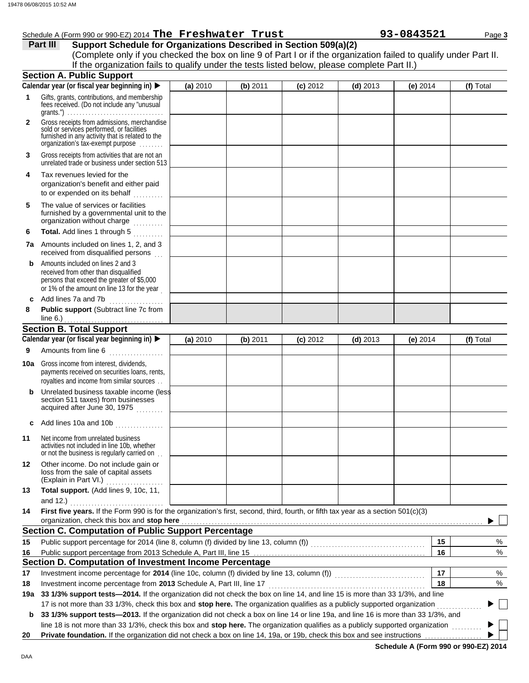|              | 8 06/08/2015 10:52 AM                                                                                                                                                                                             |          |          |            |            |            |           |
|--------------|-------------------------------------------------------------------------------------------------------------------------------------------------------------------------------------------------------------------|----------|----------|------------|------------|------------|-----------|
|              | Schedule A (Form 990 or 990-EZ) 2014 The Freshwater Trust<br>Support Schedule for Organizations Described in Section 509(a)(2)<br>Part III                                                                        |          |          |            |            | 93-0843521 | Page 3    |
|              | (Complete only if you checked the box on line 9 of Part I or if the organization failed to qualify under Part II.<br>If the organization fails to qualify under the tests listed below, please complete Part II.) |          |          |            |            |            |           |
|              | <b>Section A. Public Support</b>                                                                                                                                                                                  |          |          |            |            |            |           |
|              | Calendar year (or fiscal year beginning in)                                                                                                                                                                       | (a) 2010 | (b) 2011 | $(c)$ 2012 | $(d)$ 2013 | (e) $2014$ | (f) Total |
| 1            | Gifts, grants, contributions, and membership<br>fees received. (Do not include any "unusual                                                                                                                       |          |          |            |            |            |           |
| $\mathbf{2}$ | Gross receipts from admissions, merchandise<br>sold or services performed, or facilities<br>furnished in any activity that is related to the<br>organization's tax-exempt purpose                                 |          |          |            |            |            |           |
| 3            | Gross receipts from activities that are not an<br>unrelated trade or business under section 513                                                                                                                   |          |          |            |            |            |           |
| 4            | Tax revenues levied for the<br>organization's benefit and either paid<br>to or expended on its behalf<br>il.<br>Alan alan a                                                                                       |          |          |            |            |            |           |
| 5            | The value of services or facilities<br>furnished by a governmental unit to the<br>organization without charge                                                                                                     |          |          |            |            |            |           |
| 6            | Total. Add lines 1 through 5<br>7a Amounts included on lines 1, 2, and 3                                                                                                                                          |          |          |            |            |            |           |
|              | received from disqualified persons                                                                                                                                                                                |          |          |            |            |            |           |
| b            | Amounts included on lines 2 and 3<br>received from other than disqualified<br>persons that exceed the greater of \$5,000<br>or 1% of the amount on line 13 for the year                                           |          |          |            |            |            |           |
| c            | Add lines 7a and 7b                                                                                                                                                                                               |          |          |            |            |            |           |
| 8            | Public support (Subtract line 7c from                                                                                                                                                                             |          |          |            |            |            |           |
|              | line $6.$ )                                                                                                                                                                                                       |          |          |            |            |            |           |
|              | <b>Section B. Total Support</b>                                                                                                                                                                                   |          |          |            |            |            |           |
|              | Calendar year (or fiscal year beginning in)                                                                                                                                                                       | (a) 2010 | (b) 2011 | $(c)$ 2012 | $(d)$ 2013 | (e) $2014$ | (f) Total |
| 9            | Amounts from line 6                                                                                                                                                                                               |          |          |            |            |            |           |
|              | <b>10a</b> Gross income from interest, dividends,<br>payments received on securities loans, rents,<br>royalties and income from similar sources                                                                   |          |          |            |            |            |           |
| b            | Unrelated business taxable income (less<br>section 511 taxes) from businesses<br>acquired after June 30, 1975                                                                                                     |          |          |            |            |            |           |
| c            | Add lines 10a and 10b                                                                                                                                                                                             |          |          |            |            |            |           |
| 11           | Net income from unrelated business<br>activities not included in line 10b, whether<br>or not the business is regularly carried on                                                                                 |          |          |            |            |            |           |
| 12           | Other income. Do not include gain or<br>loss from the sale of capital assets<br>(Explain in Part VI.)                                                                                                             |          |          |            |            |            |           |
| 13           | Total support. (Add lines 9, 10c, 11,<br>and 12.) $\qquad \qquad$                                                                                                                                                 |          |          |            |            |            |           |
| 14           | First five years. If the Form 990 is for the organization's first, second, third, fourth, or fifth tax year as a section 501(c)(3)                                                                                |          |          |            |            |            |           |
|              | organization, check this box and stop here                                                                                                                                                                        |          |          |            |            |            |           |
|              | <b>Section C. Computation of Public Support Percentage</b>                                                                                                                                                        |          |          |            |            |            |           |
| 15           |                                                                                                                                                                                                                   |          |          |            |            | 15         | %         |
| 16           |                                                                                                                                                                                                                   |          |          |            |            | 16         | $\%$      |
|              | Section D. Computation of Investment Income Percentage                                                                                                                                                            |          |          |            |            |            |           |
| 17           | Investment income percentage for 2014 (line 10c, column (f) divided by line 13, column (f)) [[[[[[[[[[[[[[[[[                                                                                                     |          |          |            |            | 17         | %         |
| 18           |                                                                                                                                                                                                                   |          |          |            |            | 18         | $\%$      |
| 19a          | 33 1/3% support tests-2014. If the organization did not check the box on line 14, and line 15 is more than 33 1/3%, and line                                                                                      |          |          |            |            |            |           |
|              | 17 is not more than 33 1/3%, check this box and stop here. The organization qualifies as a publicly supported organization                                                                                        |          |          |            |            |            |           |

**b** 33 1/3% support tests—2013. If the organization did not check a box on line 14 or line 19a, and line 16 is more than 33 1/3%, and line 18 is not more than 33 1/3%, check this box and **stop here.** The organization qualifies as a publicly supported organization .........

**20 Private foundation.** If the organization did not check a box on line 14, 19a, or 19b, check this box and see instructions

**Schedule A (Form 990 or 990-EZ) 2014**

 $\blacktriangleright$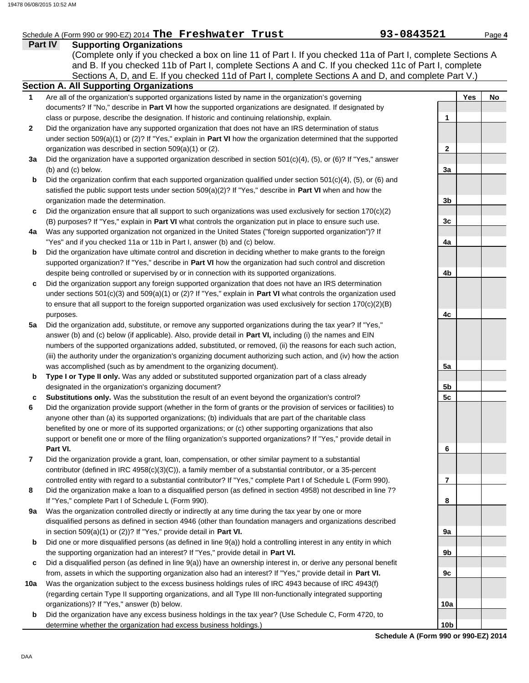### **Part IV Supporting Organizations** Sections A, D, and E. If you checked 11d of Part I, complete Sections A and D, and complete Part V.) Schedule A (Form 990 or 990-EZ) 2014 **The Freshwater Trust 93-0843521** Page 4 **Section A. All Supporting Organizations** (Complete only if you checked a box on line 11 of Part I. If you checked 11a of Part I, complete Sections A and B. If you checked 11b of Part I, complete Sections A and C. If you checked 11c of Part I, complete Are all of the organization's supported organizations listed by name in the organization's governing documents? If "No," describe in **Part VI** how the supported organizations are designated. If designated by class or purpose, describe the designation. If historic and continuing relationship, explain. Did the organization have any supported organization that does not have an IRS determination of status under section 509(a)(1) or (2)? If "Yes," explain in **Part VI** how the organization determined that the supported organization was described in section 509(a)(1) or (2). **1 2 3a** Did the organization have a supported organization described in section 501(c)(4), (5), or (6)? If "Yes," answer **b c 4a** Was any supported organization not organized in the United States ("foreign supported organization")? If **b c** Did the organization support any foreign supported organization that does not have an IRS determination **5a** Did the organization add, substitute, or remove any supported organizations during the tax year? If "Yes," **b c 6 7 8 9a b c 10a b** (b) and (c) below. Did the organization confirm that each supported organization qualified under section  $501(c)(4)$ ,  $(5)$ , or  $(6)$  and satisfied the public support tests under section 509(a)(2)? If "Yes," describe in **Part VI** when and how the organization made the determination. Did the organization ensure that all support to such organizations was used exclusively for section 170(c)(2) (B) purposes? If "Yes," explain in **Part VI** what controls the organization put in place to ensure such use. "Yes" and if you checked 11a or 11b in Part I, answer (b) and (c) below. Did the organization have ultimate control and discretion in deciding whether to make grants to the foreign supported organization? If "Yes," describe in **Part VI** how the organization had such control and discretion despite being controlled or supervised by or in connection with its supported organizations. under sections 501(c)(3) and 509(a)(1) or (2)? If "Yes," explain in **Part VI** what controls the organization used to ensure that all support to the foreign supported organization was used exclusively for section 170(c)(2)(B) purposes. answer (b) and (c) below (if applicable). Also, provide detail in **Part VI,** including (i) the names and EIN numbers of the supported organizations added, substituted, or removed, (ii) the reasons for each such action, (iii) the authority under the organization's organizing document authorizing such action, and (iv) how the action was accomplished (such as by amendment to the organizing document). **Type I or Type II only.** Was any added or substituted supported organization part of a class already designated in the organization's organizing document? **Substitutions only.** Was the substitution the result of an event beyond the organization's control? Did the organization provide support (whether in the form of grants or the provision of services or facilities) to anyone other than (a) its supported organizations; (b) individuals that are part of the charitable class benefited by one or more of its supported organizations; or (c) other supporting organizations that also support or benefit one or more of the filing organization's supported organizations? If "Yes," provide detail in **Part VI.** Did the organization provide a grant, loan, compensation, or other similar payment to a substantial contributor (defined in IRC 4958(c)(3)(C)), a family member of a substantial contributor, or a 35-percent controlled entity with regard to a substantial contributor? If "Yes," complete Part I of Schedule L (Form 990). Did the organization make a loan to a disqualified person (as defined in section 4958) not described in line 7? If "Yes," complete Part I of Schedule L (Form 990). Was the organization controlled directly or indirectly at any time during the tax year by one or more disqualified persons as defined in section 4946 (other than foundation managers and organizations described in section 509(a)(1) or (2))? If "Yes," provide detail in **Part VI.** Did one or more disqualified persons (as defined in line 9(a)) hold a controlling interest in any entity in which the supporting organization had an interest? If "Yes," provide detail in **Part VI.** Did a disqualified person (as defined in line 9(a)) have an ownership interest in, or derive any personal benefit from, assets in which the supporting organization also had an interest? If "Yes," provide detail in **Part VI.** Was the organization subject to the excess business holdings rules of IRC 4943 because of IRC 4943(f) (regarding certain Type II supporting organizations, and all Type III non-functionally integrated supporting organizations)? If "Yes," answer (b) below. Did the organization have any excess business holdings in the tax year? (Use Schedule C, Form 4720, to determine whether the organization had excess business holdings.) **Yes No 1 2 3a 3b 3c 4a 4b 4c 5a 5b 5c 6 7 8 9a 9b 9c 10a 10b**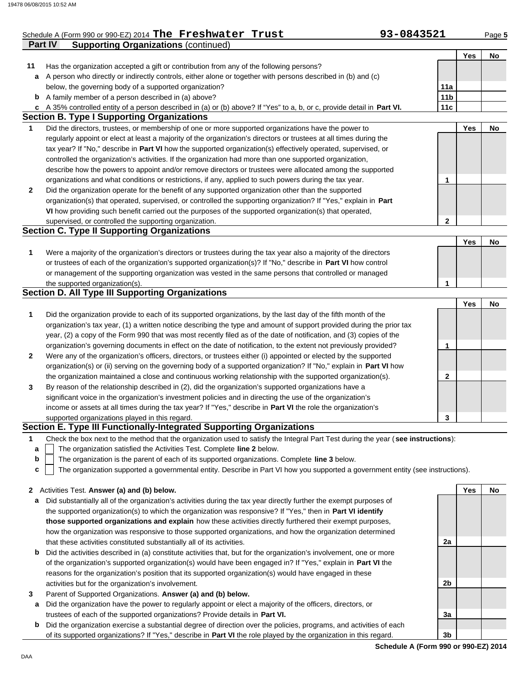|              | <b>Part IV</b><br><b>Supporting Organizations (continued)</b>                                                                     |                 |     |    |
|--------------|-----------------------------------------------------------------------------------------------------------------------------------|-----------------|-----|----|
|              |                                                                                                                                   |                 | Yes | No |
| 11           | Has the organization accepted a gift or contribution from any of the following persons?                                           |                 |     |    |
| a            | A person who directly or indirectly controls, either alone or together with persons described in (b) and (c)                      |                 |     |    |
|              | below, the governing body of a supported organization?                                                                            | 11a             |     |    |
|              | <b>b</b> A family member of a person described in (a) above?                                                                      | 11 <sub>b</sub> |     |    |
|              | c A 35% controlled entity of a person described in (a) or (b) above? If "Yes" to a, b, or c, provide detail in Part VI.           | 11c             |     |    |
|              | <b>Section B. Type I Supporting Organizations</b>                                                                                 |                 |     |    |
| 1            | Did the directors, trustees, or membership of one or more supported organizations have the power to                               |                 | Yes | No |
|              | regularly appoint or elect at least a majority of the organization's directors or trustees at all times during the                |                 |     |    |
|              | tax year? If "No," describe in Part VI how the supported organization(s) effectively operated, supervised, or                     |                 |     |    |
|              | controlled the organization's activities. If the organization had more than one supported organization,                           |                 |     |    |
|              | describe how the powers to appoint and/or remove directors or trustees were allocated among the supported                         |                 |     |    |
|              | organizations and what conditions or restrictions, if any, applied to such powers during the tax year.                            | 1               |     |    |
| $\mathbf{2}$ | Did the organization operate for the benefit of any supported organization other than the supported                               |                 |     |    |
|              | organization(s) that operated, supervised, or controlled the supporting organization? If "Yes," explain in Part                   |                 |     |    |
|              | VI how providing such benefit carried out the purposes of the supported organization(s) that operated,                            |                 |     |    |
|              | supervised, or controlled the supporting organization.                                                                            | $\mathbf{2}$    |     |    |
|              | <b>Section C. Type II Supporting Organizations</b>                                                                                |                 |     |    |
|              |                                                                                                                                   |                 | Yes | No |
| 1            | Were a majority of the organization's directors or trustees during the tax year also a majority of the directors                  |                 |     |    |
|              | or trustees of each of the organization's supported organization(s)? If "No," describe in Part VI how control                     |                 |     |    |
|              | or management of the supporting organization was vested in the same persons that controlled or managed                            |                 |     |    |
|              | the supported organization(s).                                                                                                    | 1               |     |    |
|              | <b>Section D. All Type III Supporting Organizations</b>                                                                           |                 | Yes | No |
| 1            | Did the organization provide to each of its supported organizations, by the last day of the fifth month of the                    |                 |     |    |
|              | organization's tax year, (1) a written notice describing the type and amount of support provided during the prior tax             |                 |     |    |
|              | year, (2) a copy of the Form 990 that was most recently filed as of the date of notification, and (3) copies of the               |                 |     |    |
|              | organization's governing documents in effect on the date of notification, to the extent not previously provided?                  |                 |     |    |
|              |                                                                                                                                   | 1               |     |    |
| $\mathbf{2}$ | Were any of the organization's officers, directors, or trustees either (i) appointed or elected by the supported                  |                 |     |    |
|              | organization(s) or (ii) serving on the governing body of a supported organization? If "No," explain in Part VI how                |                 |     |    |
|              | the organization maintained a close and continuous working relationship with the supported organization(s).                       | 2               |     |    |
| 3            | By reason of the relationship described in (2), did the organization's supported organizations have a                             |                 |     |    |
|              | significant voice in the organization's investment policies and in directing the use of the organization's                        |                 |     |    |
|              | income or assets at all times during the tax year? If "Yes," describe in Part VI the role the organization's                      |                 |     |    |
|              | supported organizations played in this regard.<br>Section E. Type III Functionally-Integrated Supporting Organizations            | 3               |     |    |
|              |                                                                                                                                   |                 |     |    |
| 1            | Check the box next to the method that the organization used to satisfy the Integral Part Test during the year (see instructions): |                 |     |    |
| a            | The organization satisfied the Activities Test. Complete line 2 below.                                                            |                 |     |    |
| b            | The organization is the parent of each of its supported organizations. Complete line 3 below.                                     |                 |     |    |
| c            | The organization supported a governmental entity. Describe in Part VI how you supported a government entity (see instructions).   |                 |     |    |
|              |                                                                                                                                   |                 |     |    |
| $\mathbf{2}$ | Activities Test. Answer (a) and (b) below.                                                                                        |                 | Yes | No |
| a            | Did substantially all of the organization's activities during the tax year directly further the exempt purposes of                |                 |     |    |

- the supported organization(s) to which the organization was responsive? If "Yes," then in **Part VI identify those supported organizations and explain** how these activities directly furthered their exempt purposes, how the organization was responsive to those supported organizations, and how the organization determined that these activities constituted substantially all of its activities.
- **b** Did the activities described in (a) constitute activities that, but for the organization's involvement, one or more of the organization's supported organization(s) would have been engaged in? If "Yes," explain in **Part VI** the reasons for the organization's position that its supported organization(s) would have engaged in these activities but for the organization's involvement.
- **3** Parent of Supported Organizations. **Answer (a) and (b) below.**
- **a** Did the organization have the power to regularly appoint or elect a majority of the officers, directors, or trustees of each of the supported organizations? Provide details in **Part VI.**
- **b** Did the organization exercise a substantial degree of direction over the policies, programs, and activities of each of its supported organizations? If "Yes," describe in **Part VI** the role played by the organization in this regard.

**2a 2b 3a 3b**

**Schedule A (Form 990 or 990-EZ) 2014**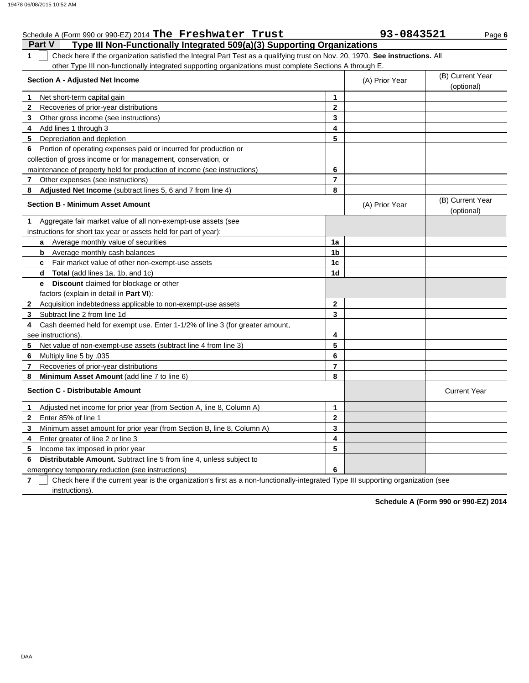### Schedule A (Form 990 or 990-EZ) 2014 **The Freshwater Trust 93-0843521** Page **6**

**Part V Type III Non-Functionally Integrated 509(a)(3) Supporting Organizations 1** Check here if the organization satisfied the Integral Part Test as a qualifying trust on Nov. 20, 1970. **See instructions.** All other Type III non-functionally integrated supporting organizations must complete Sections A through E.

|              | <b>Section A - Adjusted Net Income</b>                                       |                          | (A) Prior Year | (B) Current Year<br>(optional) |
|--------------|------------------------------------------------------------------------------|--------------------------|----------------|--------------------------------|
| 1            | Net short-term capital gain                                                  | 1                        |                |                                |
| $\mathbf{2}$ | Recoveries of prior-year distributions                                       | $\overline{2}$           |                |                                |
| 3            | Other gross income (see instructions)                                        | 3                        |                |                                |
| 4            | Add lines 1 through 3                                                        | 4                        |                |                                |
| 5            | Depreciation and depletion                                                   | 5                        |                |                                |
| 6            | Portion of operating expenses paid or incurred for production or             |                          |                |                                |
|              | collection of gross income or for management, conservation, or               |                          |                |                                |
|              | maintenance of property held for production of income (see instructions)     | 6                        |                |                                |
| 7            | Other expenses (see instructions)                                            | $\overline{7}$           |                |                                |
| 8            | Adjusted Net Income (subtract lines 5, 6 and 7 from line 4)                  | 8                        |                |                                |
|              | <b>Section B - Minimum Asset Amount</b>                                      |                          | (A) Prior Year | (B) Current Year<br>(optional) |
| $\mathbf 1$  | Aggregate fair market value of all non-exempt-use assets (see                |                          |                |                                |
|              | instructions for short tax year or assets held for part of year):            |                          |                |                                |
|              | Average monthly value of securities<br>a                                     | 1a                       |                |                                |
|              | Average monthly cash balances<br>b                                           | 1 <sub>b</sub>           |                |                                |
|              | Fair market value of other non-exempt-use assets<br>C                        | 1 <sub>c</sub>           |                |                                |
|              | <b>Total</b> (add lines 1a, 1b, and 1c)<br>d                                 | 1d                       |                |                                |
|              | Discount claimed for blockage or other<br>e                                  |                          |                |                                |
|              | factors (explain in detail in Part VI):                                      |                          |                |                                |
| $\mathbf{2}$ | Acquisition indebtedness applicable to non-exempt-use assets                 | $\mathbf{2}$             |                |                                |
| 3            | Subtract line 2 from line 1d                                                 | 3                        |                |                                |
| 4            | Cash deemed held for exempt use. Enter 1-1/2% of line 3 (for greater amount, |                          |                |                                |
|              | see instructions).                                                           | 4                        |                |                                |
| 5.           | Net value of non-exempt-use assets (subtract line 4 from line 3)             | 5                        |                |                                |
| 6            | Multiply line 5 by .035                                                      | 6                        |                |                                |
| 7            | Recoveries of prior-year distributions                                       | $\overline{\phantom{a}}$ |                |                                |
| 8            | Minimum Asset Amount (add line 7 to line 6)                                  | 8                        |                |                                |
|              | <b>Section C - Distributable Amount</b>                                      |                          |                | <b>Current Year</b>            |
| $\mathbf 1$  | Adjusted net income for prior year (from Section A, line 8, Column A)        | 1                        |                |                                |
| $\mathbf{2}$ | Enter 85% of line 1                                                          | $\mathbf{2}$             |                |                                |
| 3            | Minimum asset amount for prior year (from Section B, line 8, Column A)       | 3                        |                |                                |
| 4            | Enter greater of line 2 or line 3                                            | 4                        |                |                                |
| 5            | Income tax imposed in prior year                                             | 5                        |                |                                |
| 6            | Distributable Amount. Subtract line 5 from line 4, unless subject to         |                          |                |                                |
|              | emergency temporary reduction (see instructions)                             | 6                        |                |                                |

**7** instructions). Check here if the current year is the organization's first as a non-functionally-integrated Type III supporting organization (see

**Schedule A (Form 990 or 990-EZ) 2014**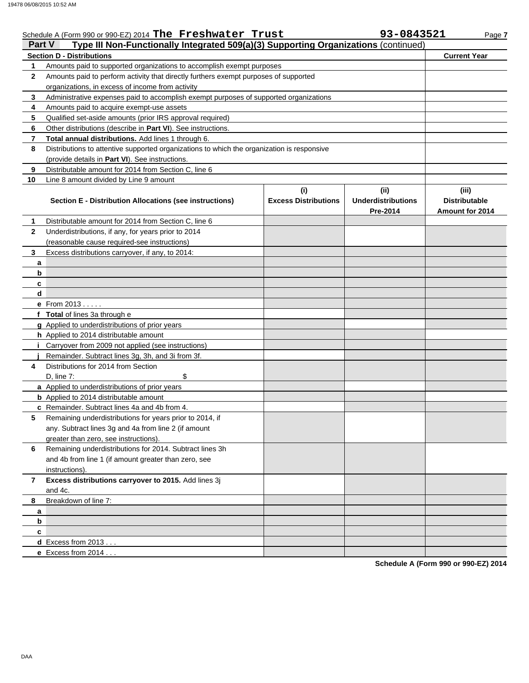### Schedule A (Form 990 or 990-EZ) 2014 **The Freshwater Trust 93-0843521** Page 7 **Part V Type III Non-Functionally Integrated 509(a)(3) Supporting Organizations** (continued) **Section D - Distributions Current Year 1 2 3 4 5 6** Other distributions (describe in **Part VI**). See instructions. **7 8 9 10** Line 8 amount divided by Line 9 amount Amounts paid to supported organizations to accomplish exempt purposes Amounts paid to perform activity that directly furthers exempt purposes of supported organizations, in excess of income from activity Administrative expenses paid to accomplish exempt purposes of supported organizations Amounts paid to acquire exempt-use assets Qualified set-aside amounts (prior IRS approval required) **Total annual distributions.** Add lines 1 through 6. Distributions to attentive supported organizations to which the organization is responsive (provide details in **Part VI**). See instructions. Distributable amount for 2014 from Section C, line 6 **Section E - Distribution Allocations (see instructions) Excess Distributions (i) (ii) Underdistributions Pre-2014 (iii) Distributable Amount for 2014 8 7 6** Remaining underdistributions for 2014. Subtract lines 3h **5 4** Distributions for 2014 from Section **3** Excess distributions carryover, if any, to 2014: **2 1 a b c d e** From 2013 . . . . . **f Total** of lines 3a through e **g** Applied to underdistributions of prior years **h** Applied to 2014 distributable amount **i** Carryover from 2009 not applied (see instructions) **j** Remainder. Subtract lines 3g, 3h, and 3i from 3f. **a** Applied to underdistributions of prior years **b** Applied to 2014 distributable amount **c** Remainder. Subtract lines 4a and 4b from 4. **a b c d** Excess from 2013 . . . Distributable amount for 2014 from Section C, line 6 Underdistributions, if any, for years prior to 2014 (reasonable cause required-see instructions) D, line  $7:$  \$ Remaining underdistributions for years prior to 2014, if any. Subtract lines 3g and 4a from line 2 (if amount greater than zero, see instructions). and 4b from line 1 (if amount greater than zero, see instructions). **Excess distributions carryover to 2015.** Add lines 3j and 4c. Breakdown of line 7:

**Schedule A (Form 990 or 990-EZ) 2014**

**e** Excess from 2014 . . .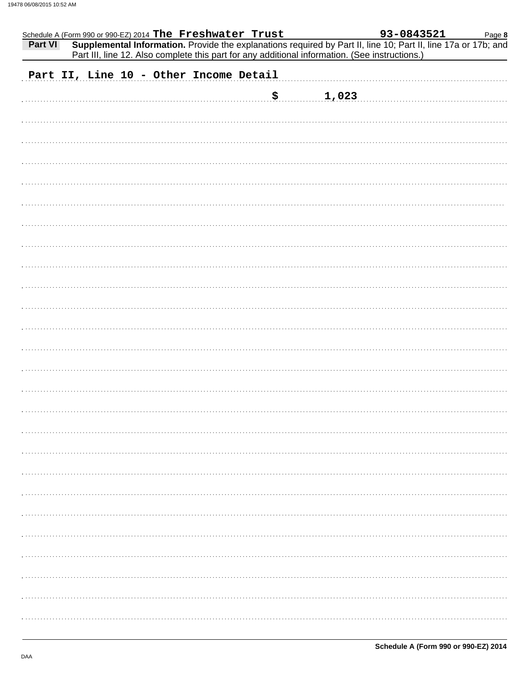| Schedule A (Form 990 or 990-EZ) 2014 The Freshwater Trust                                                                 |    | 93-0843521 | Page 8 |
|---------------------------------------------------------------------------------------------------------------------------|----|------------|--------|
| Supplemental Information. Provide the explanations required by Part II, line 10; Part II, line 17a or 17b; and<br>Part VI |    |            |        |
| Part III, line 12. Also complete this part for any additional information. (See instructions.)                            |    |            |        |
| Part II, Line 10 - Other Income Detail                                                                                    |    |            |        |
|                                                                                                                           |    | 1,023      |        |
|                                                                                                                           | ₿. |            |        |
|                                                                                                                           |    |            |        |
|                                                                                                                           |    |            |        |
|                                                                                                                           |    |            |        |
|                                                                                                                           |    |            |        |
|                                                                                                                           |    |            |        |
|                                                                                                                           |    |            |        |
|                                                                                                                           |    |            |        |
|                                                                                                                           |    |            |        |
|                                                                                                                           |    |            |        |
|                                                                                                                           |    |            |        |
|                                                                                                                           |    |            |        |
|                                                                                                                           |    |            |        |
|                                                                                                                           |    |            |        |
|                                                                                                                           |    |            |        |
|                                                                                                                           |    |            |        |
|                                                                                                                           |    |            |        |
|                                                                                                                           |    |            |        |
|                                                                                                                           |    |            |        |
|                                                                                                                           |    |            |        |
|                                                                                                                           |    |            |        |
|                                                                                                                           |    |            |        |
|                                                                                                                           |    |            |        |
|                                                                                                                           |    |            |        |
|                                                                                                                           |    |            |        |
|                                                                                                                           |    |            |        |
|                                                                                                                           |    |            |        |
|                                                                                                                           |    |            |        |
|                                                                                                                           |    |            |        |
|                                                                                                                           |    |            |        |
|                                                                                                                           |    |            |        |
|                                                                                                                           |    |            |        |
|                                                                                                                           |    |            |        |
|                                                                                                                           |    |            |        |
|                                                                                                                           |    |            |        |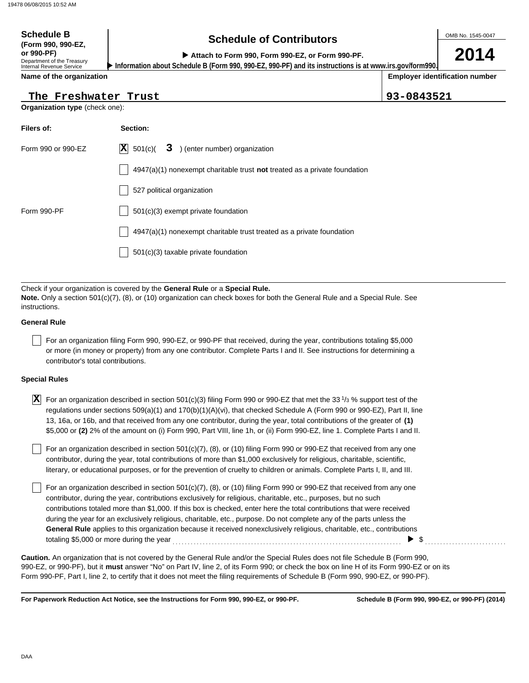## **Schedule of Contributors Schedule B**

**2014**

**or 990-PF) Attach to Form 990, Form 990-EZ, or Form 990-PF.**

Department of the Treasury Internal Revenue Service **Name of the organization**

**(Form 990, 990-EZ,**

**Employer identification number Information about Schedule B (Form 990, 990-EZ, 990-PF) and its instructions is at www.irs.gov/form990.**

**The Freshwater Trust 93-0843521**

| The Freshwater Trust |  |
|----------------------|--|
|                      |  |

**Organization type** (check one):

| Filers of:         | Section:                                                                           |
|--------------------|------------------------------------------------------------------------------------|
| Form 990 or 990-EZ | $ \mathbf{X} $ 501(c)(<br>$3$ ) (enter number) organization                        |
|                    | $4947(a)(1)$ nonexempt charitable trust <b>not</b> treated as a private foundation |
|                    | 527 political organization                                                         |
| Form 990-PF        | $501(c)(3)$ exempt private foundation                                              |
|                    | 4947(a)(1) nonexempt charitable trust treated as a private foundation              |
|                    | 501(c)(3) taxable private foundation                                               |

Check if your organization is covered by the **General Rule** or a **Special Rule. Note.** Only a section 501(c)(7), (8), or (10) organization can check boxes for both the General Rule and a Special Rule. See instructions.

### **General Rule**

For an organization filing Form 990, 990-EZ, or 990-PF that received, during the year, contributions totaling \$5,000 or more (in money or property) from any one contributor. Complete Parts I and II. See instructions for determining a contributor's total contributions.

### **Special Rules**

 $\overline{\textbf{X}}$  For an organization described in section 501(c)(3) filing Form 990 or 990-EZ that met the 33<sup>1</sup>/3 % support test of the regulations under sections 509(a)(1) and 170(b)(1)(A)(vi), that checked Schedule A (Form 990 or 990-EZ). Part II, line 13, 16a, or 16b, and that received from any one contributor, during the year, total contributions of the greater of **(1)** \$5,000 or **(2)** 2% of the amount on (i) Form 990, Part VIII, line 1h, or (ii) Form 990-EZ, line 1. Complete Parts I and II.

literary, or educational purposes, or for the prevention of cruelty to children or animals. Complete Parts I, II, and III. For an organization described in section 501(c)(7), (8), or (10) filing Form 990 or 990-EZ that received from any one contributor, during the year, total contributions of more than \$1,000 exclusively for religious, charitable, scientific,

For an organization described in section 501(c)(7), (8), or (10) filing Form 990 or 990-EZ that received from any one contributor, during the year, contributions exclusively for religious, charitable, etc., purposes, but no such contributions totaled more than \$1,000. If this box is checked, enter here the total contributions that were received during the year for an exclusively religious, charitable, etc., purpose. Do not complete any of the parts unless the **General Rule** applies to this organization because it received nonexclusively religious, charitable, etc., contributions totaling \$5,000 or more during the year . . . . . . . . . . . . . . . . . . . . . . . . . . . . . . . . . . . . . . . . . . . . . . . . . . . . . . . . . . . . . . . . . . . . . . . . . . . . \$ . . . . . . . . . . . . . . . . . . . . . . . . . . .

990-EZ, or 990-PF), but it **must** answer "No" on Part IV, line 2, of its Form 990; or check the box on line H of its Form 990-EZ or on its Form 990-PF, Part I, line 2, to certify that it does not meet the filing requirements of Schedule B (Form 990, 990-EZ, or 990-PF). **Caution.** An organization that is not covered by the General Rule and/or the Special Rules does not file Schedule B (Form 990,

**For Paperwork Reduction Act Notice, see the Instructions for Form 990, 990-EZ, or 990-PF.**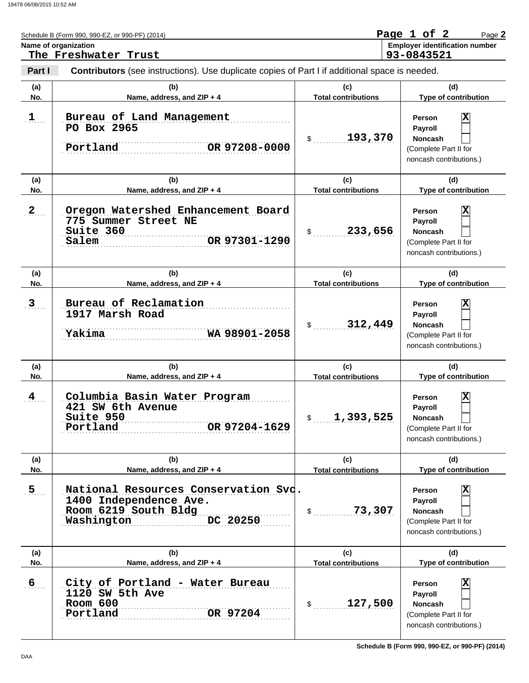|                 | Schedule B (Form 990, 990-EZ, or 990-PF) (2014)<br>Name of organization                                                |                                   | Page 1 of 2<br>Page 2<br><b>Employer identification number</b>                                                     |
|-----------------|------------------------------------------------------------------------------------------------------------------------|-----------------------------------|--------------------------------------------------------------------------------------------------------------------|
| Part I          | The Freshwater Trust<br>Contributors (see instructions). Use duplicate copies of Part I if additional space is needed. |                                   | 93-0843521                                                                                                         |
| (a)<br>No.      | (b)<br>Name, address, and ZIP + 4                                                                                      | (c)<br><b>Total contributions</b> | (d)<br>Type of contribution                                                                                        |
| $1$             | Bureau of Land Management<br>PO Box 2965<br>Portland<br>OR 97208-0000                                                  | 193,370<br>$\mathsf{\$}$          | $\overline{\mathbf{x}}$<br>Person<br>Payroll<br><b>Noncash</b><br>(Complete Part II for<br>noncash contributions.) |
| (a)<br>No.      | (b)<br>Name, address, and ZIP + 4                                                                                      | (c)<br><b>Total contributions</b> | (d)<br>Type of contribution                                                                                        |
| $\mathbf{2}$    | Oregon Watershed Enhancement Board<br>775 Summer Street NE<br>Suite 360<br>OR 97301-1290<br>Salem                      | 233,656<br>$\frac{1}{2}$          | $\overline{\mathbf{x}}$<br>Person<br>Payroll<br><b>Noncash</b><br>(Complete Part II for<br>noncash contributions.) |
| (a)<br>No.      | (b)<br>Name, address, and ZIP + 4                                                                                      | (c)<br><b>Total contributions</b> | (d)<br>Type of contribution                                                                                        |
| $\mathbf{3}$    | Bureau of Reclamation<br>1917 Marsh Road<br>Yakima<br>WA 98901-2058                                                    | 312,449<br>$\mathsf{\$}$          | $\overline{\mathbf{x}}$<br>Person<br>Payroll<br><b>Noncash</b><br>(Complete Part II for<br>noncash contributions.) |
| (a)<br>No.      | (b)<br>Name, address, and ZIP + 4                                                                                      | (c)<br><b>Total contributions</b> | (d)<br>Type of contribution                                                                                        |
| $\frac{4}{3}$   | Columbia Basin Water Program<br>421 SW 6th Avenue<br>Suite 950<br>OR 97204-1629<br>Portland                            | 1,393,525<br>\$                   | $\overline{\mathbf{x}}$<br>Person<br>Payroll<br><b>Noncash</b><br>(Complete Part II for<br>noncash contributions.) |
| (a)<br>No.      | (b)<br>Name, address, and ZIP + 4                                                                                      | (c)<br><b>Total contributions</b> | (d)<br>Type of contribution                                                                                        |
| 5 <sub>1</sub>  | National Resources Conservation Svd.<br>1400 Independence Ave.<br>Room 6219 South Bldg<br>DC 20250<br>Washington       | 73,307<br>\$                      | $\overline{\mathbf{x}}$<br>Person<br>Payroll<br>Noncash<br>(Complete Part II for<br>noncash contributions.)        |
| (a)<br>No.      | (b)<br>Name, address, and ZIP + 4                                                                                      | (c)<br><b>Total contributions</b> | (d)<br>Type of contribution                                                                                        |
| $6 \frac{1}{2}$ | City of Portland - Water Bureau<br>1120 SW 5th Ave<br>Room 600<br>Portland<br>OR 97204                                 | 127,500<br>\$                     | $\overline{\mathbf{x}}$<br>Person<br>Payroll<br>Noncash<br>(Complete Part II for<br>noncash contributions.)        |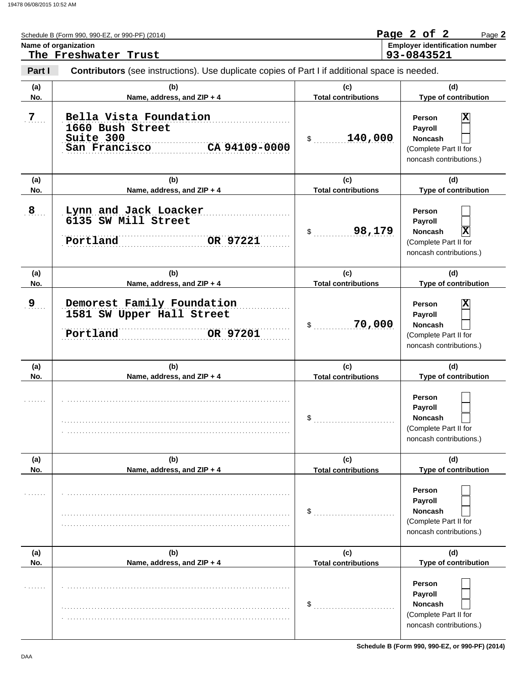|            | Schedule B (Form 990, 990-EZ, or 990-PF) (2014)                                                |                                   | Page 2 of 2<br>Page 2                                                                                       |
|------------|------------------------------------------------------------------------------------------------|-----------------------------------|-------------------------------------------------------------------------------------------------------------|
|            | Name of organization<br>The Freshwater Trust                                                   |                                   | <b>Employer identification number</b><br>93-0843521                                                         |
| Part I     | Contributors (see instructions). Use duplicate copies of Part I if additional space is needed. |                                   |                                                                                                             |
| (a)<br>No. | (b)<br>Name, address, and ZIP + 4                                                              | (c)<br><b>Total contributions</b> | (d)<br>Type of contribution                                                                                 |
| 7.         | Bella Vista Foundation<br>1660 Bush Street<br>Suite 300<br>San Francisco<br>CA 94109-0000      | 140,000<br>$\frac{1}{2}$          | $\overline{\mathbf{x}}$<br>Person<br>Payroll<br>Noncash<br>(Complete Part II for<br>noncash contributions.) |
| (a)        | (b)                                                                                            | (c)                               | (d)                                                                                                         |
| No.        | Name, address, and ZIP + 4                                                                     | <b>Total contributions</b>        | Type of contribution                                                                                        |
| 8          | Lynn and Jack Loacker<br>6135 SW Mill Street<br>Portland<br>OR 97221                           | 98,179<br>\$                      | Person<br>Payroll<br>$ \mathbf{X} $<br>Noncash<br>(Complete Part II for<br>noncash contributions.)          |
| (a)        | (b)                                                                                            | (c)                               | (d)                                                                                                         |
| No.        | Name, address, and ZIP + 4                                                                     | <b>Total contributions</b>        | Type of contribution                                                                                        |
| 9          | Demorest Family Foundation<br>1581 SW Upper Hall Street<br>Portland<br>OR 97201                | 70,000<br>\$                      | $\overline{\mathbf{x}}$<br>Person<br>Payroll<br>Noncash<br>(Complete Part II for<br>noncash contributions.) |
| (a)        | (b)                                                                                            | (c)                               | (d)                                                                                                         |
| No.        | Name, address, and ZIP + 4                                                                     | <b>Total contributions</b>        | Type of contribution<br>Person<br>Payroll<br>Noncash<br>(Complete Part II for<br>noncash contributions.)    |
| (a)        | (b)                                                                                            | (c)                               | (d)                                                                                                         |
| No.        | Name, address, and ZIP + 4                                                                     | <b>Total contributions</b>        | <b>Type of contribution</b>                                                                                 |
|            |                                                                                                | \$                                | Person<br>Payroll<br><b>Noncash</b><br>(Complete Part II for<br>noncash contributions.)                     |
| (a)        | (b)                                                                                            | (c)                               | (d)                                                                                                         |
| No.        | Name, address, and ZIP + 4                                                                     | <b>Total contributions</b>        | Type of contribution                                                                                        |
|            |                                                                                                | \$                                | Person<br>Payroll<br><b>Noncash</b><br>(Complete Part II for<br>noncash contributions.)                     |

**Schedule B (Form 990, 990-EZ, or 990-PF) (2014)**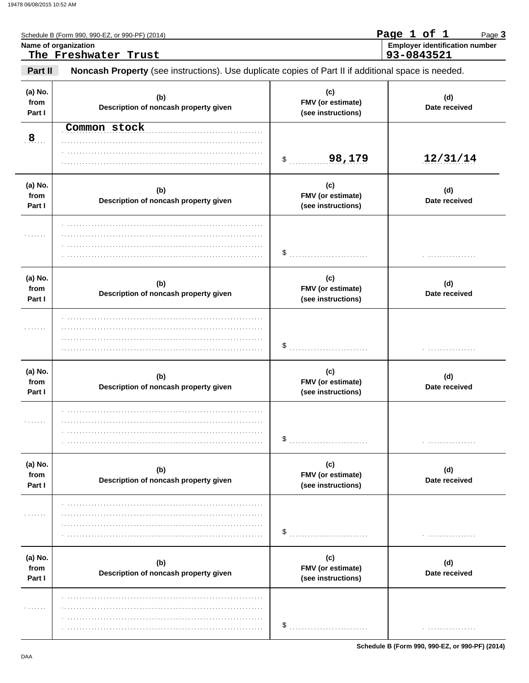|                           | Schedule B (Form 990, 990-EZ, or 990-PF) (2014)<br>Name of organization                                                     |                                                | Page 1 of 1<br>Page 3<br><b>Employer identification number</b> |
|---------------------------|-----------------------------------------------------------------------------------------------------------------------------|------------------------------------------------|----------------------------------------------------------------|
| Part II                   | The Freshwater Trust<br>Noncash Property (see instructions). Use duplicate copies of Part II if additional space is needed. |                                                | 93-0843521                                                     |
| (a) No.<br>from<br>Part I | (b)<br>Description of noncash property given                                                                                | (c)<br>FMV (or estimate)<br>(see instructions) | (d)<br>Date received                                           |
| 8 <sub>1</sub>            | Common stock                                                                                                                | \$30179                                        | 12/31/14                                                       |
| (a) No.<br>from<br>Part I | (b)<br>Description of noncash property given                                                                                | (c)<br>FMV (or estimate)<br>(see instructions) | (d)<br>Date received                                           |
| .                         |                                                                                                                             |                                                | .                                                              |
| (a) No.<br>from<br>Part I | (b)<br>Description of noncash property given                                                                                | (c)<br>FMV (or estimate)<br>(see instructions) | (d)<br>Date received                                           |
| .                         |                                                                                                                             |                                                | .                                                              |
| (a) No.<br>from<br>Part I | (b)<br>Description of noncash property given                                                                                | (c)<br>FMV (or estimate)<br>(see instructions) | (d)<br>Date received                                           |
|                           |                                                                                                                             | \$                                             |                                                                |
| (a) No.<br>from<br>Part I | (b)<br>Description of noncash property given                                                                                | (c)<br>FMV (or estimate)<br>(see instructions) | (d)<br>Date received                                           |
| .                         |                                                                                                                             | \$                                             |                                                                |
| (a) No.<br>from<br>Part I | (b)<br>Description of noncash property given                                                                                | (c)<br>FMV (or estimate)<br>(see instructions) | (d)<br>Date received                                           |
| .                         |                                                                                                                             | \$                                             |                                                                |

Schedule B (Form 990, 990-EZ, or 990-PF) (2014)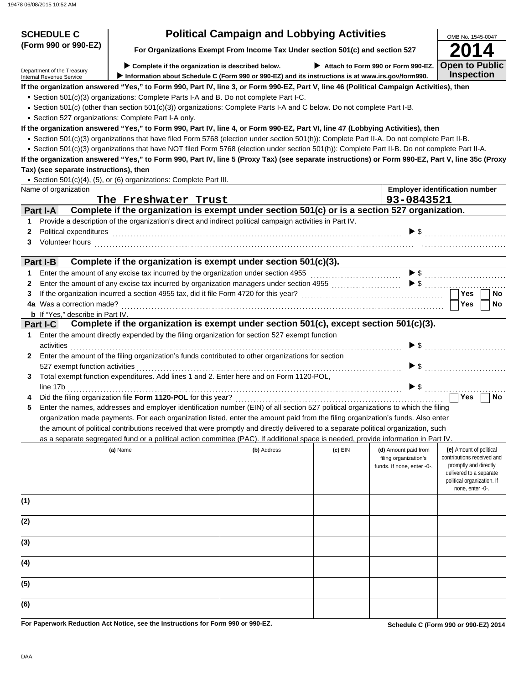| <b>Political Campaign and Lobbying Activities</b><br><b>SCHEDULE C</b><br>OMB No. 1545-0047                                                 |                                                                                                                                                                                                                                                                                                     |                                                                                                                                                                                                                                      |                                                                               |           |                                                     |                                                     |  |  |
|---------------------------------------------------------------------------------------------------------------------------------------------|-----------------------------------------------------------------------------------------------------------------------------------------------------------------------------------------------------------------------------------------------------------------------------------------------------|--------------------------------------------------------------------------------------------------------------------------------------------------------------------------------------------------------------------------------------|-------------------------------------------------------------------------------|-----------|-----------------------------------------------------|-----------------------------------------------------|--|--|
|                                                                                                                                             | (Form 990 or 990-EZ)                                                                                                                                                                                                                                                                                |                                                                                                                                                                                                                                      | For Organizations Exempt From Income Tax Under section 501(c) and section 527 |           |                                                     | 2014                                                |  |  |
|                                                                                                                                             | Department of the Treasury                                                                                                                                                                                                                                                                          | Complete if the organization is described below.<br>Information about Schedule C (Form 990 or 990-EZ) and its instructions is at www.irs.gov/form990.                                                                                |                                                                               |           | Attach to Form 990 or Form 990-EZ.                  | <b>Open to Public</b><br><b>Inspection</b>          |  |  |
|                                                                                                                                             | Internal Revenue Service                                                                                                                                                                                                                                                                            | If the organization answered "Yes," to Form 990, Part IV, line 3, or Form 990-EZ, Part V, line 46 (Political Campaign Activities), then                                                                                              |                                                                               |           |                                                     |                                                     |  |  |
|                                                                                                                                             |                                                                                                                                                                                                                                                                                                     |                                                                                                                                                                                                                                      |                                                                               |           |                                                     |                                                     |  |  |
|                                                                                                                                             |                                                                                                                                                                                                                                                                                                     | • Section 501(c)(3) organizations: Complete Parts I-A and B. Do not complete Part I-C.                                                                                                                                               |                                                                               |           |                                                     |                                                     |  |  |
|                                                                                                                                             |                                                                                                                                                                                                                                                                                                     | • Section 501(c) (other than section 501(c)(3)) organizations: Complete Parts I-A and C below. Do not complete Part I-B.                                                                                                             |                                                                               |           |                                                     |                                                     |  |  |
|                                                                                                                                             |                                                                                                                                                                                                                                                                                                     | • Section 527 organizations: Complete Part I-A only.                                                                                                                                                                                 |                                                                               |           |                                                     |                                                     |  |  |
|                                                                                                                                             | If the organization answered "Yes," to Form 990, Part IV, line 4, or Form 990-EZ, Part VI, line 47 (Lobbying Activities), then                                                                                                                                                                      |                                                                                                                                                                                                                                      |                                                                               |           |                                                     |                                                     |  |  |
| • Section 501(c)(3) organizations that have filed Form 5768 (election under section 501(h)): Complete Part II-A. Do not complete Part II-B. |                                                                                                                                                                                                                                                                                                     |                                                                                                                                                                                                                                      |                                                                               |           |                                                     |                                                     |  |  |
|                                                                                                                                             | • Section 501(c)(3) organizations that have NOT filed Form 5768 (election under section 501(h)): Complete Part II-B. Do not complete Part II-A.<br>If the organization answered "Yes," to Form 990, Part IV, line 5 (Proxy Tax) (see separate instructions) or Form 990-EZ, Part V, line 35c (Proxy |                                                                                                                                                                                                                                      |                                                                               |           |                                                     |                                                     |  |  |
|                                                                                                                                             |                                                                                                                                                                                                                                                                                                     |                                                                                                                                                                                                                                      |                                                                               |           |                                                     |                                                     |  |  |
|                                                                                                                                             | Tax) (see separate instructions), then                                                                                                                                                                                                                                                              |                                                                                                                                                                                                                                      |                                                                               |           |                                                     |                                                     |  |  |
|                                                                                                                                             |                                                                                                                                                                                                                                                                                                     | • Section 501(c)(4), (5), or (6) organizations: Complete Part III.                                                                                                                                                                   |                                                                               |           |                                                     |                                                     |  |  |
|                                                                                                                                             | Name of organization                                                                                                                                                                                                                                                                                |                                                                                                                                                                                                                                      |                                                                               |           |                                                     | <b>Employer identification number</b>               |  |  |
|                                                                                                                                             |                                                                                                                                                                                                                                                                                                     | The Freshwater Trust                                                                                                                                                                                                                 |                                                                               |           | 93-0843521                                          |                                                     |  |  |
|                                                                                                                                             | Part I-A                                                                                                                                                                                                                                                                                            | Complete if the organization is exempt under section 501(c) or is a section 527 organization.                                                                                                                                        |                                                                               |           |                                                     |                                                     |  |  |
| 1                                                                                                                                           |                                                                                                                                                                                                                                                                                                     | Provide a description of the organization's direct and indirect political campaign activities in Part IV.                                                                                                                            |                                                                               |           |                                                     |                                                     |  |  |
| 2                                                                                                                                           | Political expenditures                                                                                                                                                                                                                                                                              |                                                                                                                                                                                                                                      |                                                                               |           | $\blacktriangleright$ \$                            |                                                     |  |  |
| 3                                                                                                                                           |                                                                                                                                                                                                                                                                                                     | Volunteer hours <b>contract the contract of the contract of the contract of the contract of the contract of the contract of the contract of the contract of the contract of the contract of the contract of the contract of the </b> |                                                                               |           |                                                     |                                                     |  |  |
|                                                                                                                                             |                                                                                                                                                                                                                                                                                                     |                                                                                                                                                                                                                                      |                                                                               |           |                                                     |                                                     |  |  |
|                                                                                                                                             | Part I-B                                                                                                                                                                                                                                                                                            | Complete if the organization is exempt under section 501(c)(3).                                                                                                                                                                      |                                                                               |           |                                                     |                                                     |  |  |
| 1                                                                                                                                           |                                                                                                                                                                                                                                                                                                     | Enter the amount of any excise tax incurred by the organization under section 4955                                                                                                                                                   |                                                                               |           |                                                     | $\triangleright$ \$                                 |  |  |
| 2                                                                                                                                           |                                                                                                                                                                                                                                                                                                     | Enter the amount of any excise tax incurred by organization managers under section 4955                                                                                                                                              |                                                                               |           |                                                     |                                                     |  |  |
| 3                                                                                                                                           |                                                                                                                                                                                                                                                                                                     | If the organization incurred a section 4955 tax, did it file Form 4720 for this year?                                                                                                                                                |                                                                               |           |                                                     | <b>Yes</b><br>No.                                   |  |  |
|                                                                                                                                             | 4a Was a correction made?                                                                                                                                                                                                                                                                           |                                                                                                                                                                                                                                      |                                                                               |           |                                                     | Yes<br>No.                                          |  |  |
|                                                                                                                                             | <b>b</b> If "Yes," describe in Part IV.                                                                                                                                                                                                                                                             |                                                                                                                                                                                                                                      |                                                                               |           |                                                     |                                                     |  |  |
|                                                                                                                                             | <b>Part I-C</b>                                                                                                                                                                                                                                                                                     | Complete if the organization is exempt under section 501(c), except section 501(c)(3).                                                                                                                                               |                                                                               |           |                                                     |                                                     |  |  |
| 1.                                                                                                                                          |                                                                                                                                                                                                                                                                                                     | Enter the amount directly expended by the filing organization for section 527 exempt function                                                                                                                                        |                                                                               |           |                                                     |                                                     |  |  |
|                                                                                                                                             | activities                                                                                                                                                                                                                                                                                          |                                                                                                                                                                                                                                      |                                                                               |           | $\blacktriangleright$ \$                            |                                                     |  |  |
| 2                                                                                                                                           |                                                                                                                                                                                                                                                                                                     | Enter the amount of the filing organization's funds contributed to other organizations for section                                                                                                                                   |                                                                               |           |                                                     |                                                     |  |  |
|                                                                                                                                             | 527 exempt function activities                                                                                                                                                                                                                                                                      |                                                                                                                                                                                                                                      |                                                                               |           | $\blacktriangleright$ \$                            |                                                     |  |  |
| 3                                                                                                                                           |                                                                                                                                                                                                                                                                                                     | Total exempt function expenditures. Add lines 1 and 2. Enter here and on Form 1120-POL,                                                                                                                                              |                                                                               |           |                                                     |                                                     |  |  |
|                                                                                                                                             | line 17b                                                                                                                                                                                                                                                                                            |                                                                                                                                                                                                                                      |                                                                               |           | $\blacktriangleright$ \$                            |                                                     |  |  |
|                                                                                                                                             |                                                                                                                                                                                                                                                                                                     |                                                                                                                                                                                                                                      |                                                                               |           |                                                     |                                                     |  |  |
|                                                                                                                                             |                                                                                                                                                                                                                                                                                                     | Did the filing organization file Form 1120-POL for this year?                                                                                                                                                                        |                                                                               |           |                                                     | Yes<br><b>No</b>                                    |  |  |
|                                                                                                                                             |                                                                                                                                                                                                                                                                                                     | Enter the names, addresses and employer identification number (EIN) of all section 527 political organizations to which the filing                                                                                                   |                                                                               |           |                                                     |                                                     |  |  |
|                                                                                                                                             |                                                                                                                                                                                                                                                                                                     | organization made payments. For each organization listed, enter the amount paid from the filing organization's funds. Also enter                                                                                                     |                                                                               |           |                                                     |                                                     |  |  |
|                                                                                                                                             |                                                                                                                                                                                                                                                                                                     | the amount of political contributions received that were promptly and directly delivered to a separate political organization, such                                                                                                  |                                                                               |           |                                                     |                                                     |  |  |
|                                                                                                                                             |                                                                                                                                                                                                                                                                                                     | as a separate segregated fund or a political action committee (PAC). If additional space is needed, provide information in Part IV.                                                                                                  |                                                                               |           |                                                     |                                                     |  |  |
|                                                                                                                                             |                                                                                                                                                                                                                                                                                                     | (a) Name                                                                                                                                                                                                                             | (b) Address                                                                   | $(c)$ EIN | (d) Amount paid from                                | (e) Amount of political                             |  |  |
|                                                                                                                                             |                                                                                                                                                                                                                                                                                                     |                                                                                                                                                                                                                                      |                                                                               |           | filing organization's<br>funds. If none, enter -0-. | contributions received and<br>promptly and directly |  |  |
|                                                                                                                                             |                                                                                                                                                                                                                                                                                                     |                                                                                                                                                                                                                                      |                                                                               |           |                                                     | delivered to a separate                             |  |  |
|                                                                                                                                             |                                                                                                                                                                                                                                                                                                     |                                                                                                                                                                                                                                      |                                                                               |           |                                                     | political organization. If                          |  |  |
|                                                                                                                                             |                                                                                                                                                                                                                                                                                                     |                                                                                                                                                                                                                                      |                                                                               |           |                                                     | none, enter -0-.                                    |  |  |
| (1)                                                                                                                                         |                                                                                                                                                                                                                                                                                                     |                                                                                                                                                                                                                                      |                                                                               |           |                                                     |                                                     |  |  |
|                                                                                                                                             |                                                                                                                                                                                                                                                                                                     |                                                                                                                                                                                                                                      |                                                                               |           |                                                     |                                                     |  |  |
| (2)                                                                                                                                         |                                                                                                                                                                                                                                                                                                     |                                                                                                                                                                                                                                      |                                                                               |           |                                                     |                                                     |  |  |
|                                                                                                                                             |                                                                                                                                                                                                                                                                                                     |                                                                                                                                                                                                                                      |                                                                               |           |                                                     |                                                     |  |  |
| (3)                                                                                                                                         |                                                                                                                                                                                                                                                                                                     |                                                                                                                                                                                                                                      |                                                                               |           |                                                     |                                                     |  |  |
|                                                                                                                                             |                                                                                                                                                                                                                                                                                                     |                                                                                                                                                                                                                                      |                                                                               |           |                                                     |                                                     |  |  |
| (4)                                                                                                                                         |                                                                                                                                                                                                                                                                                                     |                                                                                                                                                                                                                                      |                                                                               |           |                                                     |                                                     |  |  |
|                                                                                                                                             |                                                                                                                                                                                                                                                                                                     |                                                                                                                                                                                                                                      |                                                                               |           |                                                     |                                                     |  |  |
| (5)                                                                                                                                         |                                                                                                                                                                                                                                                                                                     |                                                                                                                                                                                                                                      |                                                                               |           |                                                     |                                                     |  |  |
|                                                                                                                                             |                                                                                                                                                                                                                                                                                                     |                                                                                                                                                                                                                                      |                                                                               |           |                                                     |                                                     |  |  |
|                                                                                                                                             |                                                                                                                                                                                                                                                                                                     |                                                                                                                                                                                                                                      |                                                                               |           |                                                     |                                                     |  |  |
| (6)                                                                                                                                         |                                                                                                                                                                                                                                                                                                     |                                                                                                                                                                                                                                      |                                                                               |           |                                                     |                                                     |  |  |

**For Paperwork Reduction Act Notice, see the Instructions for Form 990 or 990-EZ.**

**Schedule C (Form 990 or 990-EZ) 2014**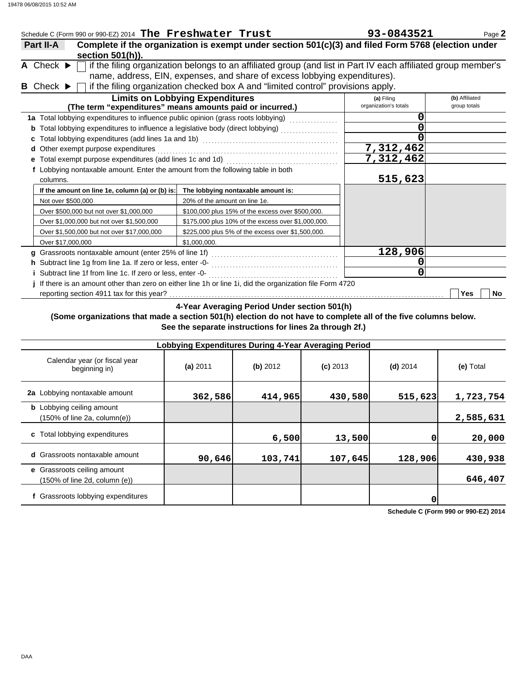|   | Schedule C (Form 990 or 990-EZ) 2014 The Freshwater Trust                         |                                                                                                               | 93-0843521                          | Page 2                         |
|---|-----------------------------------------------------------------------------------|---------------------------------------------------------------------------------------------------------------|-------------------------------------|--------------------------------|
|   | Part II-A                                                                         | Complete if the organization is exempt under section 501(c)(3) and filed Form 5768 (election under            |                                     |                                |
|   | section 501(h)).                                                                  |                                                                                                               |                                     |                                |
|   | A Check $\blacktriangleright$                                                     | if the filing organization belongs to an affiliated group (and list in Part IV each affiliated group member's |                                     |                                |
|   |                                                                                   | name, address, EIN, expenses, and share of excess lobbying expenditures).                                     |                                     |                                |
|   | <b>B</b> Check $\blacktriangleright$                                              | if the filing organization checked box A and "limited control" provisions apply.                              |                                     |                                |
|   |                                                                                   | <b>Limits on Lobbying Expenditures</b><br>(The term "expenditures" means amounts paid or incurred.)           | (a) Filing<br>organization's totals | (b) Affiliated<br>group totals |
|   | 1a Total lobbying expenditures to influence public opinion (grass roots lobbying) |                                                                                                               | ი                                   |                                |
| b |                                                                                   |                                                                                                               |                                     |                                |
|   |                                                                                   |                                                                                                               | O                                   |                                |
| d | Other exempt purpose expenditures                                                 |                                                                                                               | 7,312,462                           |                                |
| е |                                                                                   |                                                                                                               | 7,312,462                           |                                |
|   | f Lobbying nontaxable amount. Enter the amount from the following table in both   |                                                                                                               |                                     |                                |
|   | columns.                                                                          |                                                                                                               | 515,623                             |                                |
|   | If the amount on line 1e, column (a) or (b) is:                                   | The lobbying nontaxable amount is:                                                                            |                                     |                                |
|   | Not over \$500,000                                                                | 20% of the amount on line 1e.                                                                                 |                                     |                                |
|   | Over \$500,000 but not over \$1,000,000                                           | \$100,000 plus 15% of the excess over \$500,000.                                                              |                                     |                                |
|   | Over \$1,000,000 but not over \$1,500,000                                         | \$175,000 plus 10% of the excess over \$1,000,000.                                                            |                                     |                                |
|   | Over \$1,500,000 but not over \$17,000,000                                        | \$225,000 plus 5% of the excess over \$1,500,000.                                                             |                                     |                                |
|   | Over \$17,000,000                                                                 | \$1,000,000.                                                                                                  |                                     |                                |
| a |                                                                                   |                                                                                                               | 128,906                             |                                |
|   |                                                                                   |                                                                                                               |                                     |                                |
|   | Subtract line 1f from line 1c. If zero or less, enter -0-                         |                                                                                                               | 0                                   |                                |
|   |                                                                                   | If there is an amount other than zero on either line 1h or line 1i, did the organization file Form 4720       |                                     |                                |
|   | reporting section 4911 tax for this year?                                         |                                                                                                               |                                     | Yes<br>No                      |

**4-Year Averaging Period Under section 501(h)**

**(Some organizations that made a section 501(h) election do not have to complete all of the five columns below. See the separate instructions for lines 2a through 2f.)**

| Lobbying Expenditures During 4-Year Averaging Period                                 |          |          |            |            |           |  |  |
|--------------------------------------------------------------------------------------|----------|----------|------------|------------|-----------|--|--|
| Calendar year (or fiscal year<br>beginning in)                                       | (a) 2011 | (b) 2012 | $(c)$ 2013 | $(d)$ 2014 | (e) Total |  |  |
| 2a Lobbying nontaxable amount                                                        | 362,586  | 414,965  | 430,580    | 515,623    | 1,723,754 |  |  |
| <b>b</b> Lobbying ceiling amount<br>$(150\% \text{ of line } 2a, \text{ column}(e))$ |          |          |            |            | 2,585,631 |  |  |
| c Total lobbying expenditures                                                        |          | 6,500    | 13,500     |            | 20,000    |  |  |
| <b>d</b> Grassroots nontaxable amount                                                | 90,646   | 103,741  | 107,645    | 128,906    | 430,938   |  |  |
| e Grassroots ceiling amount<br>$(150\% \text{ of line } 2d, \text{ column } (e))$    |          |          |            |            | 646,407   |  |  |
| f Grassroots lobbying expenditures                                                   |          |          |            | 0          |           |  |  |

**Schedule C (Form 990 or 990-EZ) 2014**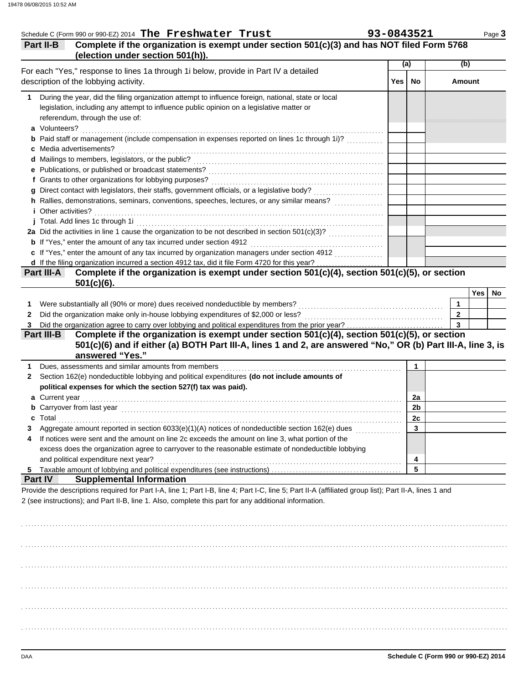| Complete if the organization is exempt under section 501(c)(3) and has NOT filed Form 5768<br>Part II-B                                                                                                                                                                                                                                                                                                                                                                                                       |       |                |                                       |
|---------------------------------------------------------------------------------------------------------------------------------------------------------------------------------------------------------------------------------------------------------------------------------------------------------------------------------------------------------------------------------------------------------------------------------------------------------------------------------------------------------------|-------|----------------|---------------------------------------|
| (election under section 501(h)).                                                                                                                                                                                                                                                                                                                                                                                                                                                                              | (a)   |                | (b)                                   |
| For each "Yes," response to lines 1a through 1i below, provide in Part IV a detailed<br>description of the lobbying activity.                                                                                                                                                                                                                                                                                                                                                                                 | Yes l | No             | Amount                                |
| During the year, did the filing organization attempt to influence foreign, national, state or local<br>1<br>legislation, including any attempt to influence public opinion on a legislative matter or<br>referendum, through the use of:<br>a Volunteers?<br><b>b</b> Paid staff or management (include compensation in expenses reported on lines 1c through 1i)?<br>c Media advertisements?<br>d Mailings to members, legislators, or the public?<br>f Grants to other organizations for lobbying purposes? |       |                |                                       |
| <i>i</i> Other activities?<br>j Total. Add lines 1c through 1i<br><b>b</b> If "Yes," enter the amount of any tax incurred under section 4912<br>c If "Yes," enter the amount of any tax incurred by organization managers under section 4912<br>d If the filing organization incurred a section 4912 tax, did it file Form 4720 for this year?<br>Complete if the organization is exempt under section 501(c)(4), section 501(c)(5), or section<br>Part III-A                                                 |       |                |                                       |
| Were substantially all (90% or more) dues received nondeductible by members?                                                                                                                                                                                                                                                                                                                                                                                                                                  |       |                | Yes<br>$\mathbf{1}$<br>$\overline{2}$ |
| Did the organization make only in-house lobbying expenditures of \$2,000 or less?<br>Did the organization agree to carry over lobbying and political expenditures from the prior year?<br>Complete if the organization is exempt under section $501(c)(4)$ , section $501(c)(5)$ , or section<br>501(c)(6) and if either (a) BOTH Part III-A, lines 1 and 2, are answered "No," OR (b) Part III-A, line 3, is                                                                                                 |       |                | $\overline{3}$                        |
| answered "Yes."                                                                                                                                                                                                                                                                                                                                                                                                                                                                                               |       |                |                                       |
| Dues, assessments and similar amounts from members                                                                                                                                                                                                                                                                                                                                                                                                                                                            |       | 1              |                                       |
| Section 162(e) nondeductible lobbying and political expenditures (do not include amounts of<br>political expenses for which the section 527(f) tax was paid).                                                                                                                                                                                                                                                                                                                                                 |       |                |                                       |
|                                                                                                                                                                                                                                                                                                                                                                                                                                                                                                               |       | 2a             |                                       |
|                                                                                                                                                                                                                                                                                                                                                                                                                                                                                                               |       | 2 <sub>b</sub> |                                       |
|                                                                                                                                                                                                                                                                                                                                                                                                                                                                                                               |       | 2c             |                                       |
| <b>b</b> Carryover from last year<br>Aggregate amount reported in section 6033(e)(1)(A) notices of nondeductible section 162(e) dues                                                                                                                                                                                                                                                                                                                                                                          |       | 3              |                                       |
| c Total<br>If notices were sent and the amount on line 2c exceeds the amount on line 3, what portion of the                                                                                                                                                                                                                                                                                                                                                                                                   |       |                |                                       |
| excess does the organization agree to carryover to the reasonable estimate of nondeductible lobbying                                                                                                                                                                                                                                                                                                                                                                                                          |       |                |                                       |
| and political expenditure next year?                                                                                                                                                                                                                                                                                                                                                                                                                                                                          |       |                |                                       |
|                                                                                                                                                                                                                                                                                                                                                                                                                                                                                                               |       | 5              |                                       |
| <b>Supplemental Information</b>                                                                                                                                                                                                                                                                                                                                                                                                                                                                               |       |                |                                       |
| 1<br>2<br>3.<br><b>Part III-B</b><br>1<br>$\mathbf{2}$<br>4<br><b>Part IV</b><br>Provide the descriptions required for Part I-A, line 1; Part I-B, line 4; Part I-C, line 5; Part II-A (affiliated group list); Part II-A, lines 1 and<br>2 (see instructions); and Part II-B, line 1. Also, complete this part for any additional information.                                                                                                                                                               |       |                |                                       |
|                                                                                                                                                                                                                                                                                                                                                                                                                                                                                                               |       |                |                                       |
|                                                                                                                                                                                                                                                                                                                                                                                                                                                                                                               |       |                |                                       |
|                                                                                                                                                                                                                                                                                                                                                                                                                                                                                                               |       |                |                                       |
|                                                                                                                                                                                                                                                                                                                                                                                                                                                                                                               |       |                |                                       |
|                                                                                                                                                                                                                                                                                                                                                                                                                                                                                                               |       |                |                                       |
|                                                                                                                                                                                                                                                                                                                                                                                                                                                                                                               |       |                |                                       |
|                                                                                                                                                                                                                                                                                                                                                                                                                                                                                                               |       |                |                                       |

. . . . . . . . . . . . . . . . . . . . . . . . . . . . . . . . . . . . . . . . . . . . . . . . . . . . . . . . . . . . . . . . . . . . . . . . . . . . . . . . . . . . . . . . . . . . . . . . . . . . . . . . . . . . . . . . . . . . . . . . . . . . . . . . . . . . . . . . . . . . . . . . . . . . . . . . . . . . . . . . .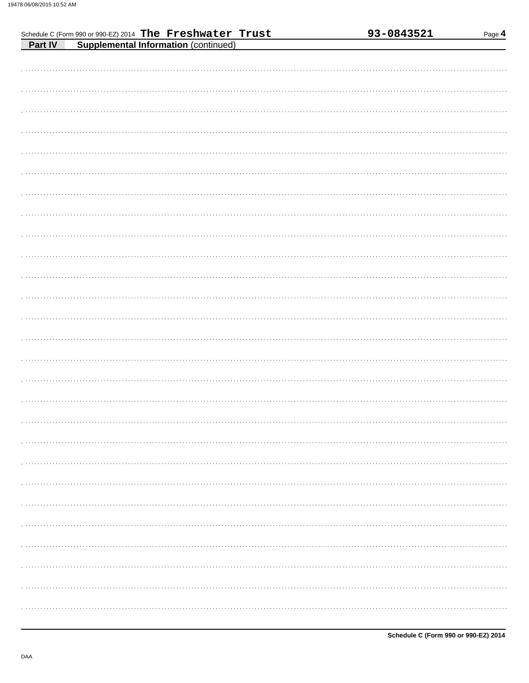|         | Schedule C (Form 990 or 990-EZ) 2014 The Freshwater Trust |  | 93-0843521 | Page 4 |
|---------|-----------------------------------------------------------|--|------------|--------|
| Part IV | <b>Supplemental Information (continued)</b>               |  |            |        |
|         |                                                           |  |            |        |
|         |                                                           |  |            |        |
|         |                                                           |  |            |        |
|         |                                                           |  |            |        |
|         |                                                           |  |            |        |
|         |                                                           |  |            |        |
|         |                                                           |  |            |        |
|         |                                                           |  |            |        |
|         |                                                           |  |            |        |
|         |                                                           |  |            |        |
|         |                                                           |  |            |        |
|         |                                                           |  |            |        |
|         |                                                           |  |            |        |
|         |                                                           |  |            |        |
|         |                                                           |  |            |        |
|         |                                                           |  |            |        |
|         |                                                           |  |            |        |
|         |                                                           |  |            |        |
|         |                                                           |  |            |        |
|         |                                                           |  |            |        |
|         |                                                           |  |            |        |
|         |                                                           |  |            |        |
|         |                                                           |  |            |        |
|         |                                                           |  |            |        |
|         |                                                           |  |            |        |
|         |                                                           |  |            |        |
|         |                                                           |  |            |        |
|         |                                                           |  |            |        |
|         |                                                           |  |            |        |
|         |                                                           |  |            |        |
|         |                                                           |  |            |        |
|         |                                                           |  |            |        |
|         |                                                           |  |            |        |
|         |                                                           |  |            |        |
|         |                                                           |  |            |        |
|         |                                                           |  |            |        |
|         |                                                           |  |            |        |
|         |                                                           |  |            |        |
|         |                                                           |  |            |        |
|         |                                                           |  |            |        |
|         |                                                           |  |            |        |
|         |                                                           |  |            |        |
|         |                                                           |  |            |        |
|         |                                                           |  |            |        |
|         |                                                           |  |            |        |
|         |                                                           |  |            |        |
|         |                                                           |  |            |        |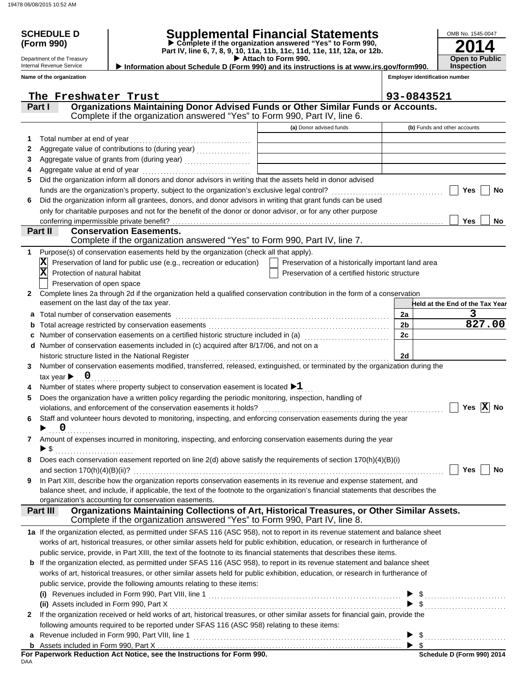Department of the Treasury Internal Revenue Service

## **SCHEDULE D Supplemental Financial Statements**

 **Attach to Form 990. (Form 990) Part IV, line 6, 7, 8, 9, 10, 11a, 11b, 11c, 11d, 11e, 11f, 12a, or 12b. Complete if the organization answered "Yes" to Form 990,**

 **Information about Schedule D (Form 990) and its instructions is at www.irs.gov/form990.**

**Employer identification number**

**2014**

**Open to Public Inspection**

OMB No. 1545-0047

|              | Name of the organization                                                                                                                                                                                                                                            |                                                    | <b>Employer identification number</b> |                                 |
|--------------|---------------------------------------------------------------------------------------------------------------------------------------------------------------------------------------------------------------------------------------------------------------------|----------------------------------------------------|---------------------------------------|---------------------------------|
|              | The Freshwater Trust                                                                                                                                                                                                                                                |                                                    | 93-0843521                            |                                 |
|              | Organizations Maintaining Donor Advised Funds or Other Similar Funds or Accounts.<br>Part I<br>Complete if the organization answered "Yes" to Form 990, Part IV, line 6.                                                                                            |                                                    |                                       |                                 |
|              |                                                                                                                                                                                                                                                                     | (a) Donor advised funds                            | (b) Funds and other accounts          |                                 |
| 1            | Total number at end of year                                                                                                                                                                                                                                         |                                                    |                                       |                                 |
| 2            | Aggregate value of contributions to (during year)                                                                                                                                                                                                                   |                                                    |                                       |                                 |
| 3            |                                                                                                                                                                                                                                                                     |                                                    |                                       |                                 |
| 4            |                                                                                                                                                                                                                                                                     |                                                    |                                       |                                 |
| 5            | Did the organization inform all donors and donor advisors in writing that the assets held in donor advised                                                                                                                                                          |                                                    |                                       |                                 |
|              |                                                                                                                                                                                                                                                                     |                                                    |                                       | Yes<br><b>No</b>                |
|              | Did the organization inform all grantees, donors, and donor advisors in writing that grant funds can be used                                                                                                                                                        |                                                    |                                       |                                 |
|              | only for charitable purposes and not for the benefit of the donor or donor advisor, or for any other purpose                                                                                                                                                        |                                                    |                                       |                                 |
|              |                                                                                                                                                                                                                                                                     |                                                    |                                       | <b>Yes</b><br>No                |
|              | <b>Conservation Easements.</b><br>Part II                                                                                                                                                                                                                           |                                                    |                                       |                                 |
|              | Complete if the organization answered "Yes" to Form 990, Part IV, line 7.                                                                                                                                                                                           |                                                    |                                       |                                 |
| 1            | Purpose(s) of conservation easements held by the organization (check all that apply).                                                                                                                                                                               |                                                    |                                       |                                 |
|              | $ \mathbf{X} $ Preservation of land for public use (e.g., recreation or education)                                                                                                                                                                                  | Preservation of a historically important land area |                                       |                                 |
|              | $ \mathbf{X} $<br>Protection of natural habitat                                                                                                                                                                                                                     | Preservation of a certified historic structure     |                                       |                                 |
|              | Preservation of open space                                                                                                                                                                                                                                          |                                                    |                                       |                                 |
| 2            | Complete lines 2a through 2d if the organization held a qualified conservation contribution in the form of a conservation<br>easement on the last day of the tax year.                                                                                              |                                                    |                                       |                                 |
|              |                                                                                                                                                                                                                                                                     |                                                    |                                       | Held at the End of the Tax Year |
| a            | Total number of conservation easements                                                                                                                                                                                                                              |                                                    | 2a                                    | 827.00                          |
| b            |                                                                                                                                                                                                                                                                     |                                                    | 2 <sub>b</sub><br>2c                  |                                 |
| с            | Number of conservation easements on a certified historic structure included in (a) [11] Number of conservation easements on a certified historic structure included in (a)<br>Number of conservation easements included in (c) acquired after 8/17/06, and not on a |                                                    |                                       |                                 |
| d            | historic structure listed in the National Register                                                                                                                                                                                                                  |                                                    | 2d                                    |                                 |
| 3            | Number of conservation easements modified, transferred, released, extinguished, or terminated by the organization during the                                                                                                                                        |                                                    |                                       |                                 |
|              | tax year $\blacktriangleright$ 0                                                                                                                                                                                                                                    |                                                    |                                       |                                 |
|              | Number of states where property subject to conservation easement is located $\blacktriangleright 1$                                                                                                                                                                 |                                                    |                                       |                                 |
| 5            | Does the organization have a written policy regarding the periodic monitoring, inspection, handling of                                                                                                                                                              |                                                    |                                       |                                 |
|              | violations, and enforcement of the conservation easements it holds?                                                                                                                                                                                                 |                                                    |                                       | Yes $ X $ No                    |
| 6            | Staff and volunteer hours devoted to monitoring, inspecting, and enforcing conservation easements during the year                                                                                                                                                   |                                                    |                                       |                                 |
|              | $\overline{\mathbf{0}}$                                                                                                                                                                                                                                             |                                                    |                                       |                                 |
| 7            | Amount of expenses incurred in monitoring, inspecting, and enforcing conservation easements during the year                                                                                                                                                         |                                                    |                                       |                                 |
|              | ▶\$                                                                                                                                                                                                                                                                 |                                                    |                                       |                                 |
|              | Does each conservation easement reported on line 2(d) above satisfy the requirements of section 170(h)(4)(B)(i)                                                                                                                                                     |                                                    |                                       |                                 |
|              | and section $170(h)(4)(B)(ii)?$                                                                                                                                                                                                                                     |                                                    |                                       | Yes<br>No                       |
| 9            | In Part XIII, describe how the organization reports conservation easements in its revenue and expense statement, and                                                                                                                                                |                                                    |                                       |                                 |
|              | balance sheet, and include, if applicable, the text of the footnote to the organization's financial statements that describes the                                                                                                                                   |                                                    |                                       |                                 |
|              | organization's accounting for conservation easements.                                                                                                                                                                                                               |                                                    |                                       |                                 |
|              | Organizations Maintaining Collections of Art, Historical Treasures, or Other Similar Assets.<br>Part III<br>Complete if the organization answered "Yes" to Form 990, Part IV, line 8.                                                                               |                                                    |                                       |                                 |
|              |                                                                                                                                                                                                                                                                     |                                                    |                                       |                                 |
|              | 1a If the organization elected, as permitted under SFAS 116 (ASC 958), not to report in its revenue statement and balance sheet<br>works of art, historical treasures, or other similar assets held for public exhibition, education, or research in furtherance of |                                                    |                                       |                                 |
|              | public service, provide, in Part XIII, the text of the footnote to its financial statements that describes these items.                                                                                                                                             |                                                    |                                       |                                 |
|              | <b>b</b> If the organization elected, as permitted under SFAS 116 (ASC 958), to report in its revenue statement and balance sheet                                                                                                                                   |                                                    |                                       |                                 |
|              | works of art, historical treasures, or other similar assets held for public exhibition, education, or research in furtherance of                                                                                                                                    |                                                    |                                       |                                 |
|              | public service, provide the following amounts relating to these items:                                                                                                                                                                                              |                                                    |                                       |                                 |
|              |                                                                                                                                                                                                                                                                     |                                                    |                                       |                                 |
|              | (ii) Assets included in Form 990, Part X                                                                                                                                                                                                                            |                                                    |                                       |                                 |
| $\mathbf{2}$ | If the organization received or held works of art, historical treasures, or other similar assets for financial gain, provide the                                                                                                                                    |                                                    |                                       |                                 |
|              | following amounts required to be reported under SFAS 116 (ASC 958) relating to these items:                                                                                                                                                                         |                                                    |                                       |                                 |
| a            | Revenue included in Form 990, Part VIII, line 1                                                                                                                                                                                                                     |                                                    |                                       |                                 |
|              |                                                                                                                                                                                                                                                                     |                                                    |                                       |                                 |

DAA **For Paperwork Reduction Act Notice, see the Instructions for Form 990.**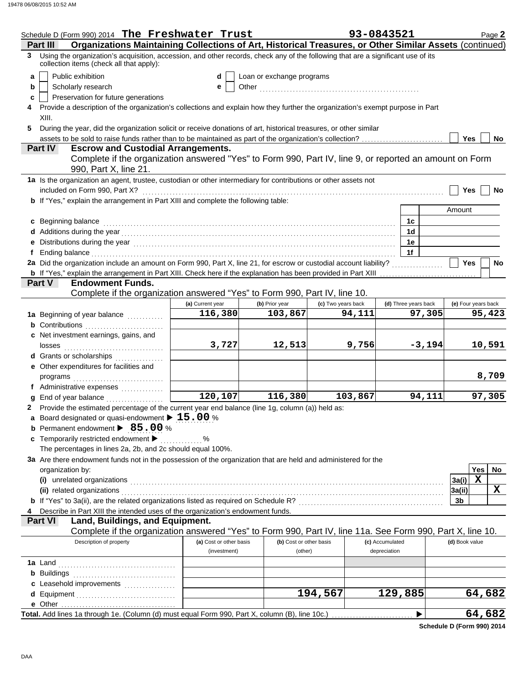|   | Schedule D (Form 990) 2014 The Freshwater Trust                                                                                                                                                                                |                         |                           |                    | 93-0843521           | Page 2               |
|---|--------------------------------------------------------------------------------------------------------------------------------------------------------------------------------------------------------------------------------|-------------------------|---------------------------|--------------------|----------------------|----------------------|
|   | Organizations Maintaining Collections of Art, Historical Treasures, or Other Similar Assets (continued)<br>Part III                                                                                                            |                         |                           |                    |                      |                      |
|   | 3 Using the organization's acquisition, accession, and other records, check any of the following that are a significant use of its<br>collection items (check all that apply):                                                 |                         |                           |                    |                      |                      |
| a | Public exhibition                                                                                                                                                                                                              | d                       | Loan or exchange programs |                    |                      |                      |
| b | Scholarly research                                                                                                                                                                                                             | е                       |                           |                    |                      |                      |
| c | Preservation for future generations                                                                                                                                                                                            |                         |                           |                    |                      |                      |
| 4 | Provide a description of the organization's collections and explain how they further the organization's exempt purpose in Part                                                                                                 |                         |                           |                    |                      |                      |
|   | XIII.                                                                                                                                                                                                                          |                         |                           |                    |                      |                      |
| 5 | During the year, did the organization solicit or receive donations of art, historical treasures, or other similar                                                                                                              |                         |                           |                    |                      |                      |
|   |                                                                                                                                                                                                                                |                         |                           |                    |                      | Yes<br>No            |
|   | Part IV<br><b>Escrow and Custodial Arrangements.</b>                                                                                                                                                                           |                         |                           |                    |                      |                      |
|   | Complete if the organization answered "Yes" to Form 990, Part IV, line 9, or reported an amount on Form<br>990, Part X, line 21.                                                                                               |                         |                           |                    |                      |                      |
|   | 1a Is the organization an agent, trustee, custodian or other intermediary for contributions or other assets not                                                                                                                |                         |                           |                    |                      |                      |
|   | included on Form 990, Part X?                                                                                                                                                                                                  |                         |                           |                    |                      | Yes<br>No            |
|   | b If "Yes," explain the arrangement in Part XIII and complete the following table:                                                                                                                                             |                         |                           |                    |                      |                      |
|   |                                                                                                                                                                                                                                |                         |                           |                    |                      | Amount               |
|   | c Beginning balance                                                                                                                                                                                                            |                         |                           |                    | 1c                   |                      |
|   |                                                                                                                                                                                                                                |                         |                           |                    | 1 <sub>d</sub>       |                      |
|   |                                                                                                                                                                                                                                |                         |                           |                    | 1е                   |                      |
|   | Ending balance with the contract of the contract of the contract of the contract of the contract of the contract of the contract of the contract of the contract of the contract of the contract of the contract of the contra |                         |                           |                    | 1f                   |                      |
|   | 2a Did the organization include an amount on Form 990, Part X, line 21, for escrow or custodial account liability?                                                                                                             |                         |                           |                    |                      | <b>Yes</b><br>No     |
|   | <b>b</b> If "Yes," explain the arrangement in Part XIII. Check here if the explanation has been provided in Part XIII                                                                                                          |                         |                           |                    |                      |                      |
|   | <b>Endowment Funds.</b><br>Part V                                                                                                                                                                                              |                         |                           |                    |                      |                      |
|   | Complete if the organization answered "Yes" to Form 990, Part IV, line 10.                                                                                                                                                     |                         |                           |                    |                      |                      |
|   |                                                                                                                                                                                                                                | (a) Current year        | (b) Prior year            | (c) Two years back | (d) Three years back | (e) Four years back  |
|   | 1a Beginning of year balance                                                                                                                                                                                                   | 116,380                 | 103,867                   | 94,111             | 97,305               | 95,423               |
|   | <b>b</b> Contributions                                                                                                                                                                                                         |                         |                           |                    |                      |                      |
|   | c Net investment earnings, gains, and                                                                                                                                                                                          |                         |                           |                    |                      |                      |
|   |                                                                                                                                                                                                                                | 3,727                   | 12,513                    | 9,756              | $-3,194$             | 10,591               |
|   | <b>d</b> Grants or scholarships<br>.                                                                                                                                                                                           |                         |                           |                    |                      |                      |
|   | e Other expenditures for facilities and                                                                                                                                                                                        |                         |                           |                    |                      |                      |
|   | programs                                                                                                                                                                                                                       |                         |                           |                    |                      | 8,709                |
|   |                                                                                                                                                                                                                                |                         |                           |                    |                      |                      |
|   | g End of year balance                                                                                                                                                                                                          | 120,107                 | $\overline{116,380}$      | 103,867            | 94,111               | 97,305               |
|   | 2 Provide the estimated percentage of the current year end balance (line 1g, column (a)) held as:                                                                                                                              |                         |                           |                    |                      |                      |
|   | a Board designated or quasi-endowment > 15.00 %                                                                                                                                                                                |                         |                           |                    |                      |                      |
|   | b Permanent endowment > 85.00 %                                                                                                                                                                                                |                         |                           |                    |                      |                      |
|   | c Temporarily restricted endowment >                                                                                                                                                                                           | %                       |                           |                    |                      |                      |
|   | The percentages in lines 2a, 2b, and 2c should equal 100%.                                                                                                                                                                     |                         |                           |                    |                      |                      |
|   | 3a Are there endowment funds not in the possession of the organization that are held and administered for the                                                                                                                  |                         |                           |                    |                      |                      |
|   | organization by:                                                                                                                                                                                                               |                         |                           |                    |                      | Yes<br>No            |
|   | unrelated organizations entertainment and all the contract of the contract of the contract of the contract of<br>(i)                                                                                                           |                         |                           |                    |                      | $\mathbf x$<br>3a(i) |
|   | (ii) related organizations                                                                                                                                                                                                     |                         |                           |                    |                      | X<br>3a(ii)          |
|   |                                                                                                                                                                                                                                |                         |                           |                    |                      | 3b                   |
|   | Describe in Part XIII the intended uses of the organization's endowment funds.<br>Land, Buildings, and Equipment.<br><b>Part VI</b>                                                                                            |                         |                           |                    |                      |                      |
|   | Complete if the organization answered "Yes" to Form 990, Part IV, line 11a. See Form 990, Part X, line 10.                                                                                                                     |                         |                           |                    |                      |                      |
|   | Description of property                                                                                                                                                                                                        | (a) Cost or other basis | (b) Cost or other basis   |                    | (c) Accumulated      | (d) Book value       |
|   |                                                                                                                                                                                                                                | (investment)            | (other)                   |                    | depreciation         |                      |
|   |                                                                                                                                                                                                                                |                         |                           |                    |                      |                      |
|   |                                                                                                                                                                                                                                |                         |                           |                    |                      |                      |
|   | c Leasehold improvements                                                                                                                                                                                                       |                         |                           |                    |                      |                      |
|   |                                                                                                                                                                                                                                |                         |                           | 194,567            | 129,885              | 64,682               |
|   |                                                                                                                                                                                                                                |                         |                           |                    |                      |                      |
|   | Total. Add lines 1a through 1e. (Column (d) must equal Form 990, Part X, column (B), line 10c.)                                                                                                                                |                         |                           |                    | ▶                    | 64,682               |
|   |                                                                                                                                                                                                                                |                         |                           |                    |                      |                      |

**Schedule D (Form 990) 2014**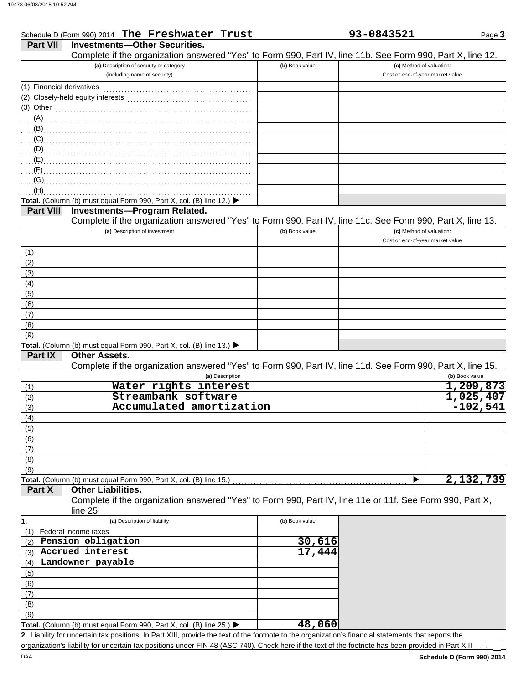|                           | Schedule D (Form 990) 2014 The Freshwater Trust                                                            |                | 93-0843521                       | Page 3         |
|---------------------------|------------------------------------------------------------------------------------------------------------|----------------|----------------------------------|----------------|
| <b>Part VII</b>           | <b>Investments-Other Securities.</b>                                                                       |                |                                  |                |
|                           | Complete if the organization answered "Yes" to Form 990, Part IV, line 11b. See Form 990, Part X, line 12. |                |                                  |                |
|                           | (a) Description of security or category                                                                    | (b) Book value | (c) Method of valuation:         |                |
|                           | (including name of security)                                                                               |                | Cost or end-of-year market value |                |
| (1) Financial derivatives |                                                                                                            |                |                                  |                |
|                           |                                                                                                            |                |                                  |                |
| $(3)$ Other               |                                                                                                            |                |                                  |                |
|                           |                                                                                                            |                |                                  |                |
|                           |                                                                                                            |                |                                  |                |
|                           |                                                                                                            |                |                                  |                |
|                           |                                                                                                            |                |                                  |                |
|                           |                                                                                                            |                |                                  |                |
| $\overline{F}$            |                                                                                                            |                |                                  |                |
| $\ldots$ (G)              |                                                                                                            |                |                                  |                |
| (H)                       |                                                                                                            |                |                                  |                |
|                           | Total. (Column (b) must equal Form 990, Part X, col. (B) line 12.) ▶                                       |                |                                  |                |
| Part VIII                 | <b>Investments-Program Related.</b>                                                                        |                |                                  |                |
|                           | Complete if the organization answered "Yes" to Form 990, Part IV, line 11c. See Form 990, Part X, line 13. |                |                                  |                |
|                           | (a) Description of investment                                                                              | (b) Book value | (c) Method of valuation:         |                |
|                           |                                                                                                            |                | Cost or end-of-year market value |                |
| (1)                       |                                                                                                            |                |                                  |                |
| (2)                       |                                                                                                            |                |                                  |                |
| (3)                       |                                                                                                            |                |                                  |                |
| (4)                       |                                                                                                            |                |                                  |                |
| (5)                       |                                                                                                            |                |                                  |                |
| (6)                       |                                                                                                            |                |                                  |                |
| (7)                       |                                                                                                            |                |                                  |                |
| (8)                       |                                                                                                            |                |                                  |                |
| (9)                       |                                                                                                            |                |                                  |                |
|                           | Total. (Column (b) must equal Form 990, Part X, col. (B) line 13.) ▶                                       |                |                                  |                |
| Part IX                   | <b>Other Assets.</b>                                                                                       |                |                                  |                |
|                           | Complete if the organization answered "Yes" to Form 990, Part IV, line 11d. See Form 990, Part X, line 15. |                |                                  |                |
|                           | (a) Description                                                                                            |                |                                  | (b) Book value |
| (1)                       | Water rights interest                                                                                      |                |                                  | 1,209,873      |
| (2)                       | Streambank software                                                                                        |                |                                  | 1,025,407      |
| (3)                       | Accumulated amortization                                                                                   |                |                                  | $-102,541$     |
| (4)                       |                                                                                                            |                |                                  |                |
| (5)                       |                                                                                                            |                |                                  |                |
| (6)                       |                                                                                                            |                |                                  |                |
| (7)                       |                                                                                                            |                |                                  |                |
| (8)                       |                                                                                                            |                |                                  |                |
| (9)                       | Total. (Column (b) must equal Form 990, Part X, col. (B) line 15.)                                         |                |                                  | 2,132,739      |
| Part X                    | <b>Other Liabilities.</b>                                                                                  |                |                                  |                |
|                           | Complete if the organization answered "Yes" to Form 990, Part IV, line 11e or 11f. See Form 990, Part X,   |                |                                  |                |
|                           | line 25.                                                                                                   |                |                                  |                |
| 1.                        | (a) Description of liability                                                                               | (b) Book value |                                  |                |
| (1)                       | Federal income taxes                                                                                       |                |                                  |                |
|                           | Pension obligation                                                                                         | 30,616         |                                  |                |
| (2)                       | (3) Accrued interest                                                                                       | 17,444         |                                  |                |
|                           | Landowner payable                                                                                          |                |                                  |                |
| (4)                       |                                                                                                            |                |                                  |                |
| (5)<br>(6)                |                                                                                                            |                |                                  |                |
| (7)                       |                                                                                                            |                |                                  |                |
| (8)                       |                                                                                                            |                |                                  |                |
| (9)                       |                                                                                                            |                |                                  |                |
|                           | Total. (Column (b) must equal Form 990, Part X, col. (B) line 25.) ▶                                       | 48,060         |                                  |                |
|                           |                                                                                                            |                |                                  |                |

Liability for uncertain tax positions. In Part XIII, provide the text of the footnote to the organization's financial statements that reports the **2.** organization's liability for uncertain tax positions under FIN 48 (ASC 740). Check here if the text of the footnote has been provided in Part XIII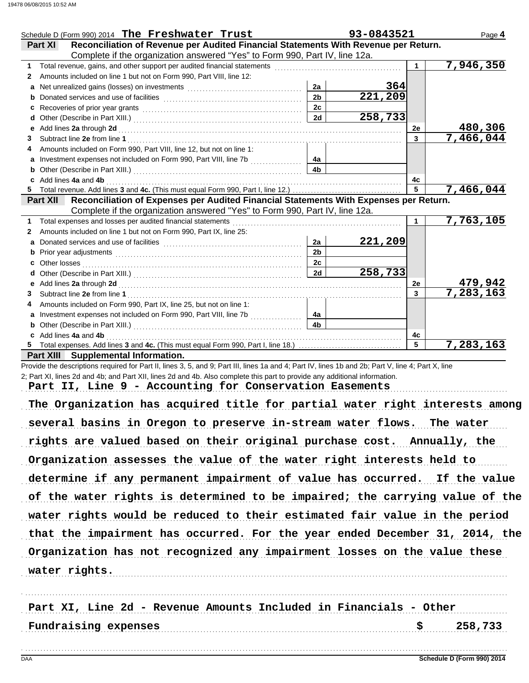| Schedule D (Form 990) 2014 The Freshwater Trust                                                                                                                                                                 |                | 93-0843521 |                         | Page 4                    |
|-----------------------------------------------------------------------------------------------------------------------------------------------------------------------------------------------------------------|----------------|------------|-------------------------|---------------------------|
| Reconciliation of Revenue per Audited Financial Statements With Revenue per Return.<br>Part XI                                                                                                                  |                |            |                         |                           |
| Complete if the organization answered "Yes" to Form 990, Part IV, line 12a.                                                                                                                                     |                |            |                         |                           |
|                                                                                                                                                                                                                 |                |            |                         | 7,946,350                 |
| Amounts included on line 1 but not on Form 990, Part VIII, line 12:<br>2                                                                                                                                        |                |            |                         |                           |
| a Net unrealized gains (losses) on investments [111] [11] Net uncontained a Net unrealized gains (losses) on investments [11] $\cdot$                                                                           | 2a             | 364        |                         |                           |
|                                                                                                                                                                                                                 | 2 <sub>b</sub> | 221,209    |                         |                           |
|                                                                                                                                                                                                                 | 2c             |            |                         |                           |
|                                                                                                                                                                                                                 | 2d             | 258,733    |                         |                           |
|                                                                                                                                                                                                                 |                |            | 2e                      | 480,306                   |
| 3                                                                                                                                                                                                               |                |            | $\overline{\mathbf{3}}$ | 7,466,044                 |
| Amounts included on Form 990, Part VIII, line 12, but not on line 1:<br>4                                                                                                                                       |                |            |                         |                           |
|                                                                                                                                                                                                                 | 4a             |            |                         |                           |
| <b>b</b> Other (Describe in Part XIII.) <b>CONSIDENT DESCRIPTION DESCRIPTION DESCRIPTION DESCRIPTION DESCRIPTION DESCRIPTION DESCRIPTION DESCRIPTION DESCRIPTION DESCRIPTION DESCRIPTION DESCRIPTION DESCRI</b> | 4b             |            |                         |                           |
| c Add lines 4a and 4b                                                                                                                                                                                           |                |            | 4c                      |                           |
| 5.                                                                                                                                                                                                              |                |            | 5                       | 7,466,044                 |
| Reconciliation of Expenses per Audited Financial Statements With Expenses per Return.<br>Part XII                                                                                                               |                |            |                         |                           |
| Complete if the organization answered "Yes" to Form 990, Part IV, line 12a.                                                                                                                                     |                |            |                         |                           |
|                                                                                                                                                                                                                 |                |            | $\blacktriangleleft$    | $\overline{7}$ , 763, 105 |
| Amounts included on line 1 but not on Form 990, Part IX, line 25:<br>$\mathbf{2}$                                                                                                                               |                |            |                         |                           |
|                                                                                                                                                                                                                 | 2a             | 221,209    |                         |                           |
| b Prior year adjustments <b>contained</b> and the contained and the contained and contained and prior of <b>b</b> Prior year adjustments <b>b</b>                                                               | 2 <sub>b</sub> |            |                         |                           |
| <b>c</b> Other losses                                                                                                                                                                                           | 2c             |            |                         |                           |
|                                                                                                                                                                                                                 | 2d             | 258,733    |                         |                           |
|                                                                                                                                                                                                                 |                |            | 2е                      | 479,942                   |
| 3.                                                                                                                                                                                                              |                |            | $\overline{3}$          | 7,283,163                 |
| Amounts included on Form 990, Part IX, line 25, but not on line 1:<br>4                                                                                                                                         |                |            |                         |                           |
|                                                                                                                                                                                                                 | 4a             |            |                         |                           |
|                                                                                                                                                                                                                 | 4 <sub>b</sub> |            |                         |                           |
| c Add lines 4a and 4b                                                                                                                                                                                           |                |            | 4c                      |                           |
|                                                                                                                                                                                                                 |                |            | 5                       | 7,283,163                 |
| Part XIII Supplemental Information.                                                                                                                                                                             |                |            |                         |                           |
| Provide the descriptions required for Part II, lines 3, 5, and 9; Part III, lines 1a and 4; Part IV, lines 1b and 2b; Part V, line 4; Part X, line                                                              |                |            |                         |                           |
| 2; Part XI, lines 2d and 4b; and Part XII, lines 2d and 4b. Also complete this part to provide any additional information.                                                                                      |                |            |                         |                           |
| Part II, Line 9 - Accounting for Conservation Easements                                                                                                                                                         |                |            |                         |                           |

The Organization has acquired title for partial water right interests among several basins in Oregon to preserve in-stream water flows. The water rights are valued based on their original purchase cost. Annually, the Organization assesses the value of the water right interests held to determine if any permanent impairment of value has occurred. If the value of the water rights is determined to be impaired; the carrying value of the Organization has not recognized any impairment losses on the value these water rights would be reduced to their estimated fair value in the period that the impairment has occurred. For the year ended December 31, 2014, the water rights.

|                      |  |  |  |  | Part XI, Line 2d - Revenue Amounts Included in Financials - Other |  |                |
|----------------------|--|--|--|--|-------------------------------------------------------------------|--|----------------|
| Fundraising expenses |  |  |  |  |                                                                   |  | $\sin 258.733$ |

. . . . . . . . . . . . . . . . . . . . . . . . . . . . . . . . . . . . . . . . . . . . . . . . . . . . . . . . . . . . . . . . . . . . . . . . . . . . . . . . . . . . . . . . . . . . . . . . . . . . . . . . . . . . . . . . . . . . . . . . . . . . . . . . . . . . . . . . . . . . . . . . . . . . . . . . . . . . . . . . .

. . . . . . . . . . . . . . . . . . . . . . . . . . . . . . . . . . . . . . . . . . . . . . . . . . . . . . . . . . . . . . . . . . . . . . . . . . . . . . . . . . . . . . . . . . . . . . . . . . . . . . . . . . . . . . . . . . . . . . . . . . . . . . . . . . . . . . . . . . . . . . . . . . . . . . . . . . . . . . . . .

DAA **Schedule D (Form 990) 2014**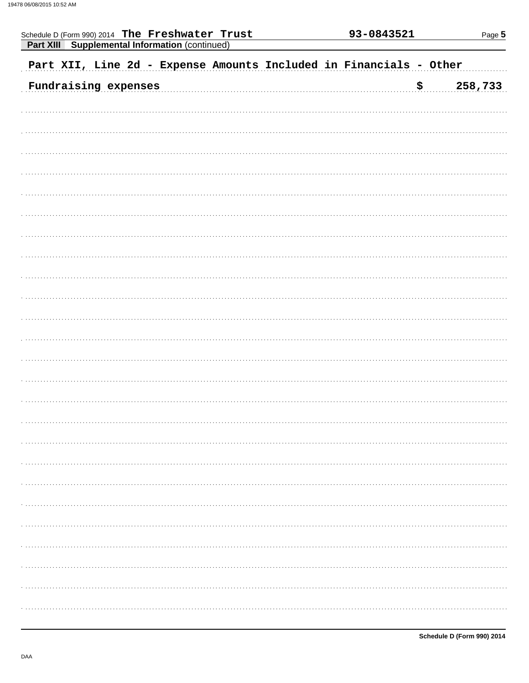| Schedule D (Form 990) 2014 The Freshwater Trust                    | 93-0843521 | Page 5  |
|--------------------------------------------------------------------|------------|---------|
| <b>Part XIII</b> Supplemental Information (continued)              |            |         |
| Part XII, Line 2d - Expense Amounts Included in Financials - Other |            |         |
| Fundraising expenses                                               | ₿          | 258,733 |
|                                                                    |            |         |
|                                                                    |            |         |
|                                                                    |            |         |
|                                                                    |            |         |
|                                                                    |            |         |
|                                                                    |            |         |
|                                                                    |            |         |
|                                                                    |            |         |
|                                                                    |            |         |
|                                                                    |            |         |
|                                                                    |            |         |
|                                                                    |            |         |
|                                                                    |            |         |
|                                                                    |            |         |
|                                                                    |            |         |
|                                                                    |            |         |
|                                                                    |            |         |
|                                                                    |            |         |
|                                                                    |            |         |
|                                                                    |            |         |
|                                                                    |            |         |
|                                                                    |            |         |
|                                                                    |            |         |
|                                                                    |            |         |
|                                                                    |            |         |
|                                                                    |            |         |
|                                                                    |            |         |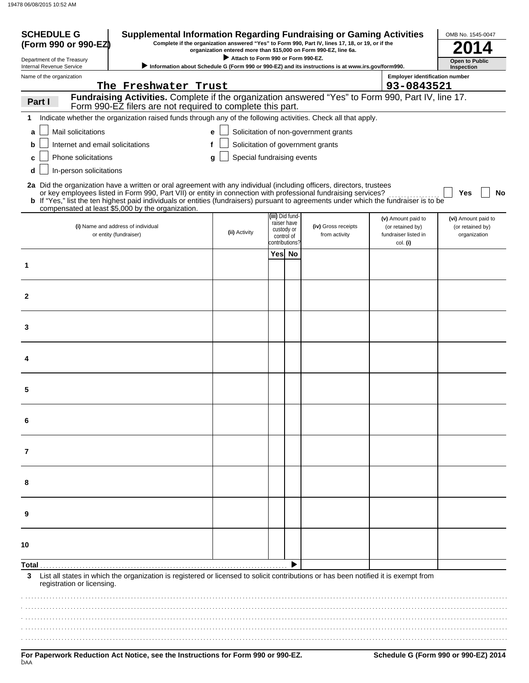| <b>SCHEDULE G</b><br>(Form 990 or 990-EZ)              | <b>Supplemental Information Regarding Fundraising or Gaming Activities</b>                                                                                                                                                                                                                                                                                                                                                             |                                    |                 |             | Complete if the organization answered "Yes" to Form 990, Part IV, lines 17, 18, or 19, or if the<br>organization entered more than \$15,000 on Form 990-EZ, line 6a. |                                          | OMB No. 1545-0047                   |
|--------------------------------------------------------|----------------------------------------------------------------------------------------------------------------------------------------------------------------------------------------------------------------------------------------------------------------------------------------------------------------------------------------------------------------------------------------------------------------------------------------|------------------------------------|-----------------|-------------|----------------------------------------------------------------------------------------------------------------------------------------------------------------------|------------------------------------------|-------------------------------------|
| Department of the Treasury<br>Internal Revenue Service |                                                                                                                                                                                                                                                                                                                                                                                                                                        | Attach to Form 990 or Form 990-EZ. |                 |             | > Information about Schedule G (Form 990 or 990-EZ) and its instructions is at www.irs.gov/form990.                                                                  |                                          | <b>Open to Public</b><br>Inspection |
| Name of the organization                               |                                                                                                                                                                                                                                                                                                                                                                                                                                        |                                    |                 |             |                                                                                                                                                                      | <b>Employer identification number</b>    |                                     |
|                                                        | The Freshwater Trust                                                                                                                                                                                                                                                                                                                                                                                                                   |                                    |                 |             |                                                                                                                                                                      | 93-0843521                               |                                     |
| Part I                                                 | Fundraising Activities. Complete if the organization answered "Yes" to Form 990, Part IV, line 17.<br>Form 990-EZ filers are not required to complete this part.                                                                                                                                                                                                                                                                       |                                    |                 |             |                                                                                                                                                                      |                                          |                                     |
| 1                                                      | Indicate whether the organization raised funds through any of the following activities. Check all that apply.                                                                                                                                                                                                                                                                                                                          |                                    |                 |             |                                                                                                                                                                      |                                          |                                     |
| Mail solicitations<br>a                                |                                                                                                                                                                                                                                                                                                                                                                                                                                        | e                                  |                 |             | Solicitation of non-government grants                                                                                                                                |                                          |                                     |
| Internet and email solicitations<br>b                  | f                                                                                                                                                                                                                                                                                                                                                                                                                                      |                                    |                 |             | Solicitation of government grants                                                                                                                                    |                                          |                                     |
| Phone solicitations                                    |                                                                                                                                                                                                                                                                                                                                                                                                                                        | Special fundraising events<br>q    |                 |             |                                                                                                                                                                      |                                          |                                     |
| In-person solicitations<br>d                           |                                                                                                                                                                                                                                                                                                                                                                                                                                        |                                    |                 |             |                                                                                                                                                                      |                                          |                                     |
|                                                        | 2a Did the organization have a written or oral agreement with any individual (including officers, directors, trustees<br>or key employees listed in Form 990, Part VII) or entity in connection with professional fundraising services?<br>b If "Yes," list the ten highest paid individuals or entities (fundraisers) pursuant to agreements under which the fundraiser is to be<br>compensated at least \$5,000 by the organization. |                                    |                 |             |                                                                                                                                                                      |                                          | Yes<br><b>No</b>                    |
|                                                        | (i) Name and address of individual                                                                                                                                                                                                                                                                                                                                                                                                     |                                    | (iii) Did fund- | raiser have |                                                                                                                                                                      | (v) Amount paid to                       | (vi) Amount paid to                 |
|                                                        | or entity (fundraiser)                                                                                                                                                                                                                                                                                                                                                                                                                 | (ii) Activity                      | custody or      | control of  | (iv) Gross receipts<br>from activity                                                                                                                                 | (or retained by)<br>fundraiser listed in | (or retained by)<br>organization    |
|                                                        |                                                                                                                                                                                                                                                                                                                                                                                                                                        |                                    | contributions?  |             |                                                                                                                                                                      | col. (i)                                 |                                     |
| 1                                                      |                                                                                                                                                                                                                                                                                                                                                                                                                                        |                                    | Yes No          |             |                                                                                                                                                                      |                                          |                                     |
| 2                                                      |                                                                                                                                                                                                                                                                                                                                                                                                                                        |                                    |                 |             |                                                                                                                                                                      |                                          |                                     |
| 3                                                      |                                                                                                                                                                                                                                                                                                                                                                                                                                        |                                    |                 |             |                                                                                                                                                                      |                                          |                                     |
|                                                        |                                                                                                                                                                                                                                                                                                                                                                                                                                        |                                    |                 |             |                                                                                                                                                                      |                                          |                                     |
| 5                                                      |                                                                                                                                                                                                                                                                                                                                                                                                                                        |                                    |                 |             |                                                                                                                                                                      |                                          |                                     |
|                                                        |                                                                                                                                                                                                                                                                                                                                                                                                                                        |                                    |                 |             |                                                                                                                                                                      |                                          |                                     |
| 7                                                      |                                                                                                                                                                                                                                                                                                                                                                                                                                        |                                    |                 |             |                                                                                                                                                                      |                                          |                                     |
| 8                                                      |                                                                                                                                                                                                                                                                                                                                                                                                                                        |                                    |                 |             |                                                                                                                                                                      |                                          |                                     |
| 9                                                      |                                                                                                                                                                                                                                                                                                                                                                                                                                        |                                    |                 |             |                                                                                                                                                                      |                                          |                                     |
| 10                                                     |                                                                                                                                                                                                                                                                                                                                                                                                                                        |                                    |                 |             |                                                                                                                                                                      |                                          |                                     |
| Total .                                                |                                                                                                                                                                                                                                                                                                                                                                                                                                        |                                    |                 |             |                                                                                                                                                                      |                                          |                                     |
| 3.<br>registration or licensing.                       | List all states in which the organization is registered or licensed to solicit contributions or has been notified it is exempt from                                                                                                                                                                                                                                                                                                    |                                    |                 |             |                                                                                                                                                                      |                                          |                                     |
|                                                        |                                                                                                                                                                                                                                                                                                                                                                                                                                        |                                    |                 |             |                                                                                                                                                                      |                                          |                                     |
|                                                        |                                                                                                                                                                                                                                                                                                                                                                                                                                        |                                    |                 |             |                                                                                                                                                                      |                                          |                                     |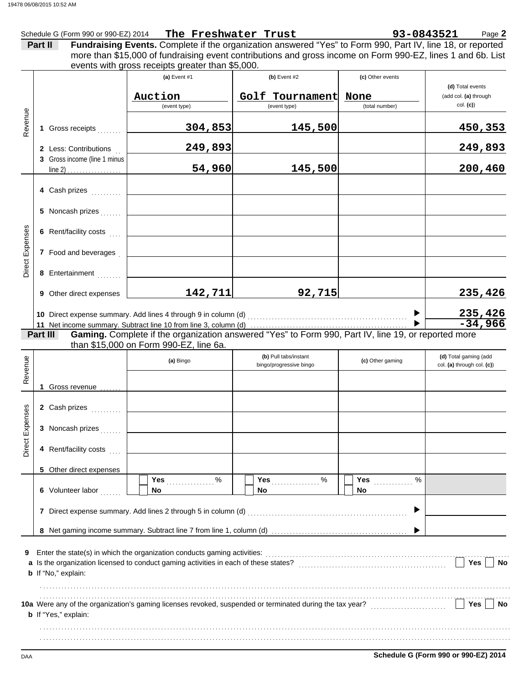|                        |         | Schedule G (Form 990 or 990-EZ) 2014      | The Freshwater Trust                                                                                                                                                                                                           |                                                  |                  | 93-0843521<br>Page 2                                |
|------------------------|---------|-------------------------------------------|--------------------------------------------------------------------------------------------------------------------------------------------------------------------------------------------------------------------------------|--------------------------------------------------|------------------|-----------------------------------------------------|
|                        | Part II |                                           | Fundraising Events. Complete if the organization answered "Yes" to Form 990, Part IV, line 18, or reported                                                                                                                     |                                                  |                  |                                                     |
|                        |         |                                           | more than \$15,000 of fundraising event contributions and gross income on Form 990-EZ, lines 1 and 6b. List<br>events with gross receipts greater than \$5,000.                                                                |                                                  |                  |                                                     |
|                        |         |                                           | (a) Event #1                                                                                                                                                                                                                   | $(b)$ Event #2                                   | (c) Other events | (d) Total events                                    |
|                        |         |                                           | Auction                                                                                                                                                                                                                        | Golf Tournament                                  | None             | (add col. (a) through                               |
|                        |         |                                           | (event type)                                                                                                                                                                                                                   | (event type)                                     | (total number)   | col. (c)                                            |
| Revenue                |         | 1 Gross receipts                          | 304,853                                                                                                                                                                                                                        | 145,500                                          |                  | 450,353                                             |
|                        |         | 2 Less: Contributions                     | 249,893                                                                                                                                                                                                                        |                                                  |                  | 249,893                                             |
|                        |         | 3 Gross income (line 1 minus<br>$line 2)$ | 54,960                                                                                                                                                                                                                         | 145,500                                          |                  | 200,460                                             |
|                        |         |                                           |                                                                                                                                                                                                                                |                                                  |                  |                                                     |
|                        |         | 5 Noncash prizes                          |                                                                                                                                                                                                                                |                                                  |                  |                                                     |
|                        |         | 6 Rent/facility costs                     |                                                                                                                                                                                                                                |                                                  |                  |                                                     |
| <b>Direct Expenses</b> |         | 7 Food and beverages                      |                                                                                                                                                                                                                                |                                                  |                  |                                                     |
|                        |         | 8 Entertainment                           |                                                                                                                                                                                                                                |                                                  |                  |                                                     |
|                        |         | 9 Other direct expenses                   | 142, 711                                                                                                                                                                                                                       | 92,715                                           |                  | 235,426                                             |
|                        |         |                                           | 10 Direct expense summary. Add lines 4 through 9 in column (d) [11] contently contently contently contently contently contently contently contently contently contently contently contently contently contently contently cont |                                                  |                  | 235,426                                             |
|                        |         |                                           |                                                                                                                                                                                                                                |                                                  |                  | $-34,966$                                           |
|                        |         | Part III                                  | Gaming. Complete if the organization answered "Yes" to Form 990, Part IV, line 19, or reported more<br>than \$15,000 on Form 990-EZ, line 6a.                                                                                  |                                                  |                  |                                                     |
|                        |         |                                           | (a) Bingo                                                                                                                                                                                                                      | (b) Pull tabs/instant<br>bingo/progressive bingo | (c) Other gaming | (d) Total gaming (add<br>col. (a) through col. (c)) |
| Revenue                |         | Gross revenue <i>manual</i>               |                                                                                                                                                                                                                                |                                                  |                  |                                                     |
| ses                    |         | 2 Cash prizes                             |                                                                                                                                                                                                                                |                                                  |                  |                                                     |
| Exper                  |         | 3 Noncash prizes                          |                                                                                                                                                                                                                                |                                                  |                  |                                                     |
| Direct I               |         | 4 Rent/facility costs                     |                                                                                                                                                                                                                                |                                                  |                  |                                                     |
|                        |         |                                           |                                                                                                                                                                                                                                |                                                  |                  |                                                     |
|                        |         | 5 Other direct expenses                   |                                                                                                                                                                                                                                |                                                  |                  |                                                     |
|                        |         | 6 Volunteer labor                         | Yes<br>%<br>No.                                                                                                                                                                                                                | Yes<br>%<br>No.                                  | Yes<br>%<br>No   |                                                     |
|                        |         |                                           | 7 Direct expense summary. Add lines 2 through 5 in column (d)                                                                                                                                                                  |                                                  |                  |                                                     |
|                        |         |                                           |                                                                                                                                                                                                                                |                                                  |                  |                                                     |
| 9                      |         |                                           | Enter the state(s) in which the organization conducts gaming activities:                                                                                                                                                       |                                                  |                  |                                                     |
|                        |         |                                           | a Is the organization licensed to conduct gaming activities in each of these states?                                                                                                                                           |                                                  |                  | Yes<br>No                                           |
|                        |         | b If "No," explain:                       |                                                                                                                                                                                                                                |                                                  |                  |                                                     |
|                        |         | <b>b</b> If "Yes," explain:               | 10a Were any of the organization's gaming licenses revoked, suspended or terminated during the tax year?                                                                                                                       |                                                  |                  | Yes<br>No                                           |
|                        |         |                                           |                                                                                                                                                                                                                                |                                                  |                  |                                                     |
|                        |         |                                           |                                                                                                                                                                                                                                |                                                  |                  |                                                     |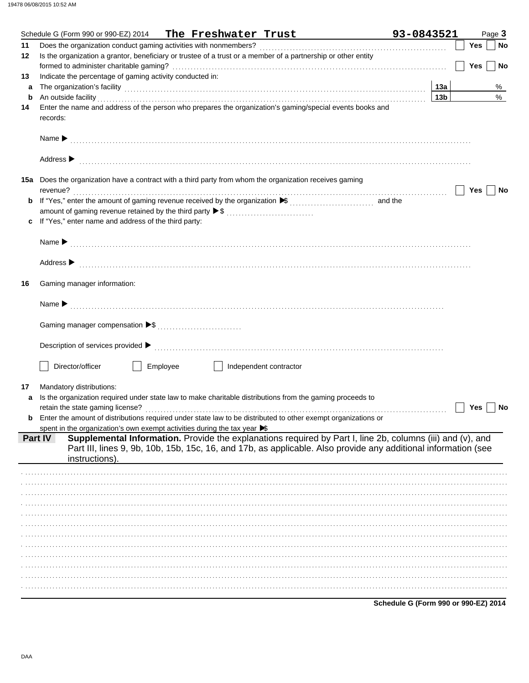|             | The Freshwater Trust<br>Schedule G (Form 990 or 990-EZ) 2014                                                                                                                                                                         | 93-0843521      |            | Page 3 |      |
|-------------|--------------------------------------------------------------------------------------------------------------------------------------------------------------------------------------------------------------------------------------|-----------------|------------|--------|------|
| 11          |                                                                                                                                                                                                                                      |                 | Yes        |        | No   |
| 12          | Is the organization a grantor, beneficiary or trustee of a trust or a member of a partnership or other entity                                                                                                                        |                 |            |        |      |
|             |                                                                                                                                                                                                                                      |                 | <b>Yes</b> |        | No   |
| 13          | Indicate the percentage of gaming activity conducted in:                                                                                                                                                                             |                 |            |        |      |
| a           | The organization's facility [1, 2010] The organization's facility [1, 2010] The organization's facility [1, 2010] The organization's facility [1, 2010] The organization's facility [1, 2010] The organization of the organiza       | 13a             |            |        | %    |
| $\mathbf b$ | An outside facility <b>contained a set of the contract of the contract of the contract of the contract of the contract of the contract of the contract of the contract of the contract of the contract of the contract of the co</b> | 13 <sub>b</sub> |            |        | $\%$ |
| 14          | Enter the name and address of the person who prepares the organization's gaming/special events books and                                                                                                                             |                 |            |        |      |
|             | records:                                                                                                                                                                                                                             |                 |            |        |      |
|             |                                                                                                                                                                                                                                      |                 |            |        |      |
|             |                                                                                                                                                                                                                                      |                 |            |        |      |
|             |                                                                                                                                                                                                                                      |                 |            |        |      |
|             | Address $\blacktriangleright$                                                                                                                                                                                                        |                 |            |        |      |
|             |                                                                                                                                                                                                                                      |                 |            |        |      |
|             | 15a Does the organization have a contract with a third party from whom the organization receives gaming                                                                                                                              |                 |            |        |      |
|             |                                                                                                                                                                                                                                      |                 | Yes        |        | No   |
| b           |                                                                                                                                                                                                                                      |                 |            |        |      |
|             | amount of gaming revenue retained by the third party ▶ \$                                                                                                                                                                            |                 |            |        |      |
| c           | If "Yes," enter name and address of the third party:                                                                                                                                                                                 |                 |            |        |      |
|             |                                                                                                                                                                                                                                      |                 |            |        |      |
|             |                                                                                                                                                                                                                                      |                 |            |        |      |
|             |                                                                                                                                                                                                                                      |                 |            |        |      |
|             | Address $\triangleright$                                                                                                                                                                                                             |                 |            |        |      |
|             |                                                                                                                                                                                                                                      |                 |            |        |      |
| 16          | Gaming manager information:                                                                                                                                                                                                          |                 |            |        |      |
|             |                                                                                                                                                                                                                                      |                 |            |        |      |
|             |                                                                                                                                                                                                                                      |                 |            |        |      |
|             |                                                                                                                                                                                                                                      |                 |            |        |      |
|             |                                                                                                                                                                                                                                      |                 |            |        |      |
|             |                                                                                                                                                                                                                                      |                 |            |        |      |
|             |                                                                                                                                                                                                                                      |                 |            |        |      |
|             |                                                                                                                                                                                                                                      |                 |            |        |      |
|             | Director/officer<br>Employee<br>Independent contractor                                                                                                                                                                               |                 |            |        |      |
|             |                                                                                                                                                                                                                                      |                 |            |        |      |
| 17          | Mandatory distributions:                                                                                                                                                                                                             |                 |            |        |      |
| a           | Is the organization required under state law to make charitable distributions from the gaming proceeds to                                                                                                                            |                 |            |        |      |
|             |                                                                                                                                                                                                                                      |                 | Yes        |        | No   |
| b           | Enter the amount of distributions required under state law to be distributed to other exempt organizations or                                                                                                                        |                 |            |        |      |
|             | spent in the organization's own exempt activities during the tax year S                                                                                                                                                              |                 |            |        |      |
|             | Supplemental Information. Provide the explanations required by Part I, line 2b, columns (iii) and (v), and<br><b>Part IV</b>                                                                                                         |                 |            |        |      |
|             | Part III, lines 9, 9b, 10b, 15b, 15c, 16, and 17b, as applicable. Also provide any additional information (see                                                                                                                       |                 |            |        |      |
|             | instructions).                                                                                                                                                                                                                       |                 |            |        |      |
|             |                                                                                                                                                                                                                                      |                 |            |        |      |
|             |                                                                                                                                                                                                                                      |                 |            |        |      |
|             |                                                                                                                                                                                                                                      |                 |            |        |      |
|             |                                                                                                                                                                                                                                      |                 |            |        |      |
|             |                                                                                                                                                                                                                                      |                 |            |        |      |
|             |                                                                                                                                                                                                                                      |                 |            |        |      |
|             |                                                                                                                                                                                                                                      |                 |            |        |      |
|             |                                                                                                                                                                                                                                      |                 |            |        |      |
|             |                                                                                                                                                                                                                                      |                 |            |        |      |
|             |                                                                                                                                                                                                                                      |                 |            |        |      |
|             |                                                                                                                                                                                                                                      |                 |            |        |      |
|             |                                                                                                                                                                                                                                      |                 |            |        |      |
|             |                                                                                                                                                                                                                                      |                 |            |        |      |
|             | Schedule G (Form 990 or 990-EZ) 2014                                                                                                                                                                                                 |                 |            |        |      |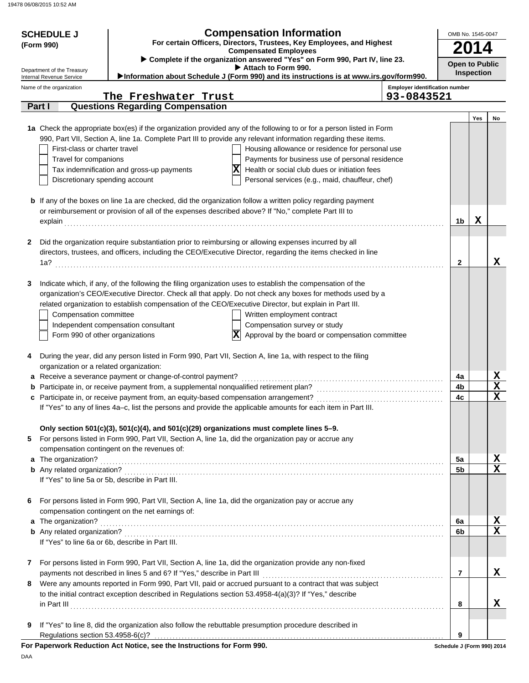| <b>Compensation Information</b><br><b>SCHEDULE J</b><br>For certain Officers, Directors, Trustees, Key Employees, and Highest<br>(Form 990)<br><b>Compensated Employees</b> |                                                                                          |                                                                                                                                                                                                                                                                                                                                                                                                                                                                                                                                                                                                                            |                                       |                            |     | OMB No. 1545-0047               |
|-----------------------------------------------------------------------------------------------------------------------------------------------------------------------------|------------------------------------------------------------------------------------------|----------------------------------------------------------------------------------------------------------------------------------------------------------------------------------------------------------------------------------------------------------------------------------------------------------------------------------------------------------------------------------------------------------------------------------------------------------------------------------------------------------------------------------------------------------------------------------------------------------------------------|---------------------------------------|----------------------------|-----|---------------------------------|
| Department of the Treasury<br>Internal Revenue Service                                                                                                                      | > Complete if the organization answered "Yes" on Form 990, Part IV, line 23.             | <b>Open to Public</b><br>Inspection                                                                                                                                                                                                                                                                                                                                                                                                                                                                                                                                                                                        |                                       |                            |     |                                 |
|                                                                                                                                                                             | Name of the organization                                                                 | Information about Schedule J (Form 990) and its instructions is at www.irs.gov/form990.                                                                                                                                                                                                                                                                                                                                                                                                                                                                                                                                    | <b>Employer identification number</b> |                            |     |                                 |
|                                                                                                                                                                             |                                                                                          | The Freshwater Trust                                                                                                                                                                                                                                                                                                                                                                                                                                                                                                                                                                                                       | 93-0843521                            |                            |     |                                 |
|                                                                                                                                                                             | Part I                                                                                   | <b>Questions Regarding Compensation</b>                                                                                                                                                                                                                                                                                                                                                                                                                                                                                                                                                                                    |                                       |                            |     |                                 |
|                                                                                                                                                                             | First-class or charter travel<br>Travel for companions<br>Discretionary spending account | 1a Check the appropriate box(es) if the organization provided any of the following to or for a person listed in Form<br>990, Part VII, Section A, line 1a. Complete Part III to provide any relevant information regarding these items.<br>Housing allowance or residence for personal use<br>Payments for business use of personal residence<br>Tax indemnification and gross-up payments<br>X<br>Health or social club dues or initiation fees<br>Personal services (e.g., maid, chauffeur, chef)<br><b>b</b> If any of the boxes on line 1a are checked, did the organization follow a written policy regarding payment |                                       |                            | Yes | No                              |
|                                                                                                                                                                             | explain                                                                                  | or reimbursement or provision of all of the expenses described above? If "No," complete Part III to                                                                                                                                                                                                                                                                                                                                                                                                                                                                                                                        |                                       | 1b                         | X   |                                 |
| 2                                                                                                                                                                           | 1a?                                                                                      | Did the organization require substantiation prior to reimbursing or allowing expenses incurred by all<br>directors, trustees, and officers, including the CEO/Executive Director, regarding the items checked in line                                                                                                                                                                                                                                                                                                                                                                                                      |                                       | $\mathbf{2}$               |     | x                               |
| 3                                                                                                                                                                           | Compensation committee<br>Form 990 of other organizations                                | Indicate which, if any, of the following the filing organization uses to establish the compensation of the<br>organization's CEO/Executive Director. Check all that apply. Do not check any boxes for methods used by a<br>related organization to establish compensation of the CEO/Executive Director, but explain in Part III.<br>Written employment contract<br>Independent compensation consultant<br>Compensation survey or study<br>$ \mathbf{x} $<br>Approval by the board or compensation committee                                                                                                               |                                       |                            |     |                                 |
| 4                                                                                                                                                                           | organization or a related organization:                                                  | During the year, did any person listed in Form 990, Part VII, Section A, line 1a, with respect to the filing                                                                                                                                                                                                                                                                                                                                                                                                                                                                                                               |                                       |                            |     |                                 |
|                                                                                                                                                                             |                                                                                          | a Receive a severance payment or change-of-control payment?                                                                                                                                                                                                                                                                                                                                                                                                                                                                                                                                                                |                                       | 4a                         |     | X                               |
|                                                                                                                                                                             |                                                                                          | <b>b</b> Participate in, or receive payment from, a supplemental nonqualified retirement plan?                                                                                                                                                                                                                                                                                                                                                                                                                                                                                                                             |                                       | 4b                         |     | $\overline{\mathbf{x}}$         |
|                                                                                                                                                                             |                                                                                          | If "Yes" to any of lines 4a-c, list the persons and provide the applicable amounts for each item in Part III.                                                                                                                                                                                                                                                                                                                                                                                                                                                                                                              |                                       | 4с                         |     | $\overline{\mathbf{x}}$         |
| 5                                                                                                                                                                           |                                                                                          | Only section 501(c)(3), 501(c)(4), and 501(c)(29) organizations must complete lines 5-9.<br>For persons listed in Form 990, Part VII, Section A, line 1a, did the organization pay or accrue any<br>compensation contingent on the revenues of:                                                                                                                                                                                                                                                                                                                                                                            |                                       |                            |     |                                 |
|                                                                                                                                                                             | a The organization?                                                                      |                                                                                                                                                                                                                                                                                                                                                                                                                                                                                                                                                                                                                            |                                       | 5a                         |     | X                               |
|                                                                                                                                                                             |                                                                                          |                                                                                                                                                                                                                                                                                                                                                                                                                                                                                                                                                                                                                            |                                       | 5 <sub>b</sub>             |     | $\overline{\mathbf{x}}$         |
|                                                                                                                                                                             |                                                                                          | If "Yes" to line 5a or 5b, describe in Part III.                                                                                                                                                                                                                                                                                                                                                                                                                                                                                                                                                                           |                                       |                            |     |                                 |
| 6                                                                                                                                                                           |                                                                                          | For persons listed in Form 990, Part VII, Section A, line 1a, did the organization pay or accrue any<br>compensation contingent on the net earnings of:                                                                                                                                                                                                                                                                                                                                                                                                                                                                    |                                       |                            |     |                                 |
|                                                                                                                                                                             | a The organization?                                                                      |                                                                                                                                                                                                                                                                                                                                                                                                                                                                                                                                                                                                                            |                                       | 6a                         |     |                                 |
|                                                                                                                                                                             |                                                                                          | If "Yes" to line 6a or 6b, describe in Part III.                                                                                                                                                                                                                                                                                                                                                                                                                                                                                                                                                                           |                                       | 6b                         |     | $\frac{\mathbf{X}}{\mathbf{X}}$ |
| 7                                                                                                                                                                           |                                                                                          | For persons listed in Form 990, Part VII, Section A, line 1a, did the organization provide any non-fixed                                                                                                                                                                                                                                                                                                                                                                                                                                                                                                                   |                                       | 7                          |     | x                               |
| 8                                                                                                                                                                           |                                                                                          | Were any amounts reported in Form 990, Part VII, paid or accrued pursuant to a contract that was subject<br>to the initial contract exception described in Regulations section 53.4958-4(a)(3)? If "Yes," describe                                                                                                                                                                                                                                                                                                                                                                                                         |                                       | 8                          |     | X                               |
| 9                                                                                                                                                                           |                                                                                          | If "Yes" to line 8, did the organization also follow the rebuttable presumption procedure described in                                                                                                                                                                                                                                                                                                                                                                                                                                                                                                                     |                                       |                            |     |                                 |
|                                                                                                                                                                             |                                                                                          |                                                                                                                                                                                                                                                                                                                                                                                                                                                                                                                                                                                                                            |                                       | 9                          |     |                                 |
|                                                                                                                                                                             |                                                                                          | For Paperwork Reduction Act Notice, see the Instructions for Form 990.                                                                                                                                                                                                                                                                                                                                                                                                                                                                                                                                                     |                                       | Schedule J (Form 990) 2014 |     |                                 |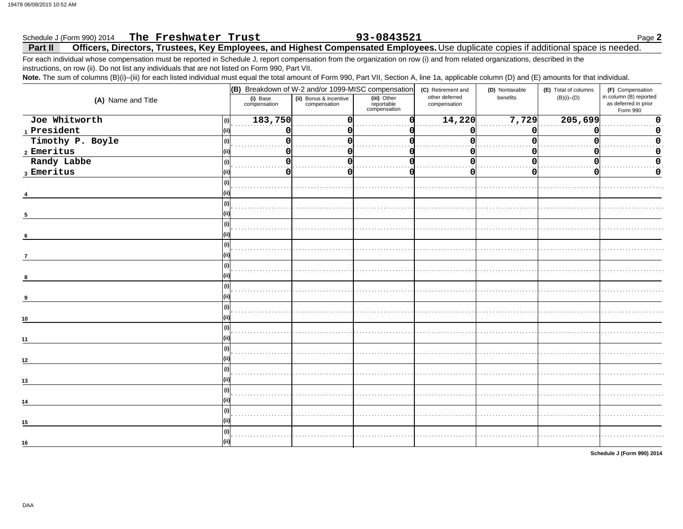### The Freshwater Trust 93-0843521 Schedule J (Form 990) 2014 Officers, Directors, Trustees, Key Employees, and Highest Compensated Employees. Use duplicate copies if additional space is needed. Part II

For each individual whose compensation must be reported in Schedule J, report compensation from the organization on row (i) and from related organizations, described in the instructions, on row (ii). Do not list any individuals that are not listed on Form 990, Part VII.

Note. The sum of columns (B)(i)-(iii) for each listed individual must equal the total amount of Form 990, Part VII, Section A, line 1a, applicable column (D) and (E) amounts for that individual.

|                         | (B) Breakdown of W-2 and/or 1099-MISC compensation |                                        |                                           | (C) Retirement and             | (D) Nontaxable | (E) Total of columns | (F) Compensation                                           |
|-------------------------|----------------------------------------------------|----------------------------------------|-------------------------------------------|--------------------------------|----------------|----------------------|------------------------------------------------------------|
| (A) Name and Title      | (i) Base<br>compensation                           | (ii) Bonus & incentive<br>compensation | (iii) Other<br>reportable<br>compensation | other deferred<br>compensation | benefits       | $(B)(i)$ - $(D)$     | in column (B) reported<br>as deferred in prior<br>Form 990 |
| Joe Whitworth<br>(i)    | 183,750                                            | n                                      |                                           | 14,220                         | 7,729          | 205,699              | 0                                                          |
| 1 President<br>(ii)     | O                                                  |                                        |                                           | 0                              |                |                      | 0                                                          |
| Timothy P. Boyle<br>(i) | O                                                  |                                        |                                           | n                              |                |                      | $\mathbf 0$                                                |
| 2 Emeritus              |                                                    |                                        |                                           |                                |                |                      | 0                                                          |
| Randy Labbe<br>(i)      |                                                    |                                        |                                           |                                |                |                      | 0                                                          |
| 3 Emeritus              | O                                                  |                                        |                                           | O                              |                |                      | 0                                                          |
| (i)                     |                                                    |                                        |                                           |                                |                |                      |                                                            |
|                         |                                                    |                                        |                                           |                                |                |                      |                                                            |
| (i)                     |                                                    |                                        |                                           |                                |                |                      |                                                            |
|                         |                                                    |                                        |                                           |                                |                |                      |                                                            |
| (i)                     |                                                    |                                        |                                           |                                |                |                      |                                                            |
| 6                       |                                                    |                                        |                                           |                                |                |                      |                                                            |
| (i)                     |                                                    |                                        |                                           |                                |                |                      |                                                            |
| $\overline{7}$          |                                                    |                                        |                                           |                                |                |                      |                                                            |
| (i)                     |                                                    |                                        |                                           |                                |                |                      |                                                            |
| -8                      |                                                    |                                        |                                           |                                |                |                      |                                                            |
| (i)                     |                                                    |                                        |                                           |                                |                |                      |                                                            |
|                         |                                                    |                                        |                                           |                                |                |                      |                                                            |
|                         |                                                    |                                        |                                           |                                |                |                      |                                                            |
| 10                      |                                                    |                                        |                                           |                                |                |                      |                                                            |
| (i)                     |                                                    |                                        |                                           |                                |                |                      |                                                            |
| 11                      |                                                    |                                        |                                           |                                |                |                      |                                                            |
| (i)                     |                                                    |                                        |                                           |                                |                |                      |                                                            |
| 12                      |                                                    |                                        |                                           |                                |                |                      |                                                            |
| (i)                     |                                                    |                                        |                                           |                                |                |                      |                                                            |
| 13                      |                                                    |                                        |                                           |                                |                |                      |                                                            |
| (i)                     |                                                    |                                        |                                           |                                |                |                      |                                                            |
| 14                      |                                                    |                                        |                                           |                                |                |                      |                                                            |
| (i)                     |                                                    |                                        |                                           |                                |                |                      |                                                            |
| 15                      |                                                    |                                        |                                           |                                |                |                      |                                                            |
| (i)                     |                                                    |                                        |                                           |                                |                |                      |                                                            |
| 16                      |                                                    |                                        |                                           |                                |                |                      |                                                            |

Schedule J (Form 990) 2014

Page 2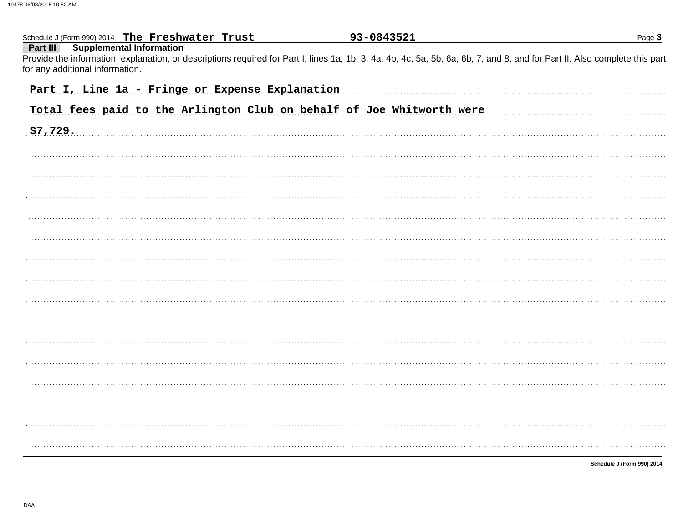| Schedule J (Form 990) 2014 The Freshwater Trust                                                                                                                                                                                                              | 93-0843521 | Page 3 |
|--------------------------------------------------------------------------------------------------------------------------------------------------------------------------------------------------------------------------------------------------------------|------------|--------|
| <b>Supplemental Information</b><br>Part III<br>Provide the information, explanation, or descriptions required for Part I, lines 1a, 1b, 3, 4a, 4b, 4c, 5a, 5b, 6a, 6b, 7, and 8, and for Part II. Also complete this part<br>for any additional information. |            |        |
| Part I, Line 1a - Fringe or Expense Explanation                                                                                                                                                                                                              |            |        |
| Total fees paid to the Arlington Club on behalf of Joe Whitworth were                                                                                                                                                                                        |            |        |
| \$7,729.                                                                                                                                                                                                                                                     |            |        |
|                                                                                                                                                                                                                                                              |            |        |
|                                                                                                                                                                                                                                                              |            |        |
|                                                                                                                                                                                                                                                              |            |        |
|                                                                                                                                                                                                                                                              |            |        |
|                                                                                                                                                                                                                                                              |            |        |
|                                                                                                                                                                                                                                                              |            |        |
|                                                                                                                                                                                                                                                              |            |        |
|                                                                                                                                                                                                                                                              |            |        |
|                                                                                                                                                                                                                                                              |            |        |
|                                                                                                                                                                                                                                                              |            |        |
|                                                                                                                                                                                                                                                              |            |        |
|                                                                                                                                                                                                                                                              |            |        |
|                                                                                                                                                                                                                                                              |            |        |
|                                                                                                                                                                                                                                                              |            |        |
|                                                                                                                                                                                                                                                              |            |        |

Schedule J (Form 990) 2014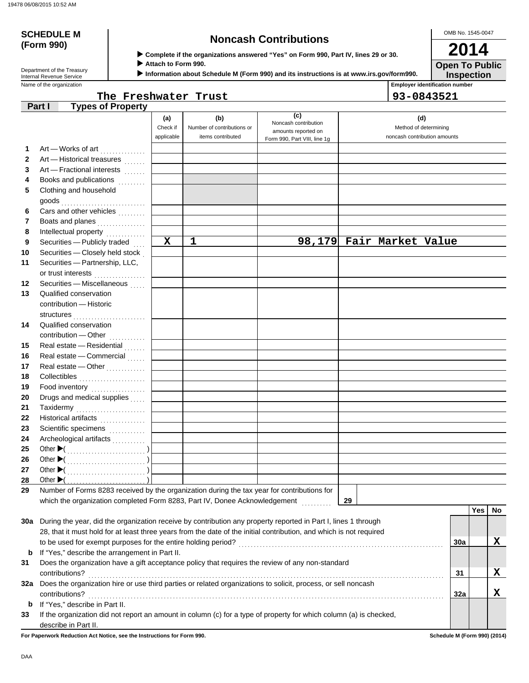# **(Form 990)**

## **SCHEDULE M Noncash Contributions**

OMB No. 1545-0047 **2014**

 **Complete if the organizations answered "Yes" on Form 990, Part IV, lines 29 or 30.**

 **Attach to Form 990.**

 **Information about Schedule M (Form 990) and its instructions is at www.irs.gov/form990.**

**Employer identification number Inspection Open To Public**

| Department of the Treasury |
|----------------------------|
| Internal Revenue Service   |
| Name of the organization   |

# **The Freshwater Trust 93-0843521**

| (c)<br>(b)<br>(d)<br>(a)<br>Noncash contribution<br>Check if<br>Number of contributions or<br>Method of determining<br>amounts reported on<br>applicable<br>noncash contribution amounts<br>items contributed<br>Form 990, Part VIII, line 1g<br>Art - Works of art<br>1<br>.<br>Art - Historical treasures<br>$\mathbf{2}$<br>Art - Fractional interests<br>3<br>Books and publications<br>4<br>Clothing and household<br>5<br>goods<br>6<br>Boats and planes<br>7<br>.<br>Intellectual property<br>8<br>$\mathbf x$<br>1<br>98,179 Fair Market Value<br>Securities - Publicly traded<br>9<br>Securities - Closely held stock<br>10<br>Securities - Partnership, LLC,<br>11<br>or trust interests<br>.<br>Securities - Miscellaneous<br>12<br>13<br>Qualified conservation<br>contribution - Historic<br>Qualified conservation<br>14<br>contribution - Other<br>Real estate - Residential<br>15<br>Real estate - Commercial<br>16<br>Real estate - Other<br>17<br>Collectibles <b>Collectibles</b><br>18<br>19<br>Food inventory<br>20<br>Drugs and medical supplies<br>21<br>Taxidermy<br>22<br>Historical artifacts<br>23<br>Scientific specimens<br>Archeological artifacts<br>24<br>25<br>26<br>27<br>28<br>Other $\blacktriangleright$ (<br>Number of Forms 8283 received by the organization during the tax year for contributions for<br>29<br>which the organization completed Form 8283, Part IV, Donee Acknowledgement<br>29<br>Yes<br>No.<br>30a During the year, did the organization receive by contribution any property reported in Part I, lines 1 through<br>28, that it must hold for at least three years from the date of the initial contribution, and which is not required<br>X<br>to be used for exempt purposes for the entire holding period?<br>30a<br>If "Yes," describe the arrangement in Part II.<br>b<br>Does the organization have a gift acceptance policy that requires the review of any non-standard<br>31<br>X<br>31<br>contributions?<br>Does the organization hire or use third parties or related organizations to solicit, process, or sell noncash<br>32a<br>X<br>contributions?<br>32a<br>If "Yes," describe in Part II.<br>b<br>If the organization did not report an amount in column (c) for a type of property for which column (a) is checked,<br>33<br>describe in Part II. | <b>Types of Property</b><br>Part I |  |  |  |  |
|---------------------------------------------------------------------------------------------------------------------------------------------------------------------------------------------------------------------------------------------------------------------------------------------------------------------------------------------------------------------------------------------------------------------------------------------------------------------------------------------------------------------------------------------------------------------------------------------------------------------------------------------------------------------------------------------------------------------------------------------------------------------------------------------------------------------------------------------------------------------------------------------------------------------------------------------------------------------------------------------------------------------------------------------------------------------------------------------------------------------------------------------------------------------------------------------------------------------------------------------------------------------------------------------------------------------------------------------------------------------------------------------------------------------------------------------------------------------------------------------------------------------------------------------------------------------------------------------------------------------------------------------------------------------------------------------------------------------------------------------------------------------------------------------------------------------------------------------------------------------------------------------------------------------------------------------------------------------------------------------------------------------------------------------------------------------------------------------------------------------------------------------------------------------------------------------------------------------------------------------------------------------------------------------------------------------------------|------------------------------------|--|--|--|--|
|                                                                                                                                                                                                                                                                                                                                                                                                                                                                                                                                                                                                                                                                                                                                                                                                                                                                                                                                                                                                                                                                                                                                                                                                                                                                                                                                                                                                                                                                                                                                                                                                                                                                                                                                                                                                                                                                                                                                                                                                                                                                                                                                                                                                                                                                                                                                 |                                    |  |  |  |  |
|                                                                                                                                                                                                                                                                                                                                                                                                                                                                                                                                                                                                                                                                                                                                                                                                                                                                                                                                                                                                                                                                                                                                                                                                                                                                                                                                                                                                                                                                                                                                                                                                                                                                                                                                                                                                                                                                                                                                                                                                                                                                                                                                                                                                                                                                                                                                 |                                    |  |  |  |  |
|                                                                                                                                                                                                                                                                                                                                                                                                                                                                                                                                                                                                                                                                                                                                                                                                                                                                                                                                                                                                                                                                                                                                                                                                                                                                                                                                                                                                                                                                                                                                                                                                                                                                                                                                                                                                                                                                                                                                                                                                                                                                                                                                                                                                                                                                                                                                 |                                    |  |  |  |  |
|                                                                                                                                                                                                                                                                                                                                                                                                                                                                                                                                                                                                                                                                                                                                                                                                                                                                                                                                                                                                                                                                                                                                                                                                                                                                                                                                                                                                                                                                                                                                                                                                                                                                                                                                                                                                                                                                                                                                                                                                                                                                                                                                                                                                                                                                                                                                 |                                    |  |  |  |  |
|                                                                                                                                                                                                                                                                                                                                                                                                                                                                                                                                                                                                                                                                                                                                                                                                                                                                                                                                                                                                                                                                                                                                                                                                                                                                                                                                                                                                                                                                                                                                                                                                                                                                                                                                                                                                                                                                                                                                                                                                                                                                                                                                                                                                                                                                                                                                 |                                    |  |  |  |  |
|                                                                                                                                                                                                                                                                                                                                                                                                                                                                                                                                                                                                                                                                                                                                                                                                                                                                                                                                                                                                                                                                                                                                                                                                                                                                                                                                                                                                                                                                                                                                                                                                                                                                                                                                                                                                                                                                                                                                                                                                                                                                                                                                                                                                                                                                                                                                 |                                    |  |  |  |  |
|                                                                                                                                                                                                                                                                                                                                                                                                                                                                                                                                                                                                                                                                                                                                                                                                                                                                                                                                                                                                                                                                                                                                                                                                                                                                                                                                                                                                                                                                                                                                                                                                                                                                                                                                                                                                                                                                                                                                                                                                                                                                                                                                                                                                                                                                                                                                 |                                    |  |  |  |  |
|                                                                                                                                                                                                                                                                                                                                                                                                                                                                                                                                                                                                                                                                                                                                                                                                                                                                                                                                                                                                                                                                                                                                                                                                                                                                                                                                                                                                                                                                                                                                                                                                                                                                                                                                                                                                                                                                                                                                                                                                                                                                                                                                                                                                                                                                                                                                 |                                    |  |  |  |  |
|                                                                                                                                                                                                                                                                                                                                                                                                                                                                                                                                                                                                                                                                                                                                                                                                                                                                                                                                                                                                                                                                                                                                                                                                                                                                                                                                                                                                                                                                                                                                                                                                                                                                                                                                                                                                                                                                                                                                                                                                                                                                                                                                                                                                                                                                                                                                 |                                    |  |  |  |  |
|                                                                                                                                                                                                                                                                                                                                                                                                                                                                                                                                                                                                                                                                                                                                                                                                                                                                                                                                                                                                                                                                                                                                                                                                                                                                                                                                                                                                                                                                                                                                                                                                                                                                                                                                                                                                                                                                                                                                                                                                                                                                                                                                                                                                                                                                                                                                 |                                    |  |  |  |  |
|                                                                                                                                                                                                                                                                                                                                                                                                                                                                                                                                                                                                                                                                                                                                                                                                                                                                                                                                                                                                                                                                                                                                                                                                                                                                                                                                                                                                                                                                                                                                                                                                                                                                                                                                                                                                                                                                                                                                                                                                                                                                                                                                                                                                                                                                                                                                 |                                    |  |  |  |  |
|                                                                                                                                                                                                                                                                                                                                                                                                                                                                                                                                                                                                                                                                                                                                                                                                                                                                                                                                                                                                                                                                                                                                                                                                                                                                                                                                                                                                                                                                                                                                                                                                                                                                                                                                                                                                                                                                                                                                                                                                                                                                                                                                                                                                                                                                                                                                 |                                    |  |  |  |  |
|                                                                                                                                                                                                                                                                                                                                                                                                                                                                                                                                                                                                                                                                                                                                                                                                                                                                                                                                                                                                                                                                                                                                                                                                                                                                                                                                                                                                                                                                                                                                                                                                                                                                                                                                                                                                                                                                                                                                                                                                                                                                                                                                                                                                                                                                                                                                 |                                    |  |  |  |  |
|                                                                                                                                                                                                                                                                                                                                                                                                                                                                                                                                                                                                                                                                                                                                                                                                                                                                                                                                                                                                                                                                                                                                                                                                                                                                                                                                                                                                                                                                                                                                                                                                                                                                                                                                                                                                                                                                                                                                                                                                                                                                                                                                                                                                                                                                                                                                 |                                    |  |  |  |  |
|                                                                                                                                                                                                                                                                                                                                                                                                                                                                                                                                                                                                                                                                                                                                                                                                                                                                                                                                                                                                                                                                                                                                                                                                                                                                                                                                                                                                                                                                                                                                                                                                                                                                                                                                                                                                                                                                                                                                                                                                                                                                                                                                                                                                                                                                                                                                 |                                    |  |  |  |  |
|                                                                                                                                                                                                                                                                                                                                                                                                                                                                                                                                                                                                                                                                                                                                                                                                                                                                                                                                                                                                                                                                                                                                                                                                                                                                                                                                                                                                                                                                                                                                                                                                                                                                                                                                                                                                                                                                                                                                                                                                                                                                                                                                                                                                                                                                                                                                 |                                    |  |  |  |  |
|                                                                                                                                                                                                                                                                                                                                                                                                                                                                                                                                                                                                                                                                                                                                                                                                                                                                                                                                                                                                                                                                                                                                                                                                                                                                                                                                                                                                                                                                                                                                                                                                                                                                                                                                                                                                                                                                                                                                                                                                                                                                                                                                                                                                                                                                                                                                 |                                    |  |  |  |  |
|                                                                                                                                                                                                                                                                                                                                                                                                                                                                                                                                                                                                                                                                                                                                                                                                                                                                                                                                                                                                                                                                                                                                                                                                                                                                                                                                                                                                                                                                                                                                                                                                                                                                                                                                                                                                                                                                                                                                                                                                                                                                                                                                                                                                                                                                                                                                 |                                    |  |  |  |  |
|                                                                                                                                                                                                                                                                                                                                                                                                                                                                                                                                                                                                                                                                                                                                                                                                                                                                                                                                                                                                                                                                                                                                                                                                                                                                                                                                                                                                                                                                                                                                                                                                                                                                                                                                                                                                                                                                                                                                                                                                                                                                                                                                                                                                                                                                                                                                 |                                    |  |  |  |  |
|                                                                                                                                                                                                                                                                                                                                                                                                                                                                                                                                                                                                                                                                                                                                                                                                                                                                                                                                                                                                                                                                                                                                                                                                                                                                                                                                                                                                                                                                                                                                                                                                                                                                                                                                                                                                                                                                                                                                                                                                                                                                                                                                                                                                                                                                                                                                 |                                    |  |  |  |  |
|                                                                                                                                                                                                                                                                                                                                                                                                                                                                                                                                                                                                                                                                                                                                                                                                                                                                                                                                                                                                                                                                                                                                                                                                                                                                                                                                                                                                                                                                                                                                                                                                                                                                                                                                                                                                                                                                                                                                                                                                                                                                                                                                                                                                                                                                                                                                 |                                    |  |  |  |  |
|                                                                                                                                                                                                                                                                                                                                                                                                                                                                                                                                                                                                                                                                                                                                                                                                                                                                                                                                                                                                                                                                                                                                                                                                                                                                                                                                                                                                                                                                                                                                                                                                                                                                                                                                                                                                                                                                                                                                                                                                                                                                                                                                                                                                                                                                                                                                 |                                    |  |  |  |  |
|                                                                                                                                                                                                                                                                                                                                                                                                                                                                                                                                                                                                                                                                                                                                                                                                                                                                                                                                                                                                                                                                                                                                                                                                                                                                                                                                                                                                                                                                                                                                                                                                                                                                                                                                                                                                                                                                                                                                                                                                                                                                                                                                                                                                                                                                                                                                 |                                    |  |  |  |  |
|                                                                                                                                                                                                                                                                                                                                                                                                                                                                                                                                                                                                                                                                                                                                                                                                                                                                                                                                                                                                                                                                                                                                                                                                                                                                                                                                                                                                                                                                                                                                                                                                                                                                                                                                                                                                                                                                                                                                                                                                                                                                                                                                                                                                                                                                                                                                 |                                    |  |  |  |  |
|                                                                                                                                                                                                                                                                                                                                                                                                                                                                                                                                                                                                                                                                                                                                                                                                                                                                                                                                                                                                                                                                                                                                                                                                                                                                                                                                                                                                                                                                                                                                                                                                                                                                                                                                                                                                                                                                                                                                                                                                                                                                                                                                                                                                                                                                                                                                 |                                    |  |  |  |  |
|                                                                                                                                                                                                                                                                                                                                                                                                                                                                                                                                                                                                                                                                                                                                                                                                                                                                                                                                                                                                                                                                                                                                                                                                                                                                                                                                                                                                                                                                                                                                                                                                                                                                                                                                                                                                                                                                                                                                                                                                                                                                                                                                                                                                                                                                                                                                 |                                    |  |  |  |  |
|                                                                                                                                                                                                                                                                                                                                                                                                                                                                                                                                                                                                                                                                                                                                                                                                                                                                                                                                                                                                                                                                                                                                                                                                                                                                                                                                                                                                                                                                                                                                                                                                                                                                                                                                                                                                                                                                                                                                                                                                                                                                                                                                                                                                                                                                                                                                 |                                    |  |  |  |  |
|                                                                                                                                                                                                                                                                                                                                                                                                                                                                                                                                                                                                                                                                                                                                                                                                                                                                                                                                                                                                                                                                                                                                                                                                                                                                                                                                                                                                                                                                                                                                                                                                                                                                                                                                                                                                                                                                                                                                                                                                                                                                                                                                                                                                                                                                                                                                 |                                    |  |  |  |  |
|                                                                                                                                                                                                                                                                                                                                                                                                                                                                                                                                                                                                                                                                                                                                                                                                                                                                                                                                                                                                                                                                                                                                                                                                                                                                                                                                                                                                                                                                                                                                                                                                                                                                                                                                                                                                                                                                                                                                                                                                                                                                                                                                                                                                                                                                                                                                 |                                    |  |  |  |  |
|                                                                                                                                                                                                                                                                                                                                                                                                                                                                                                                                                                                                                                                                                                                                                                                                                                                                                                                                                                                                                                                                                                                                                                                                                                                                                                                                                                                                                                                                                                                                                                                                                                                                                                                                                                                                                                                                                                                                                                                                                                                                                                                                                                                                                                                                                                                                 |                                    |  |  |  |  |
|                                                                                                                                                                                                                                                                                                                                                                                                                                                                                                                                                                                                                                                                                                                                                                                                                                                                                                                                                                                                                                                                                                                                                                                                                                                                                                                                                                                                                                                                                                                                                                                                                                                                                                                                                                                                                                                                                                                                                                                                                                                                                                                                                                                                                                                                                                                                 |                                    |  |  |  |  |
|                                                                                                                                                                                                                                                                                                                                                                                                                                                                                                                                                                                                                                                                                                                                                                                                                                                                                                                                                                                                                                                                                                                                                                                                                                                                                                                                                                                                                                                                                                                                                                                                                                                                                                                                                                                                                                                                                                                                                                                                                                                                                                                                                                                                                                                                                                                                 |                                    |  |  |  |  |
|                                                                                                                                                                                                                                                                                                                                                                                                                                                                                                                                                                                                                                                                                                                                                                                                                                                                                                                                                                                                                                                                                                                                                                                                                                                                                                                                                                                                                                                                                                                                                                                                                                                                                                                                                                                                                                                                                                                                                                                                                                                                                                                                                                                                                                                                                                                                 |                                    |  |  |  |  |
|                                                                                                                                                                                                                                                                                                                                                                                                                                                                                                                                                                                                                                                                                                                                                                                                                                                                                                                                                                                                                                                                                                                                                                                                                                                                                                                                                                                                                                                                                                                                                                                                                                                                                                                                                                                                                                                                                                                                                                                                                                                                                                                                                                                                                                                                                                                                 |                                    |  |  |  |  |
|                                                                                                                                                                                                                                                                                                                                                                                                                                                                                                                                                                                                                                                                                                                                                                                                                                                                                                                                                                                                                                                                                                                                                                                                                                                                                                                                                                                                                                                                                                                                                                                                                                                                                                                                                                                                                                                                                                                                                                                                                                                                                                                                                                                                                                                                                                                                 |                                    |  |  |  |  |
|                                                                                                                                                                                                                                                                                                                                                                                                                                                                                                                                                                                                                                                                                                                                                                                                                                                                                                                                                                                                                                                                                                                                                                                                                                                                                                                                                                                                                                                                                                                                                                                                                                                                                                                                                                                                                                                                                                                                                                                                                                                                                                                                                                                                                                                                                                                                 |                                    |  |  |  |  |
|                                                                                                                                                                                                                                                                                                                                                                                                                                                                                                                                                                                                                                                                                                                                                                                                                                                                                                                                                                                                                                                                                                                                                                                                                                                                                                                                                                                                                                                                                                                                                                                                                                                                                                                                                                                                                                                                                                                                                                                                                                                                                                                                                                                                                                                                                                                                 |                                    |  |  |  |  |
|                                                                                                                                                                                                                                                                                                                                                                                                                                                                                                                                                                                                                                                                                                                                                                                                                                                                                                                                                                                                                                                                                                                                                                                                                                                                                                                                                                                                                                                                                                                                                                                                                                                                                                                                                                                                                                                                                                                                                                                                                                                                                                                                                                                                                                                                                                                                 |                                    |  |  |  |  |
|                                                                                                                                                                                                                                                                                                                                                                                                                                                                                                                                                                                                                                                                                                                                                                                                                                                                                                                                                                                                                                                                                                                                                                                                                                                                                                                                                                                                                                                                                                                                                                                                                                                                                                                                                                                                                                                                                                                                                                                                                                                                                                                                                                                                                                                                                                                                 |                                    |  |  |  |  |
|                                                                                                                                                                                                                                                                                                                                                                                                                                                                                                                                                                                                                                                                                                                                                                                                                                                                                                                                                                                                                                                                                                                                                                                                                                                                                                                                                                                                                                                                                                                                                                                                                                                                                                                                                                                                                                                                                                                                                                                                                                                                                                                                                                                                                                                                                                                                 |                                    |  |  |  |  |
|                                                                                                                                                                                                                                                                                                                                                                                                                                                                                                                                                                                                                                                                                                                                                                                                                                                                                                                                                                                                                                                                                                                                                                                                                                                                                                                                                                                                                                                                                                                                                                                                                                                                                                                                                                                                                                                                                                                                                                                                                                                                                                                                                                                                                                                                                                                                 |                                    |  |  |  |  |
|                                                                                                                                                                                                                                                                                                                                                                                                                                                                                                                                                                                                                                                                                                                                                                                                                                                                                                                                                                                                                                                                                                                                                                                                                                                                                                                                                                                                                                                                                                                                                                                                                                                                                                                                                                                                                                                                                                                                                                                                                                                                                                                                                                                                                                                                                                                                 |                                    |  |  |  |  |
|                                                                                                                                                                                                                                                                                                                                                                                                                                                                                                                                                                                                                                                                                                                                                                                                                                                                                                                                                                                                                                                                                                                                                                                                                                                                                                                                                                                                                                                                                                                                                                                                                                                                                                                                                                                                                                                                                                                                                                                                                                                                                                                                                                                                                                                                                                                                 |                                    |  |  |  |  |
|                                                                                                                                                                                                                                                                                                                                                                                                                                                                                                                                                                                                                                                                                                                                                                                                                                                                                                                                                                                                                                                                                                                                                                                                                                                                                                                                                                                                                                                                                                                                                                                                                                                                                                                                                                                                                                                                                                                                                                                                                                                                                                                                                                                                                                                                                                                                 |                                    |  |  |  |  |
|                                                                                                                                                                                                                                                                                                                                                                                                                                                                                                                                                                                                                                                                                                                                                                                                                                                                                                                                                                                                                                                                                                                                                                                                                                                                                                                                                                                                                                                                                                                                                                                                                                                                                                                                                                                                                                                                                                                                                                                                                                                                                                                                                                                                                                                                                                                                 |                                    |  |  |  |  |
|                                                                                                                                                                                                                                                                                                                                                                                                                                                                                                                                                                                                                                                                                                                                                                                                                                                                                                                                                                                                                                                                                                                                                                                                                                                                                                                                                                                                                                                                                                                                                                                                                                                                                                                                                                                                                                                                                                                                                                                                                                                                                                                                                                                                                                                                                                                                 |                                    |  |  |  |  |
|                                                                                                                                                                                                                                                                                                                                                                                                                                                                                                                                                                                                                                                                                                                                                                                                                                                                                                                                                                                                                                                                                                                                                                                                                                                                                                                                                                                                                                                                                                                                                                                                                                                                                                                                                                                                                                                                                                                                                                                                                                                                                                                                                                                                                                                                                                                                 |                                    |  |  |  |  |
|                                                                                                                                                                                                                                                                                                                                                                                                                                                                                                                                                                                                                                                                                                                                                                                                                                                                                                                                                                                                                                                                                                                                                                                                                                                                                                                                                                                                                                                                                                                                                                                                                                                                                                                                                                                                                                                                                                                                                                                                                                                                                                                                                                                                                                                                                                                                 |                                    |  |  |  |  |
|                                                                                                                                                                                                                                                                                                                                                                                                                                                                                                                                                                                                                                                                                                                                                                                                                                                                                                                                                                                                                                                                                                                                                                                                                                                                                                                                                                                                                                                                                                                                                                                                                                                                                                                                                                                                                                                                                                                                                                                                                                                                                                                                                                                                                                                                                                                                 |                                    |  |  |  |  |
|                                                                                                                                                                                                                                                                                                                                                                                                                                                                                                                                                                                                                                                                                                                                                                                                                                                                                                                                                                                                                                                                                                                                                                                                                                                                                                                                                                                                                                                                                                                                                                                                                                                                                                                                                                                                                                                                                                                                                                                                                                                                                                                                                                                                                                                                                                                                 |                                    |  |  |  |  |

**For Paperwork Reduction Act Notice, see the Instructions for Form 990. Schedule M (Form 990) (2014)**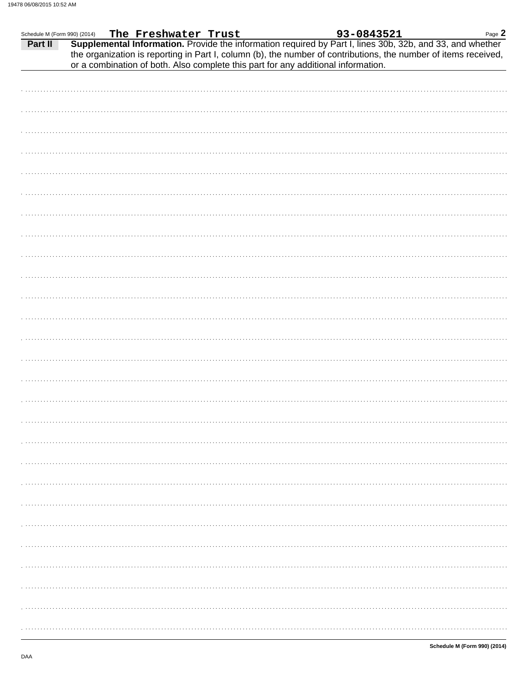| Schedule M (Form 990) (2014) | The Freshwater Trust                                                              |  | 93-0843521 | Page 2                                                                                                                                                                                                                       |
|------------------------------|-----------------------------------------------------------------------------------|--|------------|------------------------------------------------------------------------------------------------------------------------------------------------------------------------------------------------------------------------------|
| Part II                      | or a combination of both. Also complete this part for any additional information. |  |            | Supplemental Information. Provide the information required by Part I, lines 30b, 32b, and 33, and whether<br>the organization is reporting in Part I, column (b), the number of contributions, the number of items received, |
|                              |                                                                                   |  |            |                                                                                                                                                                                                                              |
|                              |                                                                                   |  |            |                                                                                                                                                                                                                              |
|                              |                                                                                   |  |            |                                                                                                                                                                                                                              |
|                              |                                                                                   |  |            |                                                                                                                                                                                                                              |
|                              |                                                                                   |  |            |                                                                                                                                                                                                                              |
|                              |                                                                                   |  |            |                                                                                                                                                                                                                              |
|                              |                                                                                   |  |            |                                                                                                                                                                                                                              |
|                              |                                                                                   |  |            |                                                                                                                                                                                                                              |
|                              |                                                                                   |  |            |                                                                                                                                                                                                                              |
|                              |                                                                                   |  |            |                                                                                                                                                                                                                              |
|                              |                                                                                   |  |            |                                                                                                                                                                                                                              |
|                              |                                                                                   |  |            |                                                                                                                                                                                                                              |
|                              |                                                                                   |  |            |                                                                                                                                                                                                                              |
|                              |                                                                                   |  |            |                                                                                                                                                                                                                              |
|                              |                                                                                   |  |            |                                                                                                                                                                                                                              |
|                              |                                                                                   |  |            |                                                                                                                                                                                                                              |
|                              |                                                                                   |  |            |                                                                                                                                                                                                                              |
|                              |                                                                                   |  |            |                                                                                                                                                                                                                              |
|                              |                                                                                   |  |            |                                                                                                                                                                                                                              |
|                              |                                                                                   |  |            |                                                                                                                                                                                                                              |
|                              |                                                                                   |  |            |                                                                                                                                                                                                                              |
|                              |                                                                                   |  |            |                                                                                                                                                                                                                              |
|                              |                                                                                   |  |            |                                                                                                                                                                                                                              |
|                              |                                                                                   |  |            |                                                                                                                                                                                                                              |
|                              |                                                                                   |  |            |                                                                                                                                                                                                                              |
|                              |                                                                                   |  |            |                                                                                                                                                                                                                              |
|                              |                                                                                   |  |            |                                                                                                                                                                                                                              |
|                              |                                                                                   |  |            |                                                                                                                                                                                                                              |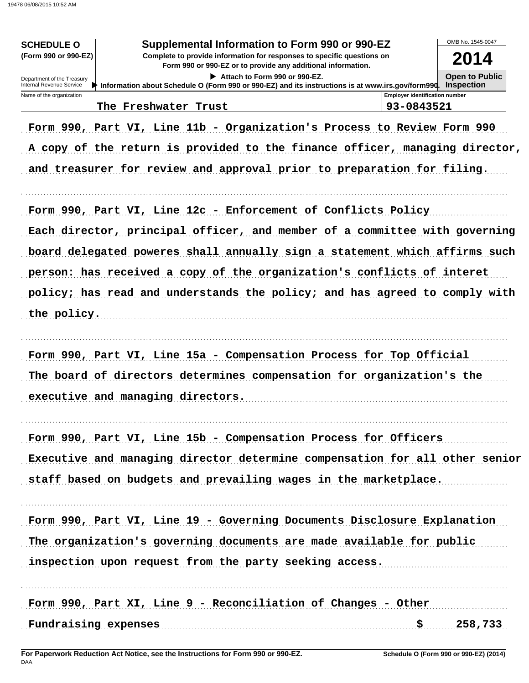| Supplemental Information to Form 990 or 990-EZ<br><b>SCHEDULE O</b><br>(Form 990 or 990-EZ)<br>Complete to provide information for responses to specific questions on<br>Form 990 or 990-EZ or to provide any additional information.<br>Attach to Form 990 or 990-EZ.<br>Department of the Treasury<br><b>Internal Revenue Service</b><br>Information about Schedule O (Form 990 or 990-EZ) and its instructions is at www.irs.gov/form990. Inspection | OMB No. 1545-0047<br>2014<br><b>Open to Public</b>  |  |
|---------------------------------------------------------------------------------------------------------------------------------------------------------------------------------------------------------------------------------------------------------------------------------------------------------------------------------------------------------------------------------------------------------------------------------------------------------|-----------------------------------------------------|--|
| Name of the organization<br>The Freshwater Trust                                                                                                                                                                                                                                                                                                                                                                                                        | <b>Employer identification number</b><br>93-0843521 |  |
|                                                                                                                                                                                                                                                                                                                                                                                                                                                         |                                                     |  |
| Form 990, Part VI, Line 11b - Organization's Process to Review Form 990                                                                                                                                                                                                                                                                                                                                                                                 |                                                     |  |
| A copy of the return is provided to the finance officer, managing director,                                                                                                                                                                                                                                                                                                                                                                             |                                                     |  |
| and treasurer for review and approval prior to preparation for filing.                                                                                                                                                                                                                                                                                                                                                                                  |                                                     |  |
| Form 990, Part VI, Line 12c - Enforcement of Conflicts Policy                                                                                                                                                                                                                                                                                                                                                                                           |                                                     |  |
| Each director, principal officer, and member of a committee with governing                                                                                                                                                                                                                                                                                                                                                                              |                                                     |  |
| board delegated poweres shall annually sign a statement which affirms such                                                                                                                                                                                                                                                                                                                                                                              |                                                     |  |
| person: has received a copy of the organization's conflicts of interet                                                                                                                                                                                                                                                                                                                                                                                  |                                                     |  |
| policy; has read and understands the policy; and has agreed to comply with                                                                                                                                                                                                                                                                                                                                                                              |                                                     |  |
| the policy.                                                                                                                                                                                                                                                                                                                                                                                                                                             |                                                     |  |
| Form 990, Part VI, Line 15a - Compensation Process for Top Official                                                                                                                                                                                                                                                                                                                                                                                     |                                                     |  |
| The board of directors determines compensation for organization's the                                                                                                                                                                                                                                                                                                                                                                                   |                                                     |  |
| executive and managing directors.                                                                                                                                                                                                                                                                                                                                                                                                                       |                                                     |  |
| Form 990, Part VI, Line 15b - Compensation Process for Officers                                                                                                                                                                                                                                                                                                                                                                                         |                                                     |  |
| Executive and managing director determine compensation for all other senior                                                                                                                                                                                                                                                                                                                                                                             |                                                     |  |
| staff based on budgets and prevailing wages in the marketplace.                                                                                                                                                                                                                                                                                                                                                                                         |                                                     |  |
| Form 990, Part VI, Line 19 - Governing Documents Disclosure Explanation                                                                                                                                                                                                                                                                                                                                                                                 |                                                     |  |
| The organization's governing documents are made available for public                                                                                                                                                                                                                                                                                                                                                                                    |                                                     |  |
| inspection upon request from the party seeking access.                                                                                                                                                                                                                                                                                                                                                                                                  |                                                     |  |
| Form 990, Part XI, Line 9 - Reconciliation of Changes - Other                                                                                                                                                                                                                                                                                                                                                                                           |                                                     |  |
| Fundraising expenses<br>$\ddot{s}$ 258,733                                                                                                                                                                                                                                                                                                                                                                                                              |                                                     |  |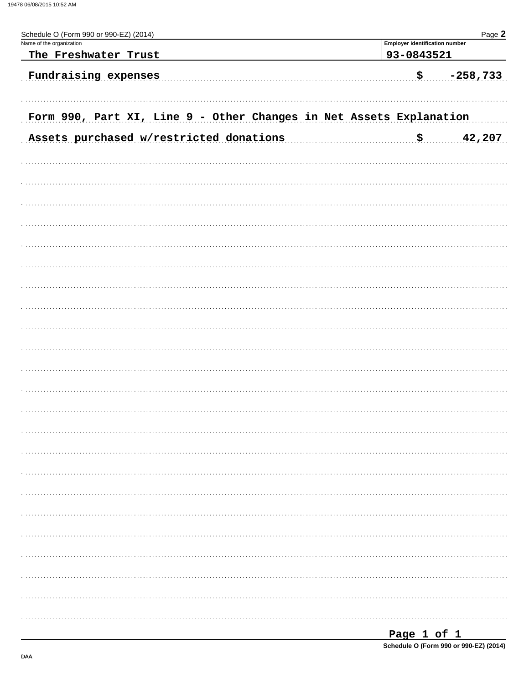| Schedule O (Form 990 or 990-EZ) (2014)                              |                                       | Page 2     |
|---------------------------------------------------------------------|---------------------------------------|------------|
| Name of the organization                                            | <b>Employer identification number</b> |            |
| The Freshwater Trust                                                | 93-0843521                            |            |
| Fundraising expenses                                                | \$                                    | $-258,733$ |
| Form 990, Part XI, Line 9 - Other Changes in Net Assets Explanation |                                       |            |
| Assets purchased w/restricted donations                             | \$.                                   | 42,207     |
|                                                                     |                                       |            |
|                                                                     |                                       |            |
|                                                                     |                                       |            |
|                                                                     |                                       |            |
|                                                                     |                                       |            |
|                                                                     |                                       |            |
|                                                                     |                                       |            |
|                                                                     |                                       |            |
|                                                                     |                                       |            |
|                                                                     |                                       |            |
|                                                                     |                                       |            |
|                                                                     |                                       |            |
|                                                                     |                                       |            |
|                                                                     |                                       |            |
|                                                                     |                                       |            |
|                                                                     |                                       |            |
|                                                                     |                                       |            |
|                                                                     |                                       |            |
|                                                                     |                                       |            |
|                                                                     |                                       |            |
|                                                                     |                                       |            |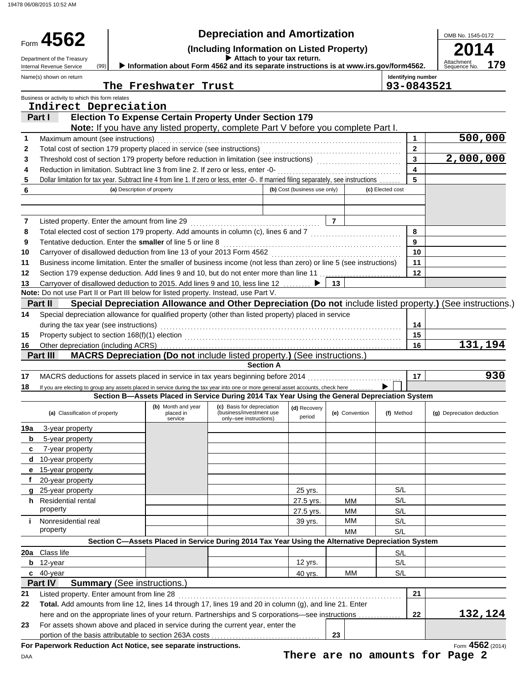Name(s) shown on return

(99)

Form 4562

### **Depreciation and Amortization**

**(Including Information on Listed Property)**

 **Attach to your tax return.**

Form 4562 **and Form 1562** and its separation and Amortization<br>
Department of the Treasury (99) **> Information about Form 4562** and its separate instructions is at www.irs.gov/form4562.<br>
Internal Revenue Service (99) **> Inf** 

**179**

OMB No. 1545-0172

**The Freshwater Trust 93-0843521**

| Identifying number |  |
|--------------------|--|
| 93-084352          |  |

|              | Business or activity to which this form relates<br>Indirect Depreciation                                                                                                                                                       |                                 |                                                                                                   |                              |                |                  |                                         |                                                                                                             |
|--------------|--------------------------------------------------------------------------------------------------------------------------------------------------------------------------------------------------------------------------------|---------------------------------|---------------------------------------------------------------------------------------------------|------------------------------|----------------|------------------|-----------------------------------------|-------------------------------------------------------------------------------------------------------------|
|              | <b>Election To Expense Certain Property Under Section 179</b><br>Part I                                                                                                                                                        |                                 |                                                                                                   |                              |                |                  |                                         |                                                                                                             |
|              |                                                                                                                                                                                                                                |                                 | Note: If you have any listed property, complete Part V before you complete Part I.                |                              |                |                  |                                         |                                                                                                             |
| $\mathbf{1}$ | Maximum amount (see instructions)                                                                                                                                                                                              |                                 |                                                                                                   |                              |                |                  | $\mathbf 1$                             | 500,000                                                                                                     |
| 2            |                                                                                                                                                                                                                                |                                 |                                                                                                   |                              |                |                  | $\overline{\mathbf{2}}$                 |                                                                                                             |
| 3            | Threshold cost of section 179 property before reduction in limitation (see instructions) [11] matter contractions and the section 179 property before reduction in limitation (see instructions) and the section of the sectio |                                 |                                                                                                   |                              |                |                  |                                         | 2,000,000                                                                                                   |
| 4            | Reduction in limitation. Subtract line 3 from line 2. If zero or less, enter -0-                                                                                                                                               |                                 |                                                                                                   |                              |                |                  | $\mathbf{3}$<br>$\overline{\mathbf{4}}$ |                                                                                                             |
| 5            | Dollar limitation for tax year. Subtract line 4 from line 1. If zero or less, enter -0-. If married filing separately, see instructions                                                                                        |                                 |                                                                                                   |                              |                |                  | $5\phantom{a}$                          |                                                                                                             |
| 6            | (a) Description of property                                                                                                                                                                                                    |                                 |                                                                                                   | (b) Cost (business use only) |                | (c) Elected cost |                                         |                                                                                                             |
|              |                                                                                                                                                                                                                                |                                 |                                                                                                   |                              |                |                  |                                         |                                                                                                             |
|              |                                                                                                                                                                                                                                |                                 |                                                                                                   |                              |                |                  |                                         |                                                                                                             |
| 7            | Listed property. Enter the amount from line 29                                                                                                                                                                                 |                                 |                                                                                                   |                              | $\overline{7}$ |                  |                                         |                                                                                                             |
| 8            | Total elected cost of section 179 property. Add amounts in column (c), lines 6 and 7 [[[[[[[[[[[[[[[[[[[[[[[[                                                                                                                  |                                 |                                                                                                   |                              |                |                  | 8                                       |                                                                                                             |
| 9            | Tentative deduction. Enter the smaller of line 5 or line 8                                                                                                                                                                     |                                 |                                                                                                   |                              |                |                  | 9                                       |                                                                                                             |
| 10           | Carryover of disallowed deduction from line 13 of your 2013 Form 4562                                                                                                                                                          |                                 |                                                                                                   |                              |                |                  | 10                                      |                                                                                                             |
| 11           | Business income limitation. Enter the smaller of business income (not less than zero) or line 5 (see instructions)                                                                                                             |                                 |                                                                                                   |                              |                |                  | 11                                      |                                                                                                             |
| 12           | Section 179 expense deduction. Add lines 9 and 10, but do not enter more than line 11                                                                                                                                          |                                 |                                                                                                   |                              |                |                  | 12                                      |                                                                                                             |
| 13           | Carryover of disallowed deduction to 2015. Add lines 9 and 10, less line 12                                                                                                                                                    |                                 |                                                                                                   |                              | 13             |                  |                                         |                                                                                                             |
|              | Note: Do not use Part II or Part III below for listed property. Instead, use Part V.                                                                                                                                           |                                 |                                                                                                   |                              |                |                  |                                         |                                                                                                             |
|              | Part II                                                                                                                                                                                                                        |                                 |                                                                                                   |                              |                |                  |                                         | Special Depreciation Allowance and Other Depreciation (Do not include listed property.) (See instructions.) |
| 14           | Special depreciation allowance for qualified property (other than listed property) placed in service                                                                                                                           |                                 |                                                                                                   |                              |                |                  |                                         |                                                                                                             |
|              | during the tax year (see instructions)                                                                                                                                                                                         |                                 |                                                                                                   |                              |                |                  | 14                                      |                                                                                                             |
| 15           |                                                                                                                                                                                                                                |                                 |                                                                                                   |                              |                |                  | 15                                      |                                                                                                             |
| 16           |                                                                                                                                                                                                                                |                                 |                                                                                                   |                              |                |                  | 16                                      | 131,194                                                                                                     |
|              | Part III                                                                                                                                                                                                                       |                                 | MACRS Depreciation (Do not include listed property.) (See instructions.)<br><b>Section A</b>      |                              |                |                  |                                         |                                                                                                             |
| 17           | MACRS deductions for assets placed in service in tax years beginning before 2014                                                                                                                                               |                                 |                                                                                                   |                              |                |                  | 17                                      | 930                                                                                                         |
| 18           | If you are electing to group any assets placed in service during the tax year into one or more general asset accounts, check here                                                                                              |                                 |                                                                                                   |                              |                |                  |                                         |                                                                                                             |
|              |                                                                                                                                                                                                                                |                                 | Section B-Assets Placed in Service During 2014 Tax Year Using the General Depreciation System     |                              |                |                  |                                         |                                                                                                             |
|              | (a) Classification of property                                                                                                                                                                                                 | (b) Month and year<br>placed in | (c) Basis for depreciation<br>(business/investment use                                            | (d) Recovery<br>period       | (e) Convention | (f) Method       |                                         | (g) Depreciation deduction                                                                                  |
| 19а          | 3-year property                                                                                                                                                                                                                | service                         | only-see instructions)                                                                            |                              |                |                  |                                         |                                                                                                             |
| b            | 5-year property                                                                                                                                                                                                                |                                 |                                                                                                   |                              |                |                  |                                         |                                                                                                             |
| c            | 7-year property                                                                                                                                                                                                                |                                 |                                                                                                   |                              |                |                  |                                         |                                                                                                             |
| d            | 10-year property                                                                                                                                                                                                               |                                 |                                                                                                   |                              |                |                  |                                         |                                                                                                             |
| е            | 15-year property                                                                                                                                                                                                               |                                 |                                                                                                   |                              |                |                  |                                         |                                                                                                             |
|              | 20-year property                                                                                                                                                                                                               |                                 |                                                                                                   |                              |                |                  |                                         |                                                                                                             |
|              | g 25-year property                                                                                                                                                                                                             |                                 |                                                                                                   | 25 yrs.                      |                | S/L              |                                         |                                                                                                             |
|              | h Residential rental                                                                                                                                                                                                           |                                 |                                                                                                   | 27.5 yrs.                    | ΜМ             | S/L              |                                         |                                                                                                             |
|              | property                                                                                                                                                                                                                       |                                 |                                                                                                   | 27.5 yrs.                    | MM             | S/L              |                                         |                                                                                                             |
|              | Nonresidential real                                                                                                                                                                                                            |                                 |                                                                                                   | 39 yrs.                      | MM             | S/L              |                                         |                                                                                                             |
|              | property                                                                                                                                                                                                                       |                                 |                                                                                                   |                              | <b>MM</b>      | S/L              |                                         |                                                                                                             |
|              |                                                                                                                                                                                                                                |                                 | Section C-Assets Placed in Service During 2014 Tax Year Using the Alternative Depreciation System |                              |                |                  |                                         |                                                                                                             |
| 20a          | Class life                                                                                                                                                                                                                     |                                 |                                                                                                   |                              |                | S/L              |                                         |                                                                                                             |
|              | $b$ 12-year                                                                                                                                                                                                                    |                                 |                                                                                                   | 12 yrs.                      |                | S/L              |                                         |                                                                                                             |
|              | c 40-year                                                                                                                                                                                                                      |                                 |                                                                                                   | 40 yrs.                      | <b>MM</b>      | S/L              |                                         |                                                                                                             |
|              | Part IV<br><b>Summary (See instructions.)</b>                                                                                                                                                                                  |                                 |                                                                                                   |                              |                |                  |                                         |                                                                                                             |
| 21           | Listed property. Enter amount from line 28                                                                                                                                                                                     |                                 |                                                                                                   |                              |                |                  | 21                                      |                                                                                                             |
| 22           | Total. Add amounts from line 12, lines 14 through 17, lines 19 and 20 in column (g), and line 21. Enter                                                                                                                        |                                 |                                                                                                   |                              |                |                  |                                         |                                                                                                             |
|              | here and on the appropriate lines of your return. Partnerships and S corporations-see instructions                                                                                                                             |                                 |                                                                                                   |                              |                |                  | 22                                      | 132,124                                                                                                     |
| 23           | For assets shown above and placed in service during the current year, enter the                                                                                                                                                |                                 |                                                                                                   |                              |                |                  |                                         |                                                                                                             |
|              | portion of the basis attributable to section 263A costs                                                                                                                                                                        |                                 |                                                                                                   |                              | 23             |                  |                                         |                                                                                                             |
|              | For Paperwork Reduction Act Notice, see separate instructions.                                                                                                                                                                 |                                 |                                                                                                   |                              |                |                  |                                         | Form 4562 (2014)                                                                                            |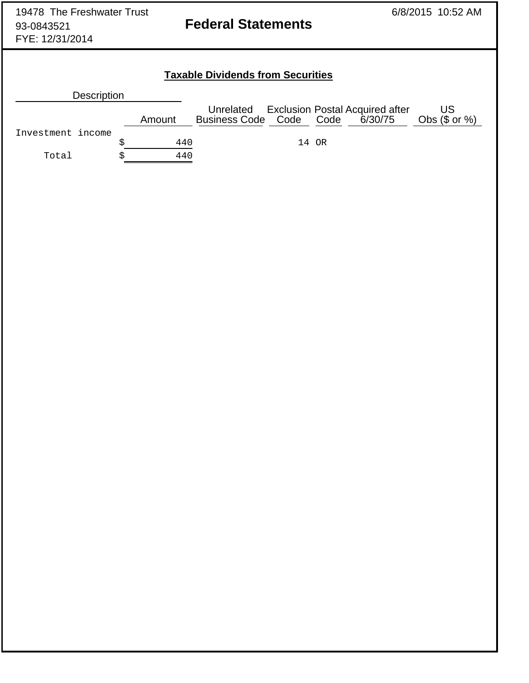## **Taxable Dividends from Securities**

| <b>Description</b> |        |                                              |       |                                        |                        |
|--------------------|--------|----------------------------------------------|-------|----------------------------------------|------------------------|
|                    | Amount | Unrelated<br>Business Code Code Code 6/30/75 |       | <b>Exclusion Postal Acquired after</b> | US<br>Obs $(\$$ or $%$ |
| Investment income  |        |                                              |       |                                        |                        |
|                    | 440    |                                              | 14 OR |                                        |                        |
| Total              | 440    |                                              |       |                                        |                        |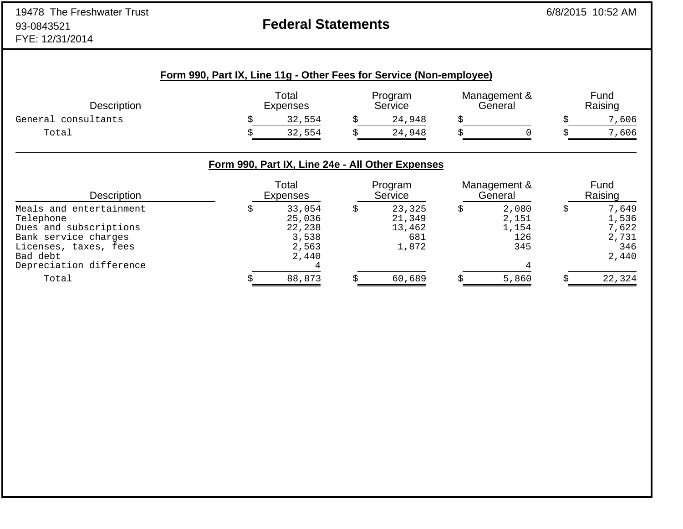# **Federal Statements**

| Description         | Total<br><b>Expenses</b> | Program<br>Service                               | Management &<br>General | Fund<br>Raising        |
|---------------------|--------------------------|--------------------------------------------------|-------------------------|------------------------|
| General consultants | 32,554                   | 24,948                                           |                         | 7,606                  |
| Total               | 32,554                   | 24,948                                           |                         | 7,606                  |
|                     |                          | Form 990, Part IX, Line 24e - All Other Expenses |                         |                        |
| <b>Docorintion</b>  | Total<br>Evnopcoc        | Program<br><b>Convice</b>                        | Management &<br>Conoral | Fund<br><b>Doicing</b> |

| Description             | <b>Expenses</b> | Service | General | Raising |
|-------------------------|-----------------|---------|---------|---------|
| Meals and entertainment | 33,054          | 23,325  | 2,080   | 7,649   |
| Telephone               | 25,036          | 21,349  | 2,151   | 1,536   |
| Dues and subscriptions  | 22,238          | 13,462  | 1,154   | 7,622   |
| Bank service charges    | 3,538           | 681     | 126     | 2,731   |
| Licenses, taxes, fees   | 2,563           | 1,872   | 345     | 346     |
| Bad debt                | 2,440           |         |         | 2,440   |
| Depreciation difference |                 |         |         |         |
| Total                   | 88,873          | 60,689  | 5,860   | 22,324  |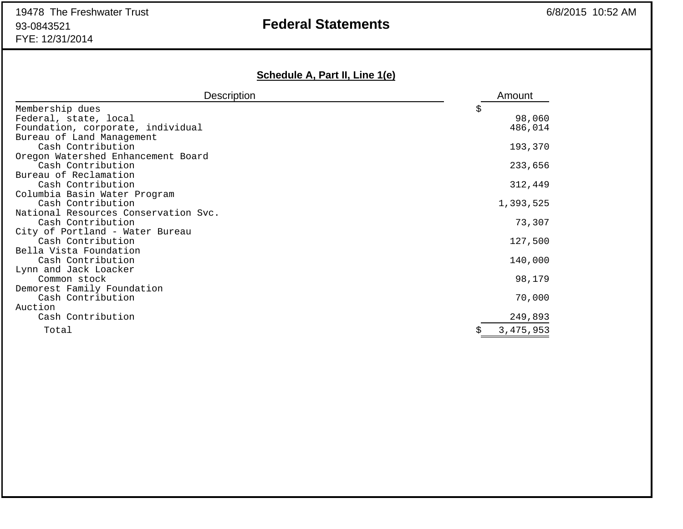# **Federal Statements**

### **Schedule A, Part II, Line 1(e)**

| <b>Description</b>                   | Amount      |
|--------------------------------------|-------------|
| Membership dues                      | \$          |
| Federal, state, local                | 98,060      |
| Foundation, corporate, individual    | 486,014     |
| Bureau of Land Management            |             |
| Cash Contribution                    | 193,370     |
| Oregon Watershed Enhancement Board   |             |
| Cash Contribution                    | 233,656     |
| Bureau of Reclamation                |             |
| Cash Contribution                    | 312,449     |
| Columbia Basin Water Program         |             |
| Cash Contribution                    | 1,393,525   |
| National Resources Conservation Svc. |             |
| Cash Contribution                    | 73,307      |
| City of Portland - Water Bureau      |             |
| Cash Contribution                    | 127,500     |
| Bella Vista Foundation               |             |
| Cash Contribution                    | 140,000     |
| Lynn and Jack Loacker                |             |
| Common stock                         | 98,179      |
| Demorest Family Foundation           |             |
| Cash Contribution                    | 70,000      |
| Auction                              |             |
| Cash Contribution                    | 249,893     |
| Total                                | 3, 475, 953 |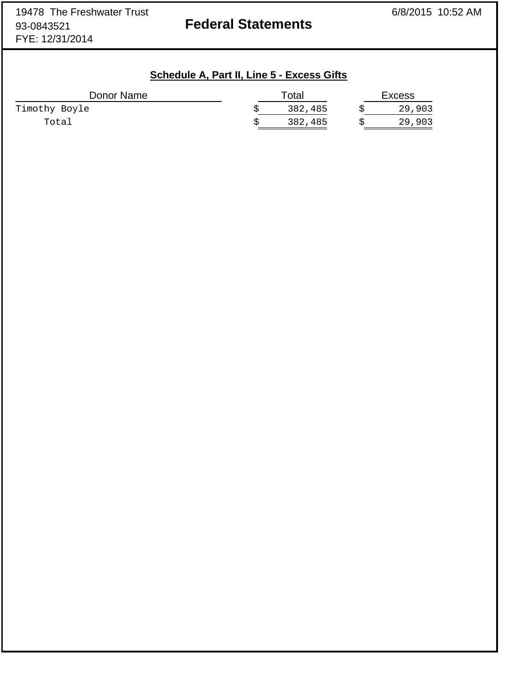| Schedule A, Part II, Line 5 - Excess Gifts |  |         |  |               |  |  |
|--------------------------------------------|--|---------|--|---------------|--|--|
| Donor Name                                 |  | Total   |  | <b>Excess</b> |  |  |
| Timothy Boyle                              |  | 382,485 |  | 29,903        |  |  |
| Total                                      |  | 382,485 |  | 29,903        |  |  |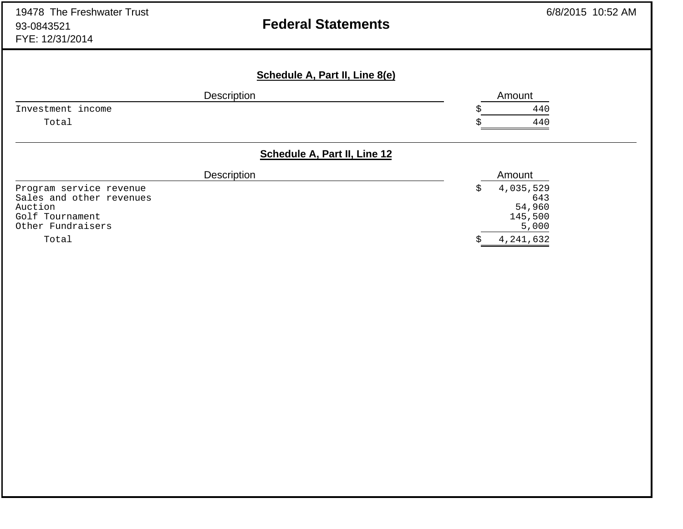| 19478 The Freshwater Trust<br>93-0843521<br>FYE: 12/31/2014 | <b>Federal Statements</b>           | 6/8/2015 10:52 AM |
|-------------------------------------------------------------|-------------------------------------|-------------------|
|                                                             | Schedule A, Part II, Line 8(e)      |                   |
|                                                             | Description                         | Amount            |
| Investment income                                           |                                     | 440               |
| Total                                                       |                                     | 440               |
|                                                             | <b>Schedule A, Part II, Line 12</b> |                   |
|                                                             | Description                         | Amount            |
| Program service revenue                                     |                                     | \$<br>4,035,529   |
| Sales and other revenues                                    |                                     | 643               |
| Auction<br>Golf Tournament                                  |                                     | 54,960<br>145,500 |
| Other Fundraisers                                           |                                     | 5,000             |
| Total                                                       |                                     | \$<br>4, 241, 632 |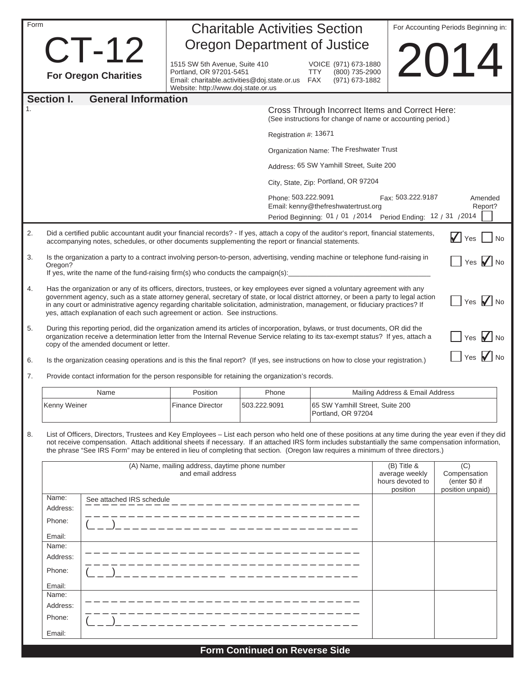| <b>CT-12</b><br><b>Oregon Department of Justice</b><br>VOICE (971) 673-1880<br>1515 SW 5th Avenue, Suite 410<br>Portland, OR 97201-5451<br>TTY<br>(800) 735-2900<br><b>For Oregon Charities</b><br>Email: charitable.activities@doj.state.or.us FAX<br>(971) 673-1882<br>Website: http://www.doj.state.or.us<br><b>General Information</b><br><b>Section I.</b><br>Cross Through Incorrect Items and Correct Here:<br>(See instructions for change of name or accounting period.)                             | 2012                                                                                                                                                  |  |  |  |  |  |
|---------------------------------------------------------------------------------------------------------------------------------------------------------------------------------------------------------------------------------------------------------------------------------------------------------------------------------------------------------------------------------------------------------------------------------------------------------------------------------------------------------------|-------------------------------------------------------------------------------------------------------------------------------------------------------|--|--|--|--|--|
|                                                                                                                                                                                                                                                                                                                                                                                                                                                                                                               |                                                                                                                                                       |  |  |  |  |  |
|                                                                                                                                                                                                                                                                                                                                                                                                                                                                                                               |                                                                                                                                                       |  |  |  |  |  |
|                                                                                                                                                                                                                                                                                                                                                                                                                                                                                                               |                                                                                                                                                       |  |  |  |  |  |
|                                                                                                                                                                                                                                                                                                                                                                                                                                                                                                               |                                                                                                                                                       |  |  |  |  |  |
| Registration #: 13671                                                                                                                                                                                                                                                                                                                                                                                                                                                                                         |                                                                                                                                                       |  |  |  |  |  |
| Organization Name: The Freshwater Trust                                                                                                                                                                                                                                                                                                                                                                                                                                                                       |                                                                                                                                                       |  |  |  |  |  |
| Address: 65 SW Yamhill Street, Suite 200                                                                                                                                                                                                                                                                                                                                                                                                                                                                      |                                                                                                                                                       |  |  |  |  |  |
| City, State, Zip: Portland, OR 97204                                                                                                                                                                                                                                                                                                                                                                                                                                                                          |                                                                                                                                                       |  |  |  |  |  |
| Phone: 503.222.9091<br>Fax: 503.222.9187<br>Email: kenny@thefreshwatertrust.org<br>Period Beginning: 01 / 01 / 2014   Period Ending: 12 / 31 / 2014                                                                                                                                                                                                                                                                                                                                                           | Amended<br>Report?                                                                                                                                    |  |  |  |  |  |
| 2.<br>Did a certified public accountant audit your financial records? - If yes, attach a copy of the auditor's report, financial statements,                                                                                                                                                                                                                                                                                                                                                                  |                                                                                                                                                       |  |  |  |  |  |
| accompanying notes, schedules, or other documents supplementing the report or financial statements.                                                                                                                                                                                                                                                                                                                                                                                                           | $\sqrt{\frac{1}{1}}$ Yes $\sqrt{\frac{1}{1}}$ No                                                                                                      |  |  |  |  |  |
| 3.<br>Oregon?                                                                                                                                                                                                                                                                                                                                                                                                                                                                                                 | Is the organization a party to a contract involving person-to-person, advertising, vending machine or telephone fund-raising in<br>Yes $\sqrt{\ }$ No |  |  |  |  |  |
| If yes, write the name of the fund-raising firm(s) who conducts the campaign(s):                                                                                                                                                                                                                                                                                                                                                                                                                              |                                                                                                                                                       |  |  |  |  |  |
| Has the organization or any of its officers, directors, trustees, or key employees ever signed a voluntary agreement with any<br>government agency, such as a state attorney general, secretary of state, or local district attorney, or been a party to legal action<br>Yes $\sqrt{\ }$ No<br>in any court or administrative agency regarding charitable solicitation, administration, management, or fiduciary practices? If<br>yes, attach explanation of each such agreement or action. See instructions. |                                                                                                                                                       |  |  |  |  |  |
| During this reporting period, did the organization amend its articles of incorporation, bylaws, or trust documents, OR did the<br>Yes $\bigvee$ No<br>organization receive a determination letter from the Internal Revenue Service relating to its tax-exempt status? If yes, attach a<br>copy of the amended document or letter.                                                                                                                                                                            |                                                                                                                                                       |  |  |  |  |  |
| 6.<br>Is the organization ceasing operations and is this the final report? (If yes, see instructions on how to close your registration.)                                                                                                                                                                                                                                                                                                                                                                      | Yes $\sqrt{\ }$ No                                                                                                                                    |  |  |  |  |  |
| Provide contact information for the person responsible for retaining the organization's records.                                                                                                                                                                                                                                                                                                                                                                                                              |                                                                                                                                                       |  |  |  |  |  |
| Position<br>Phone<br>Mailing Address & Email Address<br>Name                                                                                                                                                                                                                                                                                                                                                                                                                                                  |                                                                                                                                                       |  |  |  |  |  |
| Kenny Weiner<br><b>Finance Director</b><br>503.222.9091<br>65 SW Yamhill Street, Suite 200<br>Portland, OR 97204                                                                                                                                                                                                                                                                                                                                                                                              |                                                                                                                                                       |  |  |  |  |  |
| List of Officers, Directors, Trustees and Key Employees - List each person who held one of these positions at any time during the year even if they did<br>8.<br>not receive compensation. Attach additional sheets if necessary. If an attached IRS form includes substantially the same compensation information,<br>the phrase "See IRS Form" may be entered in lieu of completing that section. (Oregon law requires a minimum of three directors.)                                                       |                                                                                                                                                       |  |  |  |  |  |
| (A) Name, mailing address, daytime phone number<br>$(B)$ Title &<br>and email address<br>average weekly<br>hours devoted to<br>position                                                                                                                                                                                                                                                                                                                                                                       | (C)<br>Compensation<br>(enter \$0 if<br>position unpaid)                                                                                              |  |  |  |  |  |
| Name:<br>See attached IRS schedule<br>Address:                                                                                                                                                                                                                                                                                                                                                                                                                                                                |                                                                                                                                                       |  |  |  |  |  |
| Phone:                                                                                                                                                                                                                                                                                                                                                                                                                                                                                                        |                                                                                                                                                       |  |  |  |  |  |
| Email:                                                                                                                                                                                                                                                                                                                                                                                                                                                                                                        |                                                                                                                                                       |  |  |  |  |  |
| Name:<br>Address:                                                                                                                                                                                                                                                                                                                                                                                                                                                                                             |                                                                                                                                                       |  |  |  |  |  |
| Phone:                                                                                                                                                                                                                                                                                                                                                                                                                                                                                                        |                                                                                                                                                       |  |  |  |  |  |
| Email:                                                                                                                                                                                                                                                                                                                                                                                                                                                                                                        |                                                                                                                                                       |  |  |  |  |  |
| Name:<br>Address:                                                                                                                                                                                                                                                                                                                                                                                                                                                                                             |                                                                                                                                                       |  |  |  |  |  |
| Phone:                                                                                                                                                                                                                                                                                                                                                                                                                                                                                                        |                                                                                                                                                       |  |  |  |  |  |
| Email:                                                                                                                                                                                                                                                                                                                                                                                                                                                                                                        |                                                                                                                                                       |  |  |  |  |  |

| Form Continued on Reverse Side |  |
|--------------------------------|--|
|--------------------------------|--|